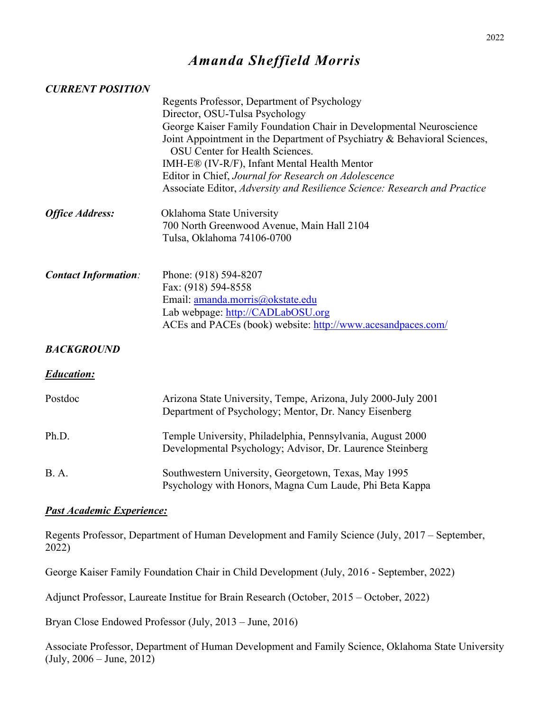# *Amanda Sheffield Morris*

#### *CURRENT POSITION*

|                             | Regents Professor, Department of Psychology                                                                     |
|-----------------------------|-----------------------------------------------------------------------------------------------------------------|
|                             | Director, OSU-Tulsa Psychology                                                                                  |
|                             | George Kaiser Family Foundation Chair in Developmental Neuroscience                                             |
|                             | Joint Appointment in the Department of Psychiatry & Behavioral Sciences,<br>OSU Center for Health Sciences.     |
|                             | IMH-E® (IV-R/F), Infant Mental Health Mentor                                                                    |
|                             | Editor in Chief, Journal for Research on Adolescence                                                            |
|                             | Associate Editor, Adversity and Resilience Science: Research and Practice                                       |
| <b>Office Address:</b>      | Oklahoma State University                                                                                       |
|                             | 700 North Greenwood Avenue, Main Hall 2104                                                                      |
|                             | Tulsa, Oklahoma 74106-0700                                                                                      |
| <b>Contact Information:</b> | Phone: (918) 594-8207                                                                                           |
|                             | Fax: (918) 594-8558                                                                                             |
|                             | Email: amanda.morris@okstate.edu                                                                                |
|                             | Lab webpage: http://CADLabOSU.org                                                                               |
|                             | ACEs and PACEs (book) website: http://www.acesandpaces.com/                                                     |
| <b>BACKGROUND</b>           |                                                                                                                 |
| <b>Education:</b>           |                                                                                                                 |
| Postdoc                     | Arizona State University, Tempe, Arizona, July 2000-July 2001                                                   |
|                             | Department of Psychology; Mentor, Dr. Nancy Eisenberg                                                           |
| Ph.D.                       | Temple University, Philadelphia, Pennsylvania, August 2000                                                      |
|                             | Developmental Psychology; Advisor, Dr. Laurence Steinberg                                                       |
|                             |                                                                                                                 |
| <b>B.</b> A.                | Southwestern University, Georgetown, Texas, May 1995<br>Psychology with Honors, Magna Cum Laude, Phi Beta Kappa |

#### *Past Academic Experience:*

Regents Professor, Department of Human Development and Family Science (July, 2017 – September, 2022)

George Kaiser Family Foundation Chair in Child Development (July, 2016 - September, 2022)

Adjunct Professor, Laureate Institue for Brain Research (October, 2015 – October, 2022)

Bryan Close Endowed Professor (July, 2013 – June, 2016)

Associate Professor, Department of Human Development and Family Science, Oklahoma State University (July, 2006 – June, 2012)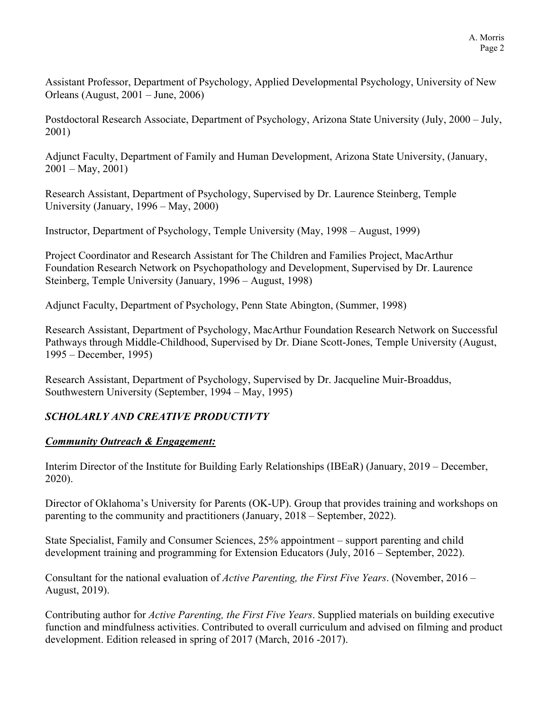Assistant Professor, Department of Psychology, Applied Developmental Psychology, University of New Orleans (August, 2001 – June, 2006)

Postdoctoral Research Associate, Department of Psychology, Arizona State University (July, 2000 – July, 2001)

Adjunct Faculty, Department of Family and Human Development, Arizona State University, (January,  $2001 - \text{May}, 2001$ 

Research Assistant, Department of Psychology, Supervised by Dr. Laurence Steinberg, Temple University (January, 1996 – May, 2000)

Instructor, Department of Psychology, Temple University (May, 1998 – August, 1999)

Project Coordinator and Research Assistant for The Children and Families Project, MacArthur Foundation Research Network on Psychopathology and Development, Supervised by Dr. Laurence Steinberg, Temple University (January, 1996 – August, 1998)

Adjunct Faculty, Department of Psychology, Penn State Abington, (Summer, 1998)

Research Assistant, Department of Psychology, MacArthur Foundation Research Network on Successful Pathways through Middle-Childhood, Supervised by Dr. Diane Scott-Jones, Temple University (August, 1995 – December, 1995)

Research Assistant, Department of Psychology, Supervised by Dr. Jacqueline Muir-Broaddus, Southwestern University (September, 1994 – May, 1995)

## *SCHOLARLY AND CREATIVE PRODUCTIVTY*

## *Community Outreach & Engagement:*

Interim Director of the Institute for Building Early Relationships (IBEaR) (January, 2019 – December, 2020).

Director of Oklahoma's University for Parents (OK-UP). Group that provides training and workshops on parenting to the community and practitioners (January, 2018 – September, 2022).

State Specialist, Family and Consumer Sciences, 25% appointment – support parenting and child development training and programming for Extension Educators (July, 2016 – September, 2022).

Consultant for the national evaluation of *Active Parenting, the First Five Years*. (November, 2016 – August, 2019).

Contributing author for *Active Parenting, the First Five Years*. Supplied materials on building executive function and mindfulness activities. Contributed to overall curriculum and advised on filming and product development. Edition released in spring of 2017 (March, 2016 -2017).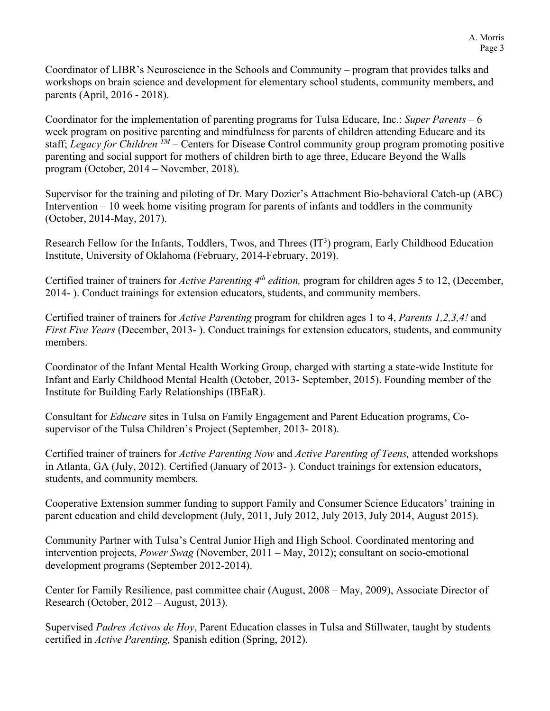Coordinator of LIBR's Neuroscience in the Schools and Community – program that provides talks and workshops on brain science and development for elementary school students, community members, and parents (April, 2016 - 2018).

Coordinator for the implementation of parenting programs for Tulsa Educare, Inc.: *Super Parents* – 6 week program on positive parenting and mindfulness for parents of children attending Educare and its staff; *Legacy for Children TM* – Centers for Disease Control community group program promoting positive parenting and social support for mothers of children birth to age three, Educare Beyond the Walls program (October, 2014 – November, 2018).

Supervisor for the training and piloting of Dr. Mary Dozier's Attachment Bio-behavioral Catch-up (ABC) Intervention – 10 week home visiting program for parents of infants and toddlers in the community (October, 2014-May, 2017).

Research Fellow for the Infants, Toddlers, Twos, and Threes  $(IT<sup>3</sup>)$  program, Early Childhood Education Institute, University of Oklahoma (February, 2014-February, 2019).

Certified trainer of trainers for *Active Parenting 4th edition,* program for children ages 5 to 12, (December, 2014- ). Conduct trainings for extension educators, students, and community members.

Certified trainer of trainers for *Active Parenting* program for children ages 1 to 4, *Parents 1,2,3,4!* and *First Five Years* (December, 2013- ). Conduct trainings for extension educators, students, and community members.

Coordinator of the Infant Mental Health Working Group, charged with starting a state-wide Institute for Infant and Early Childhood Mental Health (October, 2013- September, 2015). Founding member of the Institute for Building Early Relationships (IBEaR).

Consultant for *Educare* sites in Tulsa on Family Engagement and Parent Education programs, Cosupervisor of the Tulsa Children's Project (September, 2013- 2018).

Certified trainer of trainers for *Active Parenting Now* and *Active Parenting of Teens,* attended workshops in Atlanta, GA (July, 2012). Certified (January of 2013- ). Conduct trainings for extension educators, students, and community members.

Cooperative Extension summer funding to support Family and Consumer Science Educators' training in parent education and child development (July, 2011, July 2012, July 2013, July 2014, August 2015).

Community Partner with Tulsa's Central Junior High and High School. Coordinated mentoring and intervention projects, *Power Swag* (November, 2011 – May, 2012); consultant on socio-emotional development programs (September 2012-2014).

Center for Family Resilience, past committee chair (August, 2008 – May, 2009), Associate Director of Research (October, 2012 – August, 2013).

Supervised *Padres Activos de Hoy*, Parent Education classes in Tulsa and Stillwater, taught by students certified in *Active Parenting,* Spanish edition (Spring, 2012).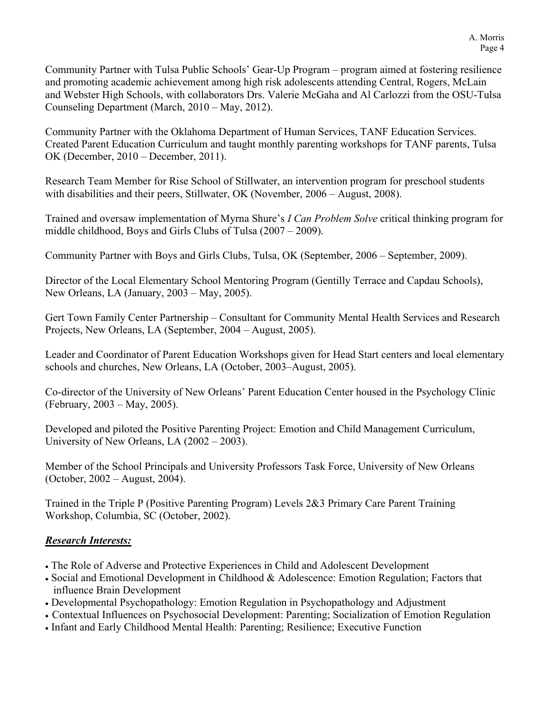Community Partner with Tulsa Public Schools' Gear-Up Program – program aimed at fostering resilience and promoting academic achievement among high risk adolescents attending Central, Rogers, McLain and Webster High Schools, with collaborators Drs. Valerie McGaha and Al Carlozzi from the OSU-Tulsa Counseling Department (March, 2010 – May, 2012).

Community Partner with the Oklahoma Department of Human Services, TANF Education Services. Created Parent Education Curriculum and taught monthly parenting workshops for TANF parents, Tulsa OK (December, 2010 – December, 2011).

Research Team Member for Rise School of Stillwater, an intervention program for preschool students with disabilities and their peers, Stillwater, OK (November, 2006 – August, 2008).

Trained and oversaw implementation of Myrna Shure's *I Can Problem Solve* critical thinking program for middle childhood, Boys and Girls Clubs of Tulsa (2007 – 2009).

Community Partner with Boys and Girls Clubs, Tulsa, OK (September, 2006 – September, 2009).

Director of the Local Elementary School Mentoring Program (Gentilly Terrace and Capdau Schools), New Orleans, LA (January, 2003 – May, 2005).

Gert Town Family Center Partnership – Consultant for Community Mental Health Services and Research Projects, New Orleans, LA (September, 2004 – August, 2005).

Leader and Coordinator of Parent Education Workshops given for Head Start centers and local elementary schools and churches, New Orleans, LA (October, 2003–August, 2005).

Co-director of the University of New Orleans' Parent Education Center housed in the Psychology Clinic (February, 2003 – May, 2005).

Developed and piloted the Positive Parenting Project: Emotion and Child Management Curriculum, University of New Orleans, LA (2002 – 2003).

Member of the School Principals and University Professors Task Force, University of New Orleans (October, 2002 – August, 2004).

Trained in the Triple P (Positive Parenting Program) Levels 2&3 Primary Care Parent Training Workshop, Columbia, SC (October, 2002).

## *Research Interests:*

- The Role of Adverse and Protective Experiences in Child and Adolescent Development
- Social and Emotional Development in Childhood & Adolescence: Emotion Regulation; Factors that influence Brain Development
- Developmental Psychopathology: Emotion Regulation in Psychopathology and Adjustment
- Contextual Influences on Psychosocial Development: Parenting; Socialization of Emotion Regulation
- Infant and Early Childhood Mental Health: Parenting; Resilience; Executive Function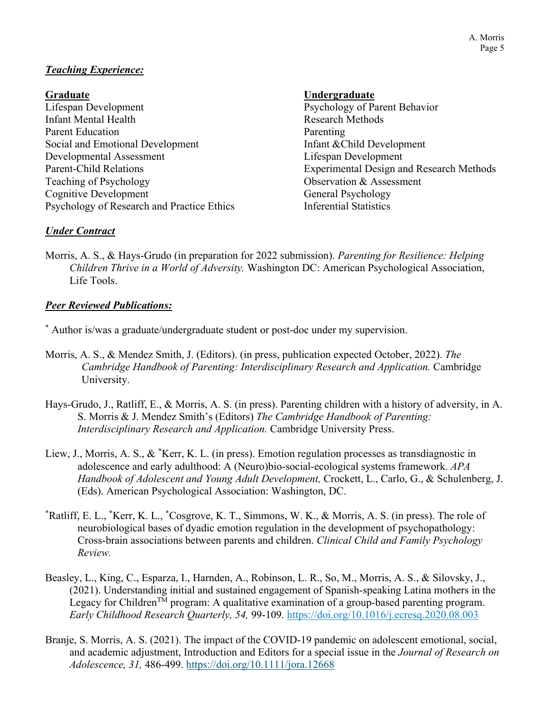## *Teaching Experience:*

Lifespan Development Psychology of Parent Behavior Infant Mental Health Research Methods Parent Education Parenting Social and Emotional Development Infant & Child Development Developmental Assessment Lifespan Development Teaching of Psychology **Observation & Assessment** Cognitive Development General Psychology Psychology of Research and Practice Ethics Inferential Statistics

## **Graduate Undergraduate**

Parent-Child Relations Experimental Design and Research Methods

## *Under Contract*

Morris, A. S., & Hays-Grudo (in preparation for 2022 submission). *Parenting for Resilience: Helping Children Thrive in a World of Adversity.* Washington DC: American Psychological Association, Life Tools.

## *Peer Reviewed Publications:*

\* Author is/was a graduate/undergraduate student or post-doc under my supervision.

- Morris, A. S., & Mendez Smith, J. (Editors). (in press, publication expected October, 2022). *The Cambridge Handbook of Parenting: Interdisciplinary Research and Application.* Cambridge University.
- Hays-Grudo, J., Ratliff, E., & Morris, A. S. (in press). Parenting children with a history of adversity, in A. S. Morris & J. Mendez Smith's (Editors) *The Cambridge Handbook of Parenting: Interdisciplinary Research and Application.* Cambridge University Press.
- Liew, J., Morris, A. S., & \*Kerr, K. L. (in press). Emotion regulation processes as transdiagnostic in adolescence and early adulthood: A (Neuro)bio-social-ecological systems framework. *APA Handbook of Adolescent and Young Adult Development,* Crockett, L., Carlo, G., & Schulenberg, J. (Eds). American Psychological Association: Washington, DC.
- \* Ratliff, E. L., \* Kerr, K. L., \* Cosgrove, K. T., Simmons, W. K., & Morris, A. S. (in press). The role of neurobiological bases of dyadic emotion regulation in the development of psychopathology: Cross-brain associations between parents and children. *Clinical Child and Family Psychology Review.*
- Beasley, L., King, C., Esparza, I., Harnden, A., Robinson, L. R., So, M., Morris, A. S., & Silovsky, J., (2021). Understanding initial and sustained engagement of Spanish-speaking Latina mothers in the Legacy for Children<sup>TM</sup> program: A qualitative examination of a group-based parenting program. *Early Childhood Research Quarterly, 54,* 99-109*.* <https://doi.org/10.1016/j.ecresq.2020.08.003>
- Branje, S. Morris, A. S. (2021). The impact of the COVID-19 pandemic on adolescent emotional, social, and academic adjustment, Introduction and Editors for a special issue in the *Journal of Research on Adolescence, 31,* 486-499. <https://doi.org/10.1111/jora.12668>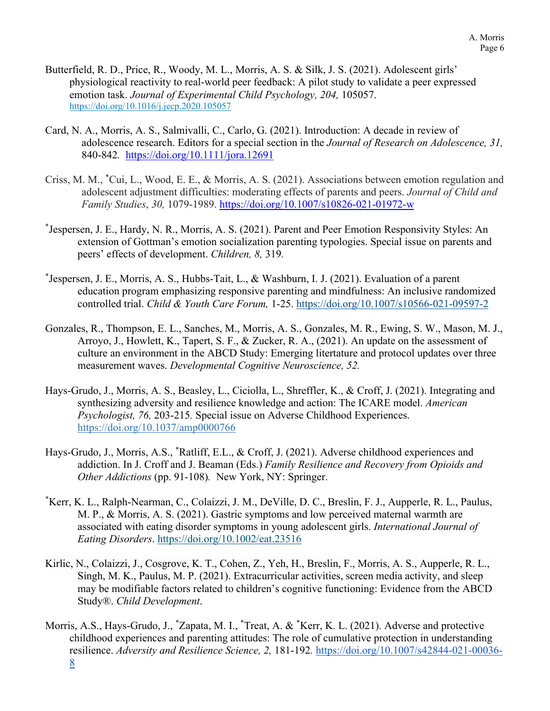- Butterfield, R. D., Price, R., Woody, M. L., Morris, A. S. & Silk, J. S. (2021). Adolescent girls' physiological reactivity to real-world peer feedback: A pilot study to validate a peer expressed emotion task. *Journal of Experimental Child Psychology, 204, 105057.* <https://doi.org/10.1016/j.jecp.2020.105057>
- Card, N. A., Morris, A. S., Salmivalli, C., Carlo, G. (2021). Introduction: A decade in review of adolescence research. Editors for a special section in the *Journal of Research on Adolescence, 31,*  840-842*.* <https://doi.org/10.1111/jora.12691>
- Criss, M. M., \* Cui, L., Wood, E. E., & Morris, A. S. (2021). Associations between emotion regulation and adolescent adjustment difficulties: moderating effects of parents and peers. *Journal of Child and Family Studies*, *30,* 1079-1989. <https://doi.org/10.1007/s10826-021-01972-w>
- \* Jespersen, J. E., Hardy, N. R., Morris, A. S. (2021). Parent and Peer Emotion Responsivity Styles: An extension of Gottman's emotion socialization parenting typologies. Special issue on parents and peers' effects of development. *Children, 8,* 319*.*
- \* Jespersen, J. E., Morris, A. S., Hubbs-Tait, L., & Washburn, I. J. (2021). Evaluation of a parent education program emphasizing responsive parenting and mindfulness: An inclusive randomized controlled trial. *Child & Youth Care Forum,* 1-25.<https://doi.org/10.1007/s10566-021-09597-2>
- Gonzales, R., Thompson, E. L., Sanches, M., Morris, A. S., Gonzales, M. R., Ewing, S. W., Mason, M. J., Arroyo, J., Howlett, K., Tapert, S. F., & Zucker, R. A., (2021). An update on the assessment of culture an environment in the ABCD Study: Emerging litertature and protocol updates over three measurement waves. *Developmental Cognitive Neuroscience, 52.*
- Hays-Grudo, J., Morris, A. S., Beasley, L., Ciciolla, L., Shreffler, K., & Croff, J. (2021). Integrating and synthesizing adversity and resilience knowledge and action: The ICARE model. *American Psychologist, 76,* 203-215*.* Special issue on Adverse Childhood Experiences. [https://doi.org/10.1037/amp0000766](https://doi.apa.org/doi/10.1037/amp0000766)
- Hays-Grudo, J., Morris, A.S., \* Ratliff, E.L., & Croff, J. (2021). Adverse childhood experiences and addiction. In J. Croff and J. Beaman (Eds.) *Family Resilience and Recovery from Opioids and Other Addictions* (pp. 91-108)*.* New York, NY: Springer.
- \* Kerr, K. L., Ralph-Nearman, C., Colaizzi, J. M., DeVille, D. C., Breslin, F. J., Aupperle, R. L., Paulus, M. P., & Morris, A. S. (2021). Gastric symptoms and low perceived maternal warmth are associated with eating disorder symptoms in young adolescent girls. *International Journal of Eating Disorders*.<https://doi.org/10.1002/eat.23516>
- Kirlic, N., Colaizzi, J., Cosgrove, K. T., Cohen, Z., Yeh, H., Breslin, F., Morris, A. S., Aupperle, R. L., Singh, M. K., Paulus, M. P. (2021). Extracurricular activities, screen media activity, and sleep may be modifiable factors related to children's cognitive functioning: Evidence from the ABCD Study®. *Child Development*.
- Morris, A.S., Hays-Grudo, J., \*Zapata, M. I., \*Treat, A. & \*Kerr, K. L. (2021). Adverse and protective childhood experiences and parenting attitudes: The role of cumulative protection in understanding resilience. *Adversity and Resilience Science, 2,* 181-192*.* [https://doi.org/10.1007/s42844-021-00036-](https://doi.org/10.1007/s42844-021-00036-8) [8](https://doi.org/10.1007/s42844-021-00036-8)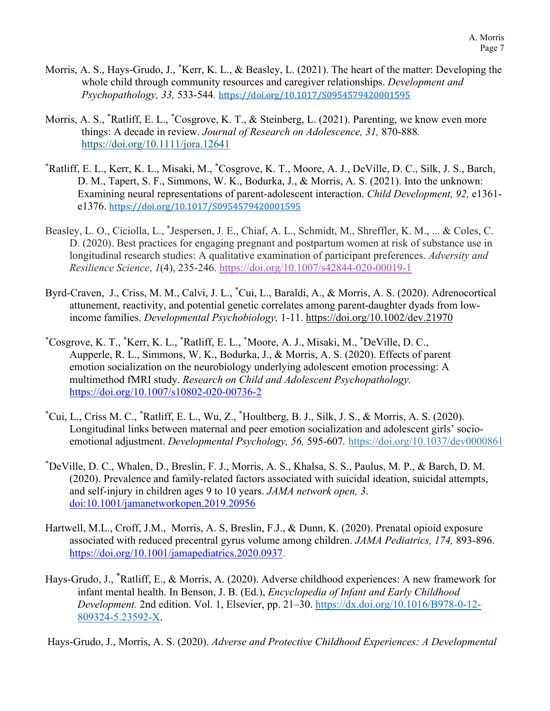- Morris, A. S., Hays-Grudo, J., \* Kerr, K. L., & Beasley, L. (2021). The heart of the matter: Developing the whole child through community resources and caregiver relationships. *Development and Psychopathology, 33,* 533-544*.* <https://doi.org/10.1017/S0954579420001595>
- Morris, A. S., \*Ratliff, E. L., \*Cosgrove, K. T., & Steinberg, L. (2021). Parenting, we know even more things: A decade in review. *Journal of Research on Adolescence, 31,* 870-888*.*  <https://doi.org/10.1111/jora.12641>
- \* Ratliff, E. L., Kerr, K. L., Misaki, M., \* Cosgrove, K. T., Moore, A. J., DeVille, D. C., Silk, J. S., Barch, D. M., Tapert, S. F., Simmons, W. K., Bodurka, J., & Morris, A. S. (2021). Into the unknown: Examining neural representations of parent-adolescent interaction. *Child Development, 92,* e1361 e1376. <https://doi.org/10.1017/S0954579420001595>
- Beasley, L. O., Ciciolla, L., \* Jespersen, J. E., Chiaf, A. L., Schmidt, M., Shreffler, K. M., ... & Coles, C. D. (2020). Best practices for engaging pregnant and postpartum women at risk of substance use in longitudinal research studies: A qualitative examination of participant preferences. *Adversity and Resilience Science*, *1*(4), 235-246.<https://doi.org/10.1007/s42844-020-00019-1>
- Byrd-Craven, J., Criss, M. M., Calvi, J. L., \* Cui, L., Baraldi, A., & Morris, A. S. (2020). Adrenocortical attunement, reactivity, and potential genetic correlates among parent-daughter dyads from lowincome families. *Developmental Psychobiology,* 1-11. <https://doi.org/10.1002/dev.21970>
- \* Cosgrove, K. T., \* Kerr, K. L., \* Ratliff, E. L., \* Moore, A. J., Misaki, M., \* DeVille, D. C., Aupperle, R. L., Simmons, W. K., Bodurka, J., & Morris, A. S. (2020). Effects of parent emotion socialization on the neurobiology underlying adolescent emotion processing: A multimethod fMRI study. *Research on Child and Adolescent Psychopathology.* <https://doi.org/10.1007/s10802-020-00736-2>
- \* Cui, L., Criss M. C., \* Ratliff, E. L., Wu, Z., \* Houltberg, B. J., Silk, J. S., & Morris, A. S. (2020). Longitudinal links between maternal and peer emotion socialization and adolescent girls' socioemotional adjustment. *Developmental Psychology, 56,* 595-607*.* [https://doi.org/10.1037/dev0000861](https://psycnet.apa.org/doi/10.1037/dev0000861)
- \* DeVille, D. C., Whalen, D., Breslin, F. J., Morris, A. S., Khalsa, S. S., Paulus, M. P., & Barch, D. M. (2020). Prevalence and family-related factors associated with suicidal ideation, suicidal attempts, and self-injury in children ages 9 to 10 years. *JAMA network open, 3*. [doi:10.1001/jamanetworkopen.2019.20956](https://doi:10.1001/jamanetworkopen.2019.20956)
- Hartwell, M.L., Croff, J.M., Morris, A. S, Breslin, F.J., & Dunn, K. (2020). Prenatal opioid exposure associated with reduced precentral gyrus volume among children. *JAMA Pediatrics, 174,* 893-896. [https://doi.org/10.1001/jamapediatrics.2020.0937.](https://doi.org/10.1001/jamapediatrics.2020.0937)
- Hays-Grudo, J., \* Ratliff, E., & Morris, A. (2020). Adverse childhood experiences: A new framework for infant mental health. In Benson, J. B. (Ed.), *Encyclopedia of Infant and Early Childhood Development.* 2nd edition. Vol. 1, Elsevier, pp. 21–30. [https://dx.doi.org/10.1016/B978-0-12-](https://nam04.safelinks.protection.outlook.com/?url=https%3A%2F%2Fdx.doi.org%2F10.1016%2FB978-0-12-809324-5.23592-X&data=04%7C01%7Camanda.morris%40okstate.edu%7C3c6ad18ea80844f6a09808d89d61725e%7C2a69c91de8494e34a230cdf8b27e1964%7C0%7C0%7C637432389145743247%7CUnknown%7CTWFpbGZsb3d8eyJWIjoiMC4wLjAwMDAiLCJQIjoiV2luMzIiLCJBTiI6Ik1haWwiLCJXVCI6Mn0%3D%7C1000&sdata=HbTjQRqjgA%2Fw%2Bxk%2BvUBh0UfZekh1NFmQGMbAEN0Ohok%3D&reserved=0) [809324-5.23592-X.](https://nam04.safelinks.protection.outlook.com/?url=https%3A%2F%2Fdx.doi.org%2F10.1016%2FB978-0-12-809324-5.23592-X&data=04%7C01%7Camanda.morris%40okstate.edu%7C3c6ad18ea80844f6a09808d89d61725e%7C2a69c91de8494e34a230cdf8b27e1964%7C0%7C0%7C637432389145743247%7CUnknown%7CTWFpbGZsb3d8eyJWIjoiMC4wLjAwMDAiLCJQIjoiV2luMzIiLCJBTiI6Ik1haWwiLCJXVCI6Mn0%3D%7C1000&sdata=HbTjQRqjgA%2Fw%2Bxk%2BvUBh0UfZekh1NFmQGMbAEN0Ohok%3D&reserved=0)

Hays-Grudo, J., Morris, A. S. (2020). *Adverse and Protective Childhood Experiences: A Developmental*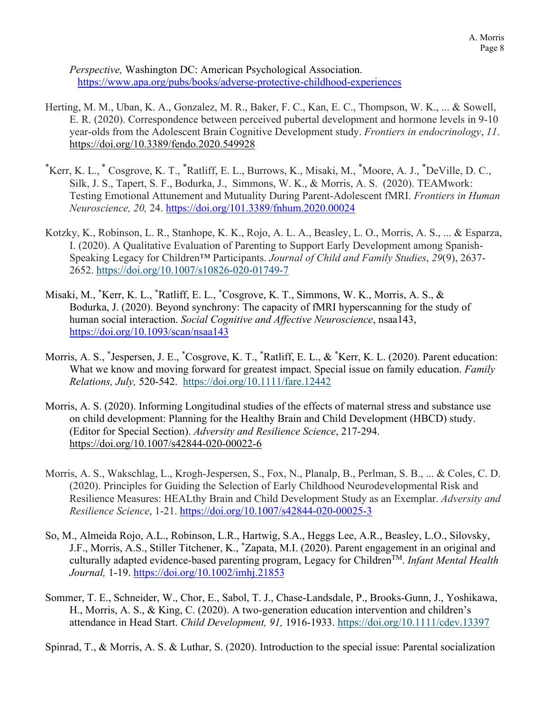*Perspective,* Washington DC: American Psychological Association. <https://www.apa.org/pubs/books/adverse-protective-childhood-experiences>

- Herting, M. M., Uban, K. A., Gonzalez, M. R., Baker, F. C., Kan, E. C., Thompson, W. K., ... & Sowell, E. R. (2020). Correspondence between perceived pubertal development and hormone levels in 9-10 year-olds from the Adolescent Brain Cognitive Development study. *Frontiers in endocrinology*, *11*. <https://doi.org/10.3389/fendo.2020.549928>
- \* Kerr, K. L., \* Cosgrove, K. T., \* Ratliff, E. L., Burrows, K., Misaki, M., \* Moore, A. J., \* DeVille, D. C., Silk, J. S., Tapert, S. F., Bodurka, J., Simmons, W. K., & Morris, A. S. (2020). TEAMwork: Testing Emotional Attunement and Mutuality During Parent-Adolescent fMRI. *Frontiers in Human Neuroscience, 20,* 24. <https://doi.org/101.3389/fnhum.2020.00024>
- Kotzky, K., Robinson, L. R., Stanhope, K. K., Rojo, A. L. A., Beasley, L. O., Morris, A. S., ... & Esparza, I. (2020). A Qualitative Evaluation of Parenting to Support Early Development among Spanish-Speaking Legacy for Children™ Participants. *Journal of Child and Family Studies*, *29*(9), 2637- 2652. https://doi.org/10.1007/s10826-020-01749-7
- Misaki, M., \* Kerr, K. L., \* Ratliff, E. L., \* Cosgrove, K. T., Simmons, W. K., Morris, A. S., & Bodurka, J. (2020). Beyond synchrony: The capacity of fMRI hyperscanning for the study of human social interaction. *Social Cognitive and Affective Neuroscience*, nsaa143, <https://doi.org/10.1093/scan/nsaa143>
- Morris, A. S., \* Jespersen, J. E., \* Cosgrove, K. T., \* Ratliff, E. L., & \* Kerr, K. L. (2020). Parent education: What we know and moving forward for greatest impact. Special issue on family education. *Family Relations, July,* 520-542. <https://doi.org/10.1111/fare.12442>
- Morris, A. S. (2020). Informing Longitudinal studies of the effects of maternal stress and substance use on child development: Planning for the Healthy Brain and Child Development (HBCD) study. (Editor for Special Section). *Adversity and Resilience Science*, 217-294. <https://doi.org/10.1007/s42844-020-00022-6>
- Morris, A. S., Wakschlag, L., Krogh-Jespersen, S., Fox, N., Planalp, B., Perlman, S. B., ... & Coles, C. D. (2020). Principles for Guiding the Selection of Early Childhood Neurodevelopmental Risk and Resilience Measures: HEALthy Brain and Child Development Study as an Exemplar. *Adversity and Resilience Science*, 1-21.<https://doi.org/10.1007/s42844-020-00025-3>
- So, M., Almeida Rojo, A.L., Robinson, L.R., Hartwig, S.A., Heggs Lee, A.R., Beasley, L.O., Silovsky, J.F., Morris, A.S., Stiller Titchener, K., \* Zapata, M.I. (2020). Parent engagement in an original and culturally adapted evidence-based parenting program, Legacy for ChildrenTM. *Infant Mental Health Journal,* 1-19. [https://doi.org/10.1002/imhj.21853](https://nam04.safelinks.protection.outlook.com/?url=https%3A%2F%2Fdoi.org%2F10.1002%2Fimhj.21853&data=02%7C01%7Camanda.morris%40okstate.edu%7C68389062f98f4b064b4908d7b88dab20%7C2a69c91de8494e34a230cdf8b27e1964%7C0%7C0%7C637180790908287679&sdata=sVaVeqpqu4LabPNdEANm%2Fa28c1U6T%2FFmBYCEEA2%2FCRk%3D&reserved=0)
- Sommer, T. E., Schneider, W., Chor, E., Sabol, T. J., Chase-Landsdale, P., Brooks-Gunn, J., Yoshikawa, H., Morris, A. S., & King, C. (2020). A two-generation education intervention and children's attendance in Head Start. *Child Development, 91,* 1916-1933. <https://doi.org/10.1111/cdev.13397>

Spinrad, T., & Morris, A. S. & Luthar, S. (2020). Introduction to the special issue: Parental socialization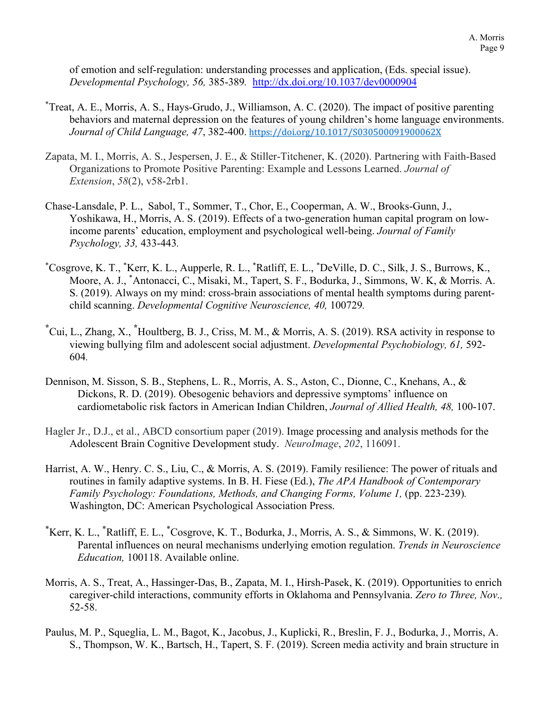of emotion and self-regulation: understanding processes and application, (Eds. special issue). *Developmental Psychology, 56,* 385-389*.* <http://dx.doi.org/10.1037/dev0000904>

- \* Treat, A. E., Morris, A. S., Hays-Grudo, J., Williamson, A. C. (2020). The impact of positive parenting behaviors and maternal depression on the features of young children's home language environments. *Journal of Child Language, 47*, 382-400. <https://doi.org/10.1017/S030500091900062X>
- Zapata, M. I., Morris, A. S., Jespersen, J. E., & Stiller-Titchener, K. (2020). Partnering with Faith-Based Organizations to Promote Positive Parenting: Example and Lessons Learned. *Journal of Extension*, *58*(2), v58-2rb1.
- Chase-Lansdale, P. L., Sabol, T., Sommer, T., Chor, E., Cooperman, A. W., Brooks-Gunn, J., Yoshikawa, H., Morris, A. S. (2019). Effects of a two-generation human capital program on lowincome parents' education, employment and psychological well-being. *Journal of Family Psychology, 33,* 433-443*.*
- \* Cosgrove, K. T., \* Kerr, K. L., Aupperle, R. L., \* Ratliff, E. L., \* DeVille, D. C., Silk, J. S., Burrows, K., Moore, A. J., \* Antonacci, C., Misaki, M., Tapert, S. F., Bodurka, J., Simmons, W. K, & Morris. A. S. (2019). Always on my mind: cross-brain associations of mental health symptoms during parentchild scanning. *Developmental Cognitive Neuroscience, 40,* 100729*.*
- **\*** Cui, L., Zhang, X., **\*** Houltberg, B. J., Criss, M. M., & Morris, A. S. (2019). RSA activity in response to viewing bullying film and adolescent social adjustment. *Developmental Psychobiology, 61,* 592- 604*.*
- Dennison, M. Sisson, S. B., Stephens, L. R., Morris, A. S., Aston, C., Dionne, C., Knehans, A., & Dickons, R. D. (2019). Obesogenic behaviors and depressive symptoms' influence on cardiometabolic risk factors in American Indian Children, *Journal of Allied Health, 48,* 100-107.
- Hagler Jr., D.J., et al., ABCD consortium paper (2019). Image processing and analysis methods for the Adolescent Brain Cognitive Development study. *NeuroImage*, *202*, 116091.
- Harrist, A. W., Henry. C. S., Liu, C., & Morris, A. S. (2019). Family resilience: The power of rituals and routines in family adaptive systems. In B. H. Fiese (Ed.), *The APA Handbook of Contemporary Family Psychology: Foundations, Methods, and Changing Forms, Volume 1, (pp. 223-239).* Washington, DC: American Psychological Association Press.
- \* Kerr, K. L., \* Ratliff, E. L., \* Cosgrove, K. T., Bodurka, J., Morris, A. S., & Simmons, W. K. (2019). Parental influences on neural mechanisms underlying emotion regulation. *Trends in Neuroscience Education,* 100118. Available online.
- Morris, A. S., Treat, A., Hassinger-Das, B., Zapata, M. I., Hirsh-Pasek, K. (2019). Opportunities to enrich caregiver-child interactions, community efforts in Oklahoma and Pennsylvania. *Zero to Three, Nov.,*  52-58.
- Paulus, M. P., Squeglia, L. M., Bagot, K., Jacobus, J., Kuplicki, R., Breslin, F. J., Bodurka, J., Morris, A. S., Thompson, W. K., Bartsch, H., Tapert, S. F. (2019). Screen media activity and brain structure in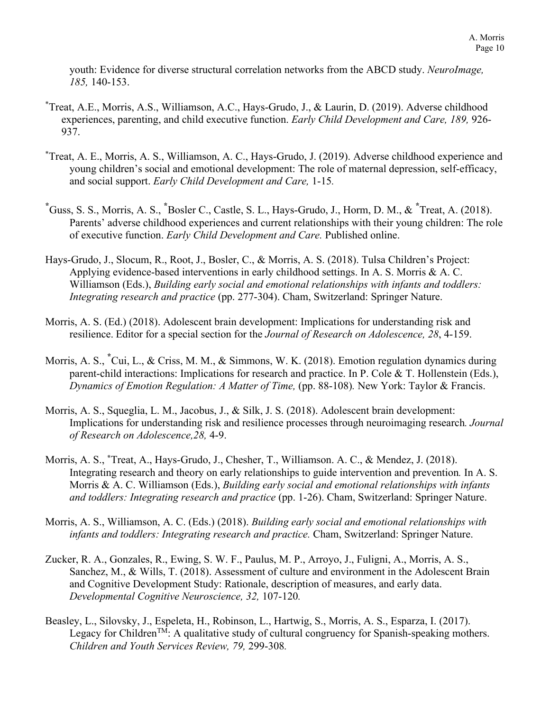youth: Evidence for diverse structural correlation networks from the ABCD study. *NeuroImage, 185,* 140-153.

- \* Treat, A.E., Morris, A.S., Williamson, A.C., Hays-Grudo, J., & Laurin, D. (2019). Adverse childhood experiences, parenting, and child executive function. *Early Child Development and Care, 189,* 926- 937.
- \* Treat, A. E., Morris, A. S., Williamson, A. C., Hays-Grudo, J. (2019). Adverse childhood experience and young children's social and emotional development: The role of maternal depression, self-efficacy, and social support. *Early Child Development and Care,* 1-15*.*
- **\*** Guss, S. S., Morris, A. S., **\*** Bosler C., Castle, S. L., Hays-Grudo, J., Horm, D. M., & **\*** Treat, A. (2018). Parents' adverse childhood experiences and current relationships with their young children: The role of executive function. *Early Child Development and Care.* Published online.
- Hays-Grudo, J., Slocum, R., Root, J., Bosler, C., & Morris, A. S. (2018). Tulsa Children's Project: Applying evidence-based interventions in early childhood settings. In A. S. Morris & A. C. Williamson (Eds.), *Building early social and emotional relationships with infants and toddlers: Integrating research and practice* (pp. 277-304). Cham, Switzerland: Springer Nature.
- Morris, A. S. (Ed.) (2018). Adolescent brain development: Implications for understanding risk and resilience. Editor for a special section for the *Journal of Research on Adolescence, 28*, 4-159.
- Morris, A. S., **\*** Cui, L., & Criss, M. M., & Simmons, W. K. (2018). Emotion regulation dynamics during parent-child interactions: Implications for research and practice. In P. Cole & T. Hollenstein (Eds.), *Dynamics of Emotion Regulation: A Matter of Time, (pp. 88-108). New York: Taylor & Francis.*
- Morris, A. S., Squeglia, L. M., Jacobus, J., & Silk, J. S. (2018). Adolescent brain development: Implications for understanding risk and resilience processes through neuroimaging research*. Journal of Research on Adolescence,28,* 4-9.
- Morris, A. S., **\***Treat, A., Hays-Grudo, J., Chesher, T., Williamson. A. C., & Mendez, J. (2018). Integrating research and theory on early relationships to guide intervention and prevention*.* In A. S. Morris & A. C. Williamson (Eds.), *Building early social and emotional relationships with infants and toddlers: Integrating research and practice* (pp. 1-26). Cham, Switzerland: Springer Nature.
- Morris, A. S., Williamson, A. C. (Eds.) (2018). *Building early social and emotional relationships with infants and toddlers: Integrating research and practice.* Cham, Switzerland: Springer Nature.
- Zucker, R. A., Gonzales, R., Ewing, S. W. F., Paulus, M. P., Arroyo, J., Fuligni, A., Morris, A. S., Sanchez, M., & Wills, T. (2018). Assessment of culture and environment in the Adolescent Brain and Cognitive Development Study: Rationale, description of measures, and early data. *Developmental Cognitive Neuroscience, 32,* 107-120*.*
- Beasley, L., Silovsky, J., Espeleta, H., Robinson, L., Hartwig, S., Morris, A. S., Esparza, I. (2017). Legacy for Children<sup>TM</sup>: A qualitative study of cultural congruency for Spanish-speaking mothers. *Children and Youth Services Review, 79,* 299-308*.*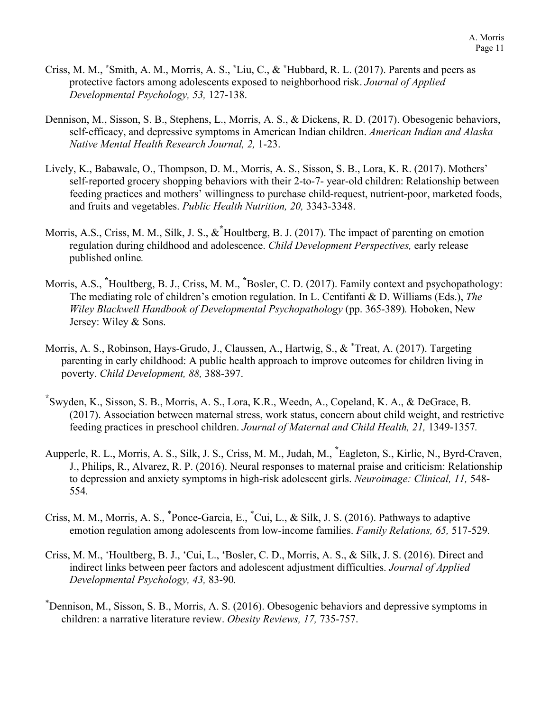- Criss, M. M., **\***Smith, A. M., Morris, A. S., **\***Liu, C., & **\***Hubbard, R. L. (2017). Parents and peers as protective factors among adolescents exposed to neighborhood risk. *Journal of Applied Developmental Psychology, 53,* 127-138.
- Dennison, M., Sisson, S. B., Stephens, L., Morris, A. S., & Dickens, R. D. (2017). Obesogenic behaviors, self-efficacy, and depressive symptoms in American Indian children. *American Indian and Alaska Native Mental Health Research Journal, 2,* 1-23.
- Lively, K., Babawale, O., Thompson, D. M., Morris, A. S., Sisson, S. B., Lora, K. R. (2017). Mothers' self-reported grocery shopping behaviors with their 2-to-7- year-old children: Relationship between feeding practices and mothers' willingness to purchase child-request, nutrient-poor, marketed foods, and fruits and vegetables. *Public Health Nutrition, 20,* 3343-3348.
- Morris, A.S., Criss, M. M., Silk, J. S., &**\*** Houltberg, B. J. (2017). The impact of parenting on emotion regulation during childhood and adolescence. *Child Development Perspectives,* early release published online*.*
- Morris, A.S., **\*** Houltberg, B. J., Criss, M. M., **\*** Bosler, C. D. (2017). Family context and psychopathology: The mediating role of children's emotion regulation. In L. Centifanti & D. Williams (Eds.), *The Wiley Blackwell Handbook of Developmental Psychopathology* (pp. 365-389)*.* Hoboken, New Jersey: Wiley & Sons.
- Morris, A. S., Robinson, Hays-Grudo, J., Claussen, A., Hartwig, S., & \* Treat, A. (2017). Targeting parenting in early childhood: A public health approach to improve outcomes for children living in poverty. *Child Development, 88,* 388-397.
- **\*** Swyden, K., Sisson, S. B., Morris, A. S., Lora, K.R., Weedn, A., Copeland, K. A., & DeGrace, B. (2017). Association between maternal stress, work status, concern about child weight, and restrictive feeding practices in preschool children. *Journal of Maternal and Child Health, 21,* 1349-1357*.*
- Aupperle, R. L., Morris, A. S., Silk, J. S., Criss, M. M., Judah, M., **\*** Eagleton, S., Kirlic, N., Byrd-Craven, J., Philips, R., Alvarez, R. P. (2016). Neural responses to maternal praise and criticism: Relationship to depression and anxiety symptoms in high-risk adolescent girls. *Neuroimage: Clinical, 11,* 548- 554*.*
- Criss, M. M., Morris, A. S., \* Ponce-Garcia, E., \* Cui, L., & Silk, J. S. (2016). Pathways to adaptive emotion regulation among adolescents from low-income families. *Family Relations, 65,* 517-529*.*
- Criss, M. M., \*Houltberg, B. J., \*Cui, L., \*Bosler, C. D., Morris, A. S., & Silk, J. S. (2016). Direct and indirect links between peer factors and adolescent adjustment difficulties. *Journal of Applied Developmental Psychology, 43,* 83-90*.*
- \* Dennison, M., Sisson, S. B., Morris, A. S. (2016). Obesogenic behaviors and depressive symptoms in children: a narrative literature review. *Obesity Reviews, 17,* 735-757.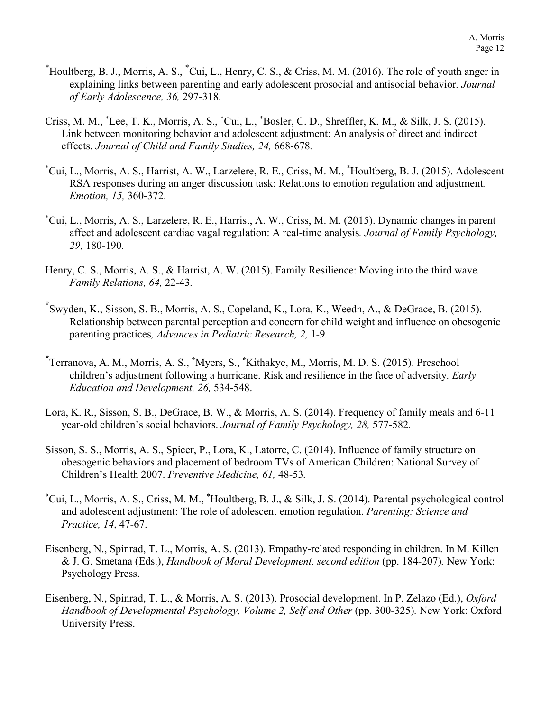- \* Houltberg, B. J., Morris, A. S., \* Cui, L., Henry, C. S., & Criss, M. M. (2016). The role of youth anger in explaining links between parenting and early adolescent prosocial and antisocial behavior*. Journal of Early Adolescence, 36,* 297-318.
- Criss, M. M., \* Lee, T. K., Morris, A. S., \* Cui, L., \* Bosler, C. D., Shreffler, K. M., & Silk, J. S. (2015). Link between monitoring behavior and adolescent adjustment: An analysis of direct and indirect effects. *Journal of Child and Family Studies, 24,* 668-678*.*
- \* Cui, L., Morris, A. S., Harrist, A. W., Larzelere, R. E., Criss, M. M., \* Houltberg, B. J. (2015). Adolescent RSA responses during an anger discussion task: Relations to emotion regulation and adjustment*. Emotion, 15,* 360-372.
- \* Cui, L., Morris, A. S., Larzelere, R. E., Harrist, A. W., Criss, M. M. (2015). Dynamic changes in parent affect and adolescent cardiac vagal regulation: A real-time analysis*. Journal of Family Psychology, 29,* 180-190*.*
- Henry, C. S., Morris, A. S., & Harrist, A. W. (2015). Family Resilience: Moving into the third wave*. Family Relations, 64,* 22-43*.*
- **\*** Swyden, K., Sisson, S. B., Morris, A. S., Copeland, K., Lora, K., Weedn, A., & DeGrace, B. (2015). Relationship between parental perception and concern for child weight and influence on obesogenic parenting practices*, Advances in Pediatric Research, 2,* 1-9*.*
- **\*** Terranova, A. M., Morris, A. S., **\*** Myers, S., **\*** Kithakye, M., Morris, M. D. S. (2015). Preschool children's adjustment following a hurricane. Risk and resilience in the face of adversity*. Early Education and Development, 26,* 534-548.
- Lora, K. R., Sisson, S. B., DeGrace, B. W., & Morris, A. S. (2014). Frequency of family meals and 6-11 year-old children's social behaviors. *Journal of Family Psychology, 28,* 577-582*.*
- Sisson, S. S., Morris, A. S., Spicer, P., Lora, K., Latorre, C. (2014). Influence of family structure on obesogenic behaviors and placement of bedroom TVs of American Children: National Survey of Children's Health 2007. *Preventive Medicine, 61,* 48-53*.*
- \* Cui, L., Morris, A. S., Criss, M. M., \* Houltberg, B. J., & Silk, J. S. (2014). Parental psychological control and adolescent adjustment: The role of adolescent emotion regulation. *Parenting: Science and Practice, 14*, 47-67.
- Eisenberg, N., Spinrad, T. L., Morris, A. S. (2013). Empathy-related responding in children. In M. Killen & J. G. Smetana (Eds.), *Handbook of Moral Development, second edition* (pp. 184-207)*.* New York: Psychology Press.
- Eisenberg, N., Spinrad, T. L., & Morris, A. S. (2013). Prosocial development. In P. Zelazo (Ed.), *Oxford Handbook of Developmental Psychology, Volume 2, Self and Other (pp. 300-325). New York: Oxford* University Press.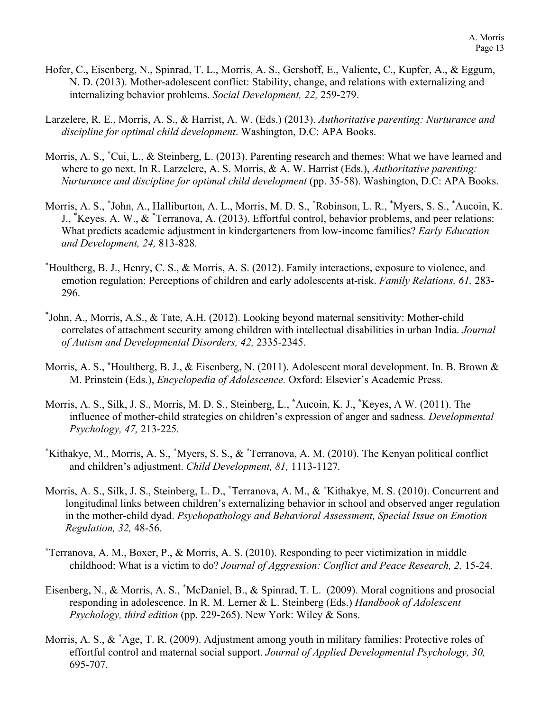- Hofer, C., Eisenberg, N., Spinrad, T. L., Morris, A. S., Gershoff, E., Valiente, C., Kupfer, A., & Eggum, N. D. (2013). Mother-adolescent conflict: Stability, change, and relations with externalizing and internalizing behavior problems. *Social Development, 22,* 259-279.
- Larzelere, R. E., Morris, A. S., & Harrist, A. W. (Eds.) (2013). *Authoritative parenting: Nurturance and discipline for optimal child development*. Washington, D.C: APA Books.
- Morris, A. S., <sup>\*</sup>Cui, L., & Steinberg, L. (2013). Parenting research and themes: What we have learned and where to go next. In R. Larzelere, A. S. Morris, & A. W. Harrist (Eds.), *Authoritative parenting: Nurturance and discipline for optimal child development* (pp. 35-58). Washington, D.C: APA Books.
- Morris, A. S., \* John, A., Halliburton, A. L., Morris, M. D. S., \* Robinson, L. R., \* Myers, S. S., \* Aucoin, K. J., \* Keyes, A. W., & \* Terranova, A. (2013). Effortful control, behavior problems, and peer relations: What predicts academic adjustment in kindergarteners from low-income families? *Early Education and Development, 24,* 813-828*.*
- \* Houltberg, B. J., Henry, C. S., & Morris, A. S. (2012). Family interactions, exposure to violence, and emotion regulation: Perceptions of children and early adolescents at-risk. *Family Relations, 61,* 283- 296.
- \* John, A., Morris, A.S., & Tate, A.H. (2012). Looking beyond maternal sensitivity: Mother-child correlates of attachment security among children with intellectual disabilities in urban India. *Journal of Autism and Developmental Disorders, 42,* 2335-2345.
- Morris, A. S., **\***Houltberg, B. J., & Eisenberg, N. (2011). Adolescent moral development. In. B. Brown & M. Prinstein (Eds.), *Encyclopedia of Adolescence.* Oxford: Elsevier's Academic Press.
- Morris, A. S., Silk, J. S., Morris, M. D. S., Steinberg, L., **\***Aucoin, K. J., **\*** Keyes, A W. (2011). The influence of mother-child strategies on children's expression of anger and sadness*. Developmental Psychology, 47,* 213-225*.*
- \* Kithakye, M., Morris, A. S., \* Myers, S. S., & \* Terranova, A. M. (2010). The Kenyan political conflict and children's adjustment. *Child Development, 81,* 1113-1127*.*
- Morris, A. S., Silk, J. S., Steinberg, L. D., **\***Terranova, A. M., & **\*** Kithakye, M. S. (2010). Concurrent and longitudinal links between children's externalizing behavior in school and observed anger regulation in the mother-child dyad. *Psychopathology and Behavioral Assessment, Special Issue on Emotion Regulation, 32,* 48-56.
- **\***Terranova, A. M., Boxer, P., & Morris, A. S. (2010). Responding to peer victimization in middle childhood: What is a victim to do? *Journal of Aggression: Conflict and Peace Research, 2, 15-24.*
- Eisenberg, N., & Morris, A. S., \* McDaniel, B., & Spinrad, T. L. (2009). Moral cognitions and prosocial responding in adolescence. In R. M. Lerner & L. Steinberg (Eds.) *Handbook of Adolescent Psychology, third edition* (pp. 229-265). New York: Wiley & Sons.
- Morris, A. S., & \*Age, T. R. (2009). Adjustment among youth in military families: Protective roles of effortful control and maternal social support. *Journal of Applied Developmental Psychology, 30,*  695-707.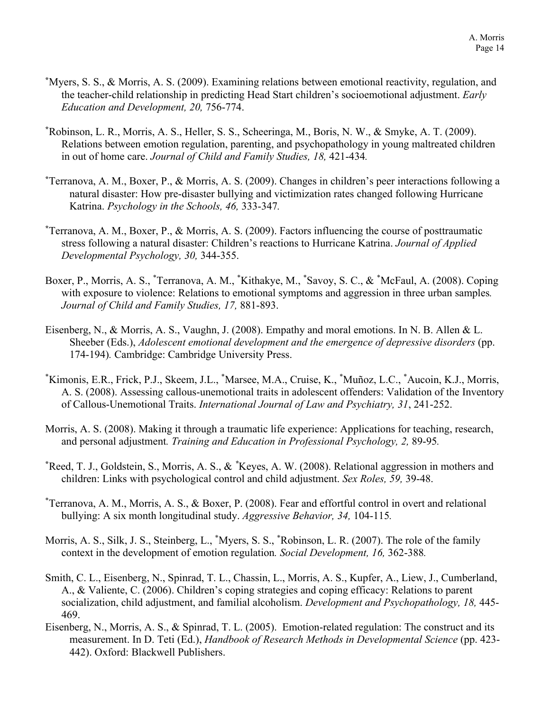- **\*** Myers, S. S., & Morris, A. S. (2009). Examining relations between emotional reactivity, regulation, and the teacher-child relationship in predicting Head Start children's socioemotional adjustment. *Early Education and Development, 20,* 756-774.
- **\*** Robinson, L. R., Morris, A. S., Heller, S. S., Scheeringa, M., Boris, N. W., & Smyke, A. T. (2009). Relations between emotion regulation, parenting, and psychopathology in young maltreated children in out of home care. *Journal of Child and Family Studies, 18,* 421-434*.*
- **\*** Terranova, A. M., Boxer, P., & Morris, A. S. (2009). Changes in children's peer interactions following a natural disaster: How pre-disaster bullying and victimization rates changed following Hurricane Katrina. *Psychology in the Schools, 46,* 333-347*.*
- **\*** Terranova, A. M., Boxer, P., & Morris, A. S. (2009). Factors influencing the course of posttraumatic stress following a natural disaster: Children's reactions to Hurricane Katrina. *Journal of Applied Developmental Psychology, 30,* 344-355.
- Boxer, P., Morris, A. S., \*Terranova, A. M., \*Kithakye, M., \*Savoy, S. C., & \*McFaul, A. (2008). Coping with exposure to violence: Relations to emotional symptoms and aggression in three urban samples*. Journal of Child and Family Studies, 17,* 881-893.
- Eisenberg, N., & Morris, A. S., Vaughn, J. (2008). Empathy and moral emotions. In N. B. Allen & L. Sheeber (Eds.), *Adolescent emotional development and the emergence of depressive disorders* (pp. 174-194)*.* Cambridge: Cambridge University Press.
- \* Kimonis, E.R., Frick, P.J., Skeem, J.L., \* Marsee, M.A., Cruise, K., \* Muñoz, L.C., \* Aucoin, K.J., Morris, A. S. (2008). Assessing callous-unemotional traits in adolescent offenders: Validation of the Inventory of Callous-Unemotional Traits. *International Journal of Law and Psychiatry, 31*, 241-252.
- Morris, A. S. (2008). Making it through a traumatic life experience: Applications for teaching, research, and personal adjustment*. Training and Education in Professional Psychology, 2,* 89-95*.*
- **\*** Reed, T. J., Goldstein, S., Morris, A. S., & *\** Keyes, A. W. (2008). Relational aggression in mothers and children: Links with psychological control and child adjustment. *Sex Roles, 59,* 39-48.
- \* Terranova, A. M., Morris, A. S., & Boxer, P. (2008). Fear and effortful control in overt and relational bullying: A six month longitudinal study. *Aggressive Behavior, 34,* 104-115*.*
- Morris, A. S., Silk, J. S., Steinberg, L., \* Myers, S. S., \* Robinson, L. R. (2007). The role of the family context in the development of emotion regulation*. Social Development, 16,* 362-388*.*
- Smith, C. L., Eisenberg, N., Spinrad, T. L., Chassin, L., Morris, A. S., Kupfer, A., Liew, J., Cumberland, A., & Valiente, C. (2006). Children's coping strategies and coping efficacy: Relations to parent socialization, child adjustment, and familial alcoholism. *Development and Psychopathology, 18,* 445- 469.
- Eisenberg, N., Morris, A. S., & Spinrad, T. L. (2005). Emotion-related regulation: The construct and its measurement. In D. Teti (Ed.), *Handbook of Research Methods in Developmental Science* (pp. 423- 442). Oxford: Blackwell Publishers.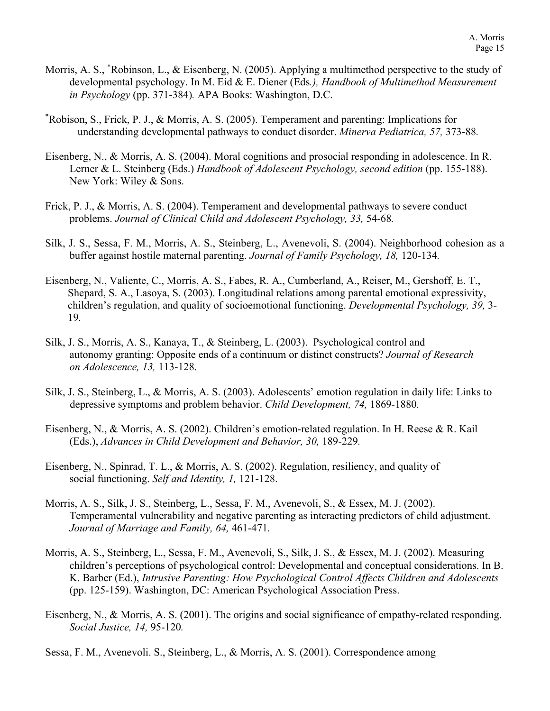- Morris, A. S., \*Robinson, L., & Eisenberg, N. (2005). Applying a multimethod perspective to the study of developmental psychology. In M. Eid & E. Diener (Eds*.), Handbook of Multimethod Measurement in Psychology* (pp. 371-384)*.* APA Books: Washington, D.C.
- \* Robison, S., Frick, P. J., & Morris, A. S. (2005). Temperament and parenting: Implications for understanding developmental pathways to conduct disorder. *Minerva Pediatrica, 57,* 373-88*.*
- Eisenberg, N., & Morris, A. S. (2004). Moral cognitions and prosocial responding in adolescence. In R. Lerner & L. Steinberg (Eds.) *Handbook of Adolescent Psychology, second edition* (pp. 155-188). New York: Wiley & Sons.
- Frick, P. J., & Morris, A. S. (2004). Temperament and developmental pathways to severe conduct problems. *Journal of Clinical Child and Adolescent Psychology, 33,* 54-68*.*
- Silk, J. S., Sessa, F. M., Morris, A. S., Steinberg, L., Avenevoli, S. (2004). Neighborhood cohesion as a buffer against hostile maternal parenting. *Journal of Family Psychology, 18,* 120-134*.*
- Eisenberg, N., Valiente, C., Morris, A. S., Fabes, R. A., Cumberland, A., Reiser, M., Gershoff, E. T., Shepard, S. A., Lasoya, S. (2003). Longitudinal relations among parental emotional expressivity, children's regulation, and quality of socioemotional functioning. *Developmental Psychology, 39,* 3- 19*.*
- Silk, J. S., Morris, A. S., Kanaya, T., & Steinberg, L. (2003). Psychological control and autonomy granting: Opposite ends of a continuum or distinct constructs? *Journal of Research on Adolescence, 13,* 113-128.
- Silk, J. S., Steinberg, L., & Morris, A. S. (2003). Adolescents' emotion regulation in daily life: Links to depressive symptoms and problem behavior. *Child Development, 74,* 1869-1880*.*
- Eisenberg, N., & Morris, A. S. (2002). Children's emotion-related regulation. In H. Reese & R. Kail (Eds.), *Advances in Child Development and Behavior, 30,* 189-229*.*
- Eisenberg, N., Spinrad, T. L., & Morris, A. S. (2002). Regulation, resiliency, and quality of social functioning. *Self and Identity, 1,* 121-128.
- Morris, A. S., Silk, J. S., Steinberg, L., Sessa, F. M., Avenevoli, S., & Essex, M. J. (2002). Temperamental vulnerability and negative parenting as interacting predictors of child adjustment. *Journal of Marriage and Family, 64,* 461-471*.*
- Morris, A. S., Steinberg, L., Sessa, F. M., Avenevoli, S., Silk, J. S., & Essex, M. J. (2002). Measuring children's perceptions of psychological control: Developmental and conceptual considerations. In B. K. Barber (Ed.), *Intrusive Parenting: How Psychological Control Affects Children and Adolescents*  (pp. 125-159). Washington, DC: American Psychological Association Press.
- Eisenberg, N., & Morris, A. S. (2001). The origins and social significance of empathy-related responding. *Social Justice, 14,* 95-120*.*
- Sessa, F. M., Avenevoli. S., Steinberg, L., & Morris, A. S. (2001). Correspondence among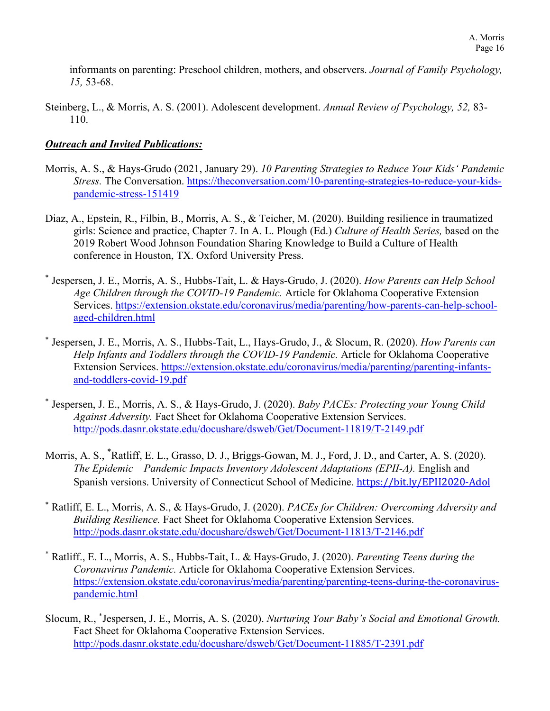informants on parenting: Preschool children, mothers, and observers. *Journal of Family Psychology, 15,* 53-68.

Steinberg, L., & Morris, A. S. (2001). Adolescent development. *Annual Review of Psychology, 52,* 83- 110.

## *Outreach and Invited Publications:*

- Morris, A. S., & Hays-Grudo (2021, January 29). *10 Parenting Strategies to Reduce Your Kids' Pandemic Stress.* The Conversation. [https://theconversation.com/10-parenting-strategies-to-reduce-your-kids](https://theconversation.com/10-parenting-strategies-to-reduce-your-kids-pandemic-stress-151419)[pandemic-stress-151419](https://theconversation.com/10-parenting-strategies-to-reduce-your-kids-pandemic-stress-151419)
- Diaz, A., Epstein, R., Filbin, B., Morris, A. S., & Teicher, M. (2020). Building resilience in traumatized girls: Science and practice, Chapter 7. In A. L. Plough (Ed.) *Culture of Health Series,* based on the 2019 Robert Wood Johnson Foundation Sharing Knowledge to Build a Culture of Health conference in Houston, TX. Oxford University Press.
- \* Jespersen, J. E., Morris, A. S., Hubbs-Tait, L. & Hays-Grudo, J. (2020). *How Parents can Help School Age Children through the COVID-19 Pandemic.* Article for Oklahoma Cooperative Extension Services. [https://extension.okstate.edu/coronavirus/media/parenting/how-parents-can-help-school](https://extension.okstate.edu/coronavirus/media/parenting/how-parents-can-help-school-aged-children.html)[aged-children.html](https://extension.okstate.edu/coronavirus/media/parenting/how-parents-can-help-school-aged-children.html)
- \* Jespersen, J. E., Morris, A. S., Hubbs-Tait, L., Hays-Grudo, J., & Slocum, R. (2020). *How Parents can Help Infants and Toddlers through the COVID-19 Pandemic.* Article for Oklahoma Cooperative Extension Services. [https://extension.okstate.edu/coronavirus/media/parenting/parenting-infants](https://extension.okstate.edu/coronavirus/media/parenting/parenting-infants-and-toddlers-covid-19.pdf)[and-toddlers-covid-19.pdf](https://extension.okstate.edu/coronavirus/media/parenting/parenting-infants-and-toddlers-covid-19.pdf)
- \* Jespersen, J. E., Morris, A. S., & Hays-Grudo, J. (2020). *Baby PACEs: Protecting your Young Child Against Adversity.* Fact Sheet for Oklahoma Cooperative Extension Services. <http://pods.dasnr.okstate.edu/docushare/dsweb/Get/Document-11819/T-2149.pdf>
- Morris, A. S., \* Ratliff, E. L., Grasso, D. J., Briggs-Gowan, M. J., Ford, J. D., and Carter, A. S. (2020). *The Epidemic – Pandemic Impacts Inventory Adolescent Adaptations (EPII-A).* English and Spanish versions. University of Connecticut School of Medicine. [https://bit.ly/EPII2020-Adol](https://nam04.safelinks.protection.outlook.com/?url=https%3A%2F%2Fbit.ly%2FEPII2020-Adol&data=02%7C01%7Camanda.morris%40okstate.edu%7C6a92196252c74c98dfc308d7ea29db19%7C2a69c91de8494e34a230cdf8b27e1964%7C0%7C1%7C637235338674892140&sdata=NHb91yL8b2iRTSWL8A1rnRD349oXO8E9zuhxz9ClM7I%3D&reserved=0)
- \* Ratliff, E. L., Morris, A. S., & Hays-Grudo, J. (2020). *PACEs for Children: Overcoming Adversity and Building Resilience.* Fact Sheet for Oklahoma Cooperative Extension Services. <http://pods.dasnr.okstate.edu/docushare/dsweb/Get/Document-11813/T-2146.pdf>
- \* Ratliff., E. L., Morris, A. S., Hubbs-Tait, L. & Hays-Grudo, J. (2020). *Parenting Teens during the Coronavirus Pandemic.* Article for Oklahoma Cooperative Extension Services. [https://extension.okstate.edu/coronavirus/media/parenting/parenting-teens-during-the-coronavirus](https://extension.okstate.edu/coronavirus/media/parenting/parenting-teens-during-the-coronavirus-pandemic.html)[pandemic.html](https://extension.okstate.edu/coronavirus/media/parenting/parenting-teens-during-the-coronavirus-pandemic.html)
- Slocum, R., \* Jespersen, J. E., Morris, A. S. (2020). *Nurturing Your Baby's Social and Emotional Growth.*  Fact Sheet for Oklahoma Cooperative Extension Services. <http://pods.dasnr.okstate.edu/docushare/dsweb/Get/Document-11885/T-2391.pdf>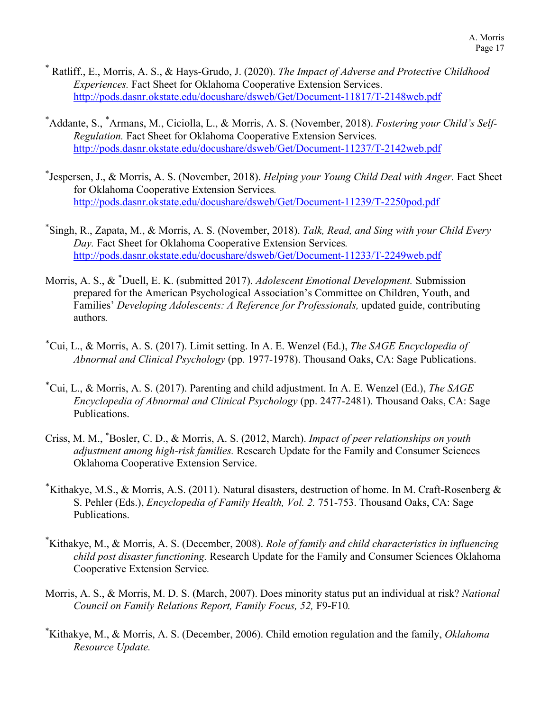- \* Ratliff., E., Morris, A. S., & Hays-Grudo, J. (2020). *The Impact of Adverse and Protective Childhood Experiences.* Fact Sheet for Oklahoma Cooperative Extension Services. <http://pods.dasnr.okstate.edu/docushare/dsweb/Get/Document-11817/T-2148web.pdf>
- \* Addante, S., \* Armans, M., Ciciolla, L., & Morris, A. S. (November, 2018). *Fostering your Child's Self-Regulation.* Fact Sheet for Oklahoma Cooperative Extension Services*.* <http://pods.dasnr.okstate.edu/docushare/dsweb/Get/Document-11237/T-2142web.pdf>
- \* Jespersen, J., & Morris, A. S. (November, 2018). *Helping your Young Child Deal with Anger.* Fact Sheet for Oklahoma Cooperative Extension Services*.* <http://pods.dasnr.okstate.edu/docushare/dsweb/Get/Document-11239/T-2250pod.pdf>
- \* Singh, R., Zapata, M., & Morris, A. S. (November, 2018). *Talk, Read, and Sing with your Child Every Day.* Fact Sheet for Oklahoma Cooperative Extension Services*.* <http://pods.dasnr.okstate.edu/docushare/dsweb/Get/Document-11233/T-2249web.pdf>
- Morris, A. S., & \* Duell, E. K. (submitted 2017). *Adolescent Emotional Development.* Submission prepared for the American Psychological Association's Committee on Children, Youth, and Families' *Developing Adolescents: A Reference for Professionals,* updated guide, contributing authors*.*
- \*Cui, L., & Morris, A. S. (2017). Limit setting. In A. E. Wenzel (Ed.), *The SAGE Encyclopedia of Abnormal and Clinical Psychology* (pp. 1977-1978). Thousand Oaks, CA: Sage Publications.
- \*Cui, L., & Morris, A. S. (2017). Parenting and child adjustment. In A. E. Wenzel (Ed.), *The SAGE Encyclopedia of Abnormal and Clinical Psychology* (pp. 2477-2481). Thousand Oaks, CA: Sage Publications.
- Criss, M. M., \* Bosler, C. D., & Morris, A. S. (2012, March). *Impact of peer relationships on youth adjustment among high-risk families.* Research Update for the Family and Consumer Sciences Oklahoma Cooperative Extension Service.
- \*Kithakye, M.S., & Morris, A.S. (2011). Natural disasters, destruction of home. In M. Craft-Rosenberg  $\&$ S. Pehler (Eds.), *Encyclopedia of Family Health, Vol. 2.* 751-753. Thousand Oaks, CA: Sage Publications.
- \* Kithakye, M., & Morris, A. S. (December, 2008). *Role of family and child characteristics in influencing child post disaster functioning.* Research Update for the Family and Consumer Sciences Oklahoma Cooperative Extension Service*.*
- Morris, A. S., & Morris, M. D. S. (March, 2007). Does minority status put an individual at risk? *National Council on Family Relations Report, Family Focus, 52,* F9-F10*.*
- \* Kithakye, M., & Morris, A. S. (December, 2006). Child emotion regulation and the family, *Oklahoma Resource Update.*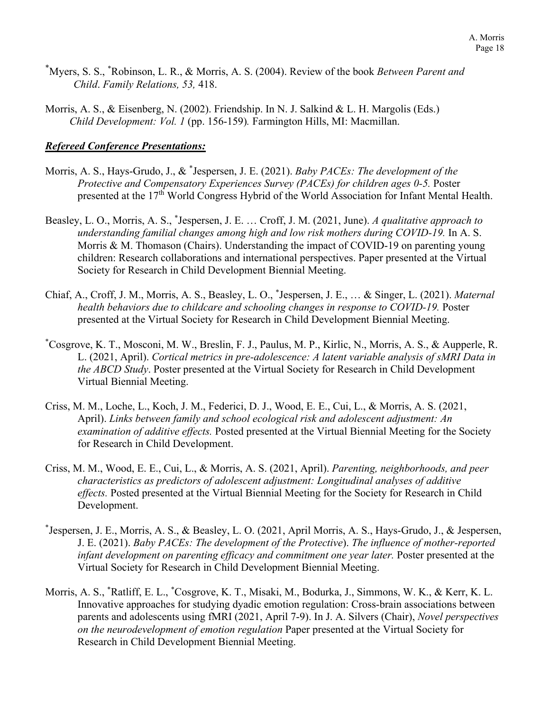- \* Myers, S. S., \* Robinson, L. R., & Morris, A. S. (2004). Review of the book *Between Parent and Child*. *Family Relations, 53,* 418.
- Morris, A. S., & Eisenberg, N. (2002). Friendship. In N. J. Salkind & L. H. Margolis (Eds.) *Child Development: Vol. 1* (pp. 156-159)*.* Farmington Hills, MI: Macmillan.

#### *Refereed Conference Presentations:*

- Morris, A. S., Hays-Grudo, J., & \* Jespersen, J. E. (2021). *Baby PACEs: The development of the Protective and Compensatory Experiences Survey (PACEs) for children ages 0-5.* Poster presented at the 17<sup>th</sup> World Congress Hybrid of the World Association for Infant Mental Health.
- Beasley, L. O., Morris, A. S., \* Jespersen, J. E. … Croff, J. M. (2021, June). *A qualitative approach to understanding familial changes among high and low risk mothers during COVID-19.* In A. S. Morris & M. Thomason (Chairs). Understanding the impact of COVID-19 on parenting young children: Research collaborations and international perspectives. Paper presented at the Virtual Society for Research in Child Development Biennial Meeting.
- Chiaf, A., Croff, J. M., Morris, A. S., Beasley, L. O., \* Jespersen, J. E., … & Singer, L. (2021). *Maternal health behaviors due to childcare and schooling changes in response to COVID-19.* Poster presented at the Virtual Society for Research in Child Development Biennial Meeting.
- \* Cosgrove, K. T., Mosconi, M. W., Breslin, F. J., Paulus, M. P., Kirlic, N., Morris, A. S., & Aupperle, R. L. (2021, April). *Cortical metrics in pre-adolescence: A latent variable analysis of sMRI Data in the ABCD Study*. Poster presented at the Virtual Society for Research in Child Development Virtual Biennial Meeting.
- Criss, M. M., Loche, L., Koch, J. M., Federici, D. J., Wood, E. E., Cui, L., & Morris, A. S. (2021, April). *Links between family and school ecological risk and adolescent adjustment: An examination of additive effects.* Posted presented at the Virtual Biennial Meeting for the Society for Research in Child Development.
- Criss, M. M., Wood, E. E., Cui, L., & Morris, A. S. (2021, April). *Parenting, neighborhoods, and peer characteristics as predictors of adolescent adjustment: Longitudinal analyses of additive effects.* Posted presented at the Virtual Biennial Meeting for the Society for Research in Child Development.
- \* Jespersen, J. E., Morris, A. S., & Beasley, L. O. (2021, April Morris, A. S., Hays-Grudo, J., & Jespersen, J. E. (2021). *Baby PACEs: The development of the Protective*). *The influence of mother-reported infant development on parenting efficacy and commitment one year later.* Poster presented at the Virtual Society for Research in Child Development Biennial Meeting.
- Morris, A. S., \* Ratliff, E. L., \* Cosgrove, K. T., Misaki, M., Bodurka, J., Simmons, W. K., & Kerr, K. L. Innovative approaches for studying dyadic emotion regulation: Cross-brain associations between parents and adolescents using fMRI (2021, April 7-9). In J. A. Silvers (Chair), *Novel perspectives on the neurodevelopment of emotion regulation* Paper presented at the Virtual Society for Research in Child Development Biennial Meeting.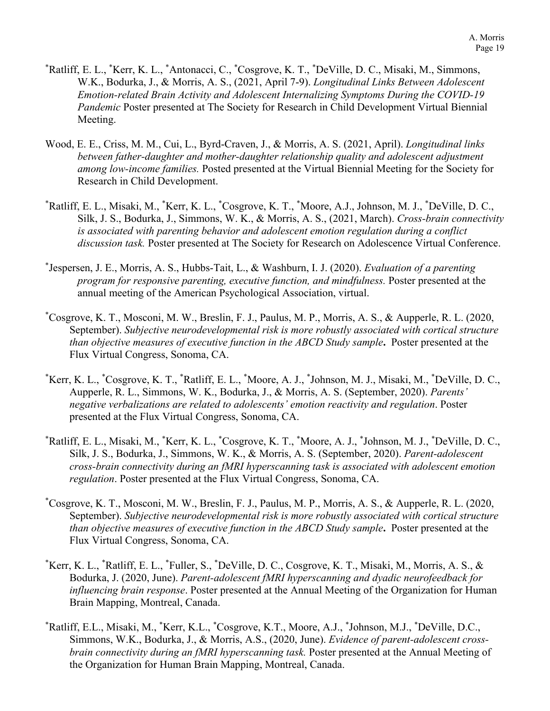- \* Ratliff, E. L., \* Kerr, K. L., \* Antonacci, C., \* Cosgrove, K. T., \* DeVille, D. C., Misaki, M., Simmons, W.K., Bodurka, J., & Morris, A. S., (2021, April 7-9). *Longitudinal Links Between Adolescent Emotion-related Brain Activity and Adolescent Internalizing Symptoms During the COVID-19 Pandemic* Poster presented at The Society for Research in Child Development Virtual Biennial Meeting.
- Wood, E. E., Criss, M. M., Cui, L., Byrd-Craven, J., & Morris, A. S. (2021, April). *Longitudinal links between father-daughter and mother-daughter relationship quality and adolescent adjustment among low-income families.* Posted presented at the Virtual Biennial Meeting for the Society for Research in Child Development.
- \* Ratliff, E. L., Misaki, M., \* Kerr, K. L., \* Cosgrove, K. T., \* Moore, A.J., Johnson, M. J., \* DeVille, D. C., Silk, J. S., Bodurka, J., Simmons, W. K., & Morris, A. S., (2021, March). *Cross-brain connectivity is associated with parenting behavior and adolescent emotion regulation during a conflict discussion task.* Poster presented at The Society for Research on Adolescence Virtual Conference.
- \* Jespersen, J. E., Morris, A. S., Hubbs-Tait, L., & Washburn, I. J. (2020). *Evaluation of a parenting program for responsive parenting, executive function, and mindfulness.* Poster presented at the annual meeting of the American Psychological Association, virtual.
- \* Cosgrove, K. T., Mosconi, M. W., Breslin, F. J., Paulus, M. P., Morris, A. S., & Aupperle, R. L. (2020, September). *Subjective neurodevelopmental risk is more robustly associated with cortical structure than objective measures of executive function in the ABCD Study sample***.** Poster presented at the Flux Virtual Congress, Sonoma, CA.
- \* Kerr, K. L., \* Cosgrove, K. T., \* Ratliff, E. L., \* Moore, A. J., \* Johnson, M. J., Misaki, M., \* DeVille, D. C., Aupperle, R. L., Simmons, W. K., Bodurka, J., & Morris, A. S. (September, 2020). *Parents' negative verbalizations are related to adolescents' emotion reactivity and regulation*. Poster presented at the Flux Virtual Congress, Sonoma, CA.
- \* Ratliff, E. L., Misaki, M., \* Kerr, K. L., \* Cosgrove, K. T., \* Moore, A. J., \* Johnson, M. J., \* DeVille, D. C., Silk, J. S., Bodurka, J., Simmons, W. K., & Morris, A. S. (September, 2020). *Parent-adolescent cross-brain connectivity during an fMRI hyperscanning task is associated with adolescent emotion regulation*. Poster presented at the Flux Virtual Congress, Sonoma, CA.
- \* Cosgrove, K. T., Mosconi, M. W., Breslin, F. J., Paulus, M. P., Morris, A. S., & Aupperle, R. L. (2020, September). *Subjective neurodevelopmental risk is more robustly associated with cortical structure than objective measures of executive function in the ABCD Study sample***.** Poster presented at the Flux Virtual Congress, Sonoma, CA.
- \* Kerr, K. L., \* Ratliff, E. L., \* Fuller, S., \* DeVille, D. C., Cosgrove, K. T., Misaki, M., Morris, A. S., & Bodurka, J. (2020, June). *Parent-adolescent fMRI hyperscanning and dyadic neurofeedback for influencing brain response*. Poster presented at the Annual Meeting of the Organization for Human Brain Mapping, Montreal, Canada.
- \* Ratliff, E.L., Misaki, M., \* Kerr, K.L., \* Cosgrove, K.T., Moore, A.J., \* Johnson, M.J., \* DeVille, D.C., Simmons, W.K., Bodurka, J., & Morris, A.S., (2020, June). *Evidence of parent-adolescent crossbrain connectivity during an fMRI hyperscanning task.* Poster presented at the Annual Meeting of the Organization for Human Brain Mapping, Montreal, Canada.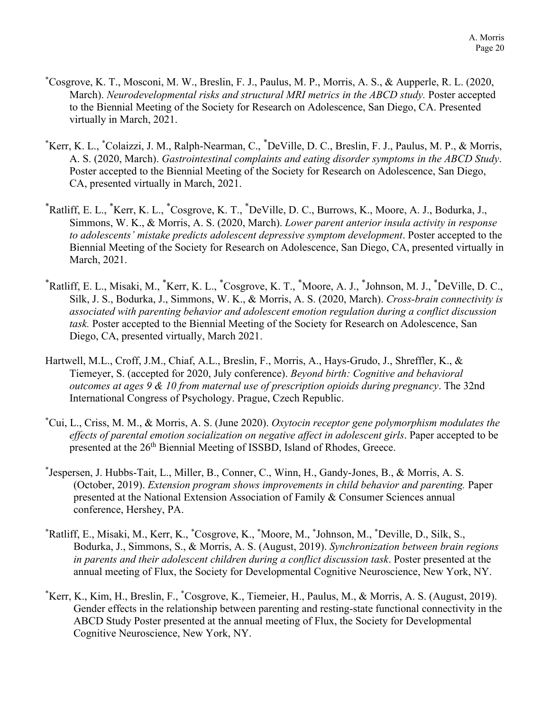- \* Cosgrove, K. T., Mosconi, M. W., Breslin, F. J., Paulus, M. P., Morris, A. S., & Aupperle, R. L. (2020, March). *Neurodevelopmental risks and structural MRI metrics in the ABCD study.* Poster accepted to the Biennial Meeting of the Society for Research on Adolescence, San Diego, CA. Presented virtually in March, 2021.
- \* Kerr, K. L., \* Colaizzi, J. M., Ralph-Nearman, C., \* DeVille, D. C., Breslin, F. J., Paulus, M. P., & Morris, A. S. (2020, March). *Gastrointestinal complaints and eating disorder symptoms in the ABCD Study*. Poster accepted to the Biennial Meeting of the Society for Research on Adolescence, San Diego, CA, presented virtually in March, 2021.
- \* Ratliff, E. L., \* Kerr, K. L., \* Cosgrove, K. T., \* DeVille, D. C., Burrows, K., Moore, A. J., Bodurka, J., Simmons, W. K., & Morris, A. S. (2020, March). *Lower parent anterior insula activity in response to adolescents' mistake predicts adolescent depressive symptom development*. Poster accepted to the Biennial Meeting of the Society for Research on Adolescence, San Diego, CA, presented virtually in March, 2021.
- \* Ratliff, E. L., Misaki, M., \* Kerr, K. L., \* Cosgrove, K. T., \* Moore, A. J., \* Johnson, M. J., \* DeVille, D. C., Silk, J. S., Bodurka, J., Simmons, W. K., & Morris, A. S. (2020, March). *Cross-brain connectivity is associated with parenting behavior and adolescent emotion regulation during a conflict discussion task.* Poster accepted to the Biennial Meeting of the Society for Research on Adolescence, San Diego, CA, presented virtually, March 2021.
- Hartwell, M.L., Croff, J.M., Chiaf, A.L., Breslin, F., Morris, A., Hays-Grudo, J., Shreffler, K., & Tiemeyer, S. (accepted for 2020, July conference). *Beyond birth: Cognitive and behavioral outcomes at ages 9 & 10 from maternal use of prescription opioids during pregnancy*. The 32nd International Congress of Psychology. Prague, Czech Republic.
- \* Cui, L., Criss, M. M., & Morris, A. S. (June 2020). *Oxytocin receptor gene polymorphism modulates the effects of parental emotion socialization on negative affect in adolescent girls*. Paper accepted to be presented at the 26<sup>th</sup> Biennial Meeting of ISSBD, Island of Rhodes, Greece.
- \* Jespersen, J. Hubbs-Tait, L., Miller, B., Conner, C., Winn, H., Gandy-Jones, B., & Morris, A. S. (October, 2019). *Extension program shows improvements in child behavior and parenting.* Paper presented at the National Extension Association of Family & Consumer Sciences annual conference, Hershey, PA.
- \* Ratliff, E., Misaki, M., Kerr, K., \* Cosgrove, K., \* Moore, M., \* Johnson, M., \* Deville, D., Silk, S., Bodurka, J., Simmons, S., & Morris, A. S. (August, 2019). *Synchronization between brain regions in parents and their adolescent children during a conflict discussion task*. Poster presented at the annual meeting of Flux, the Society for Developmental Cognitive Neuroscience, New York, NY.
- \* Kerr, K., Kim, H., Breslin, F., \* Cosgrove, K., Tiemeier, H., Paulus, M., & Morris, A. S. (August, 2019). Gender effects in the relationship between parenting and resting-state functional connectivity in the ABCD Study Poster presented at the annual meeting of Flux, the Society for Developmental Cognitive Neuroscience, New York, NY.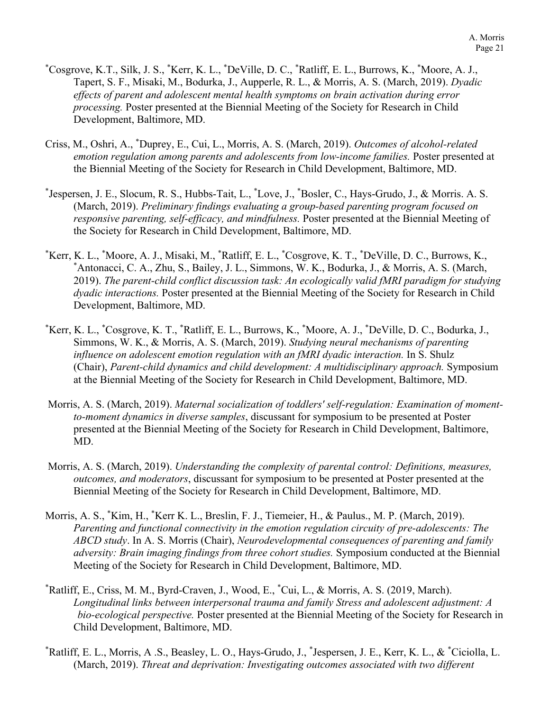- \* Cosgrove, K.T., Silk, J. S., \* Kerr, K. L., \* DeVille, D. C., \* Ratliff, E. L., Burrows, K., \* Moore, A. J., Tapert, S. F., Misaki, M., Bodurka, J., Aupperle, R. L., & Morris, A. S. (March, 2019). *Dyadic effects of parent and adolescent mental health symptoms on brain activation during error processing.* Poster presented at the Biennial Meeting of the Society for Research in Child Development, Baltimore, MD.
- Criss, M., Oshri, A., \* Duprey, E., Cui, L., Morris, A. S. (March, 2019). *Outcomes of alcohol-related emotion regulation among parents and adolescents from low-income families.* Poster presented at the Biennial Meeting of the Society for Research in Child Development, Baltimore, MD.
- \* Jespersen, J. E., Slocum, R. S., Hubbs-Tait, L., \* Love, J., \* Bosler, C., Hays-Grudo, J., & Morris. A. S. (March, 2019). *Preliminary findings evaluating a group-based parenting program focused on responsive parenting, self-efficacy, and mindfulness.* Poster presented at the Biennial Meeting of the Society for Research in Child Development, Baltimore, MD.
- \* Kerr, K. L., \* Moore, A. J., Misaki, M., \* Ratliff, E. L., \* Cosgrove, K. T., \* DeVille, D. C., Burrows, K., \* Antonacci, C. A., Zhu, S., Bailey, J. L., Simmons, W. K., Bodurka, J., & Morris, A. S. (March, 2019). *The parent-child conflict discussion task: An ecologically valid fMRI paradigm for studying dyadic interactions.* Poster presented at the Biennial Meeting of the Society for Research in Child Development, Baltimore, MD.
- \* Kerr, K. L., \* Cosgrove, K. T., \* Ratliff, E. L., Burrows, K., \* Moore, A. J., \* DeVille, D. C., Bodurka, J., Simmons, W. K., & Morris, A. S. (March, 2019). *Studying neural mechanisms of parenting influence on adolescent emotion regulation with an fMRI dyadic interaction.* In S. Shulz (Chair), *Parent-child dynamics and child development: A multidisciplinary approach.* Symposium at the Biennial Meeting of the Society for Research in Child Development, Baltimore, MD.
- Morris, A. S. (March, 2019). *Maternal socialization of toddlers' self-regulation: Examination of momentto-moment dynamics in diverse samples*, discussant for symposium to be presented at Poster presented at the Biennial Meeting of the Society for Research in Child Development, Baltimore, MD.
- Morris, A. S. (March, 2019). *Understanding the complexity of parental control: Definitions, measures, outcomes, and moderators*, discussant for symposium to be presented at Poster presented at the Biennial Meeting of the Society for Research in Child Development, Baltimore, MD.
- Morris, A. S., \* Kim, H., \* Kerr K. L., Breslin, F. J., Tiemeier, H., & Paulus., M. P. (March, 2019). *Parenting and functional connectivity in the emotion regulation circuity of pre-adolescents: The ABCD study*. In A. S. Morris (Chair), *Neurodevelopmental consequences of parenting and family adversity: Brain imaging findings from three cohort studies.* Symposium conducted at the Biennial Meeting of the Society for Research in Child Development, Baltimore, MD.
- \* Ratliff, E., Criss, M. M., Byrd-Craven, J., Wood, E., \* Cui, L., & Morris, A. S. (2019, March). *Longitudinal links between interpersonal trauma and family Stress and adolescent adjustment: A bio-ecological perspective.* Poster presented at the Biennial Meeting of the Society for Research in Child Development, Baltimore, MD.
- \* Ratliff, E. L., Morris, A .S., Beasley, L. O., Hays-Grudo, J., \* Jespersen, J. E., Kerr, K. L., & \* Ciciolla, L. (March, 2019). *Threat and deprivation: Investigating outcomes associated with two different*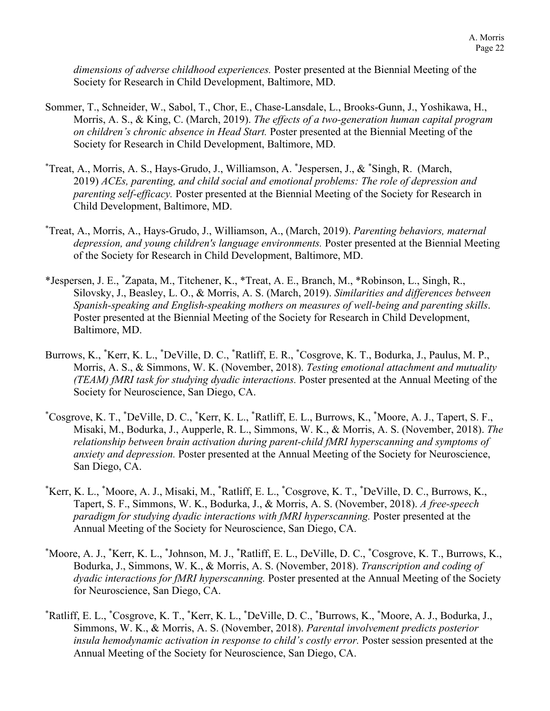*dimensions of adverse childhood experiences.* Poster presented at the Biennial Meeting of the Society for Research in Child Development, Baltimore, MD.

- Sommer, T., Schneider, W., Sabol, T., Chor, E., Chase-Lansdale, L., Brooks-Gunn, J., Yoshikawa, H., Morris, A. S., & King, C. (March, 2019). *The effects of a two-generation human capital program on children's chronic absence in Head Start.* Poster presented at the Biennial Meeting of the Society for Research in Child Development, Baltimore, MD.
- \* Treat, A., Morris, A. S., Hays-Grudo, J., Williamson, A. \* Jespersen, J., & \* Singh, R. (March, 2019) *ACEs, parenting, and child social and emotional problems: The role of depression and parenting self-efficacy.* Poster presented at the Biennial Meeting of the Society for Research in Child Development, Baltimore, MD.
- \* Treat, A., Morris, A., Hays-Grudo, J., Williamson, A., (March, 2019). *Parenting behaviors, maternal depression, and young children's language environments.* Poster presented at the Biennial Meeting of the Society for Research in Child Development, Baltimore, MD.
- \*Jespersen, J. E., \* Zapata, M., Titchener, K., \*Treat, A. E., Branch, M., \*Robinson, L., Singh, R., Silovsky, J., Beasley, L. O., & Morris, A. S. (March, 2019). *Similarities and differences between Spanish-speaking and English-speaking mothers on measures of well-being and parenting skills*. Poster presented at the Biennial Meeting of the Society for Research in Child Development, Baltimore, MD.
- Burrows, K., \*Kerr, K. L., \*DeVille, D. C., \*Ratliff, E. R., \*Cosgrove, K. T., Bodurka, J., Paulus, M. P., Morris, A. S., & Simmons, W. K. (November, 2018). *Testing emotional attachment and mutuality (TEAM) fMRI task for studying dyadic interactions.* Poster presented at the Annual Meeting of the Society for Neuroscience, San Diego, CA.
- \* Cosgrove, K. T., \* DeVille, D. C., \* Kerr, K. L., \* Ratliff, E. L., Burrows, K., \* Moore, A. J., Tapert, S. F., Misaki, M., Bodurka, J., Aupperle, R. L., Simmons, W. K., & Morris, A. S. (November, 2018). *The relationship between brain activation during parent-child fMRI hyperscanning and symptoms of anxiety and depression.* Poster presented at the Annual Meeting of the Society for Neuroscience, San Diego, CA.
- \* Kerr, K. L., \* Moore, A. J., Misaki, M., \* Ratliff, E. L., \* Cosgrove, K. T., \* DeVille, D. C., Burrows, K., Tapert, S. F., Simmons, W. K., Bodurka, J., & Morris, A. S. (November, 2018). *A free-speech paradigm for studying dyadic interactions with fMRI hyperscanning.* Poster presented at the Annual Meeting of the Society for Neuroscience, San Diego, CA.
- \* Moore, A. J., \* Kerr, K. L., \* Johnson, M. J., \* Ratliff, E. L., DeVille, D. C., \* Cosgrove, K. T., Burrows, K., Bodurka, J., Simmons, W. K., & Morris, A. S. (November, 2018). *Transcription and coding of dyadic interactions for fMRI hyperscanning.* Poster presented at the Annual Meeting of the Society for Neuroscience, San Diego, CA.
- \* Ratliff, E. L., \* Cosgrove, K. T., \* Kerr, K. L., \* DeVille, D. C., \* Burrows, K., \* Moore, A. J., Bodurka, J., Simmons, W. K., & Morris, A. S. (November, 2018). *Parental involvement predicts posterior insula hemodynamic activation in response to child's costly error.* Poster session presented at the Annual Meeting of the Society for Neuroscience, San Diego, CA.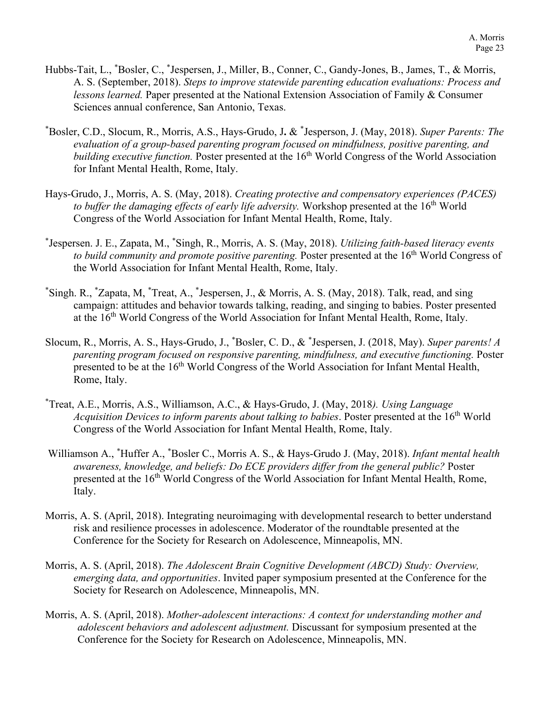- Hubbs-Tait, L., \* Bosler, C., \* Jespersen, J., Miller, B., Conner, C., Gandy-Jones, B., James, T., & Morris, A. S. (September, 2018). *Steps to improve statewide parenting education evaluations: Process and lessons learned.* Paper presented at the National Extension Association of Family & Consumer Sciences annual conference, San Antonio, Texas.
- \* Bosler, C.D., Slocum, R., Morris, A.S., Hays-Grudo, J**.** & \* Jesperson, J. (May, 2018). *Super Parents: The evaluation of a group-based parenting program focused on mindfulness, positive parenting, and building executive function.* Poster presented at the 16<sup>th</sup> World Congress of the World Association for Infant Mental Health, Rome, Italy.
- Hays-Grudo, J., Morris, A. S. (May, 2018). *Creating protective and compensatory experiences (PACES)*  to buffer the damaging effects of early life adversity. Workshop presented at the 16<sup>th</sup> World Congress of the World Association for Infant Mental Health, Rome, Italy.
- \* Jespersen. J. E., Zapata, M., \* Singh, R., Morris, A. S. (May, 2018). *Utilizing faith-based literacy events to build community and promote positive parenting.* Poster presented at the 16<sup>th</sup> World Congress of the World Association for Infant Mental Health, Rome, Italy.
- \* Singh. R., \* Zapata, M, \* Treat, A., \* Jespersen, J., & Morris, A. S. (May, 2018). Talk, read, and sing campaign: attitudes and behavior towards talking, reading, and singing to babies. Poster presented at the 16<sup>th</sup> World Congress of the World Association for Infant Mental Health, Rome, Italy.
- Slocum, R., Morris, A. S., Hays-Grudo, J., \* Bosler, C. D., & \* Jespersen, J. (2018, May). *Super parents! A parenting program focused on responsive parenting, mindfulness, and executive functioning.* Poster presented to be at the 16<sup>th</sup> World Congress of the World Association for Infant Mental Health, Rome, Italy.
- \* Treat, A.E., Morris, A.S., Williamson, A.C., & Hays-Grudo, J. (May, 2018*). Using Language Acquisition Devices to inform parents about talking to babies.* Poster presented at the 16<sup>th</sup> World Congress of the World Association for Infant Mental Health, Rome, Italy.
- Williamson A., \* Huffer A., \* Bosler C., Morris A. S., & Hays-Grudo J. (May, 2018). *Infant mental health awareness, knowledge, and beliefs: Do ECE providers differ from the general public?* Poster presented at the 16<sup>th</sup> World Congress of the World Association for Infant Mental Health, Rome, Italy.
- Morris, A. S. (April, 2018). Integrating neuroimaging with developmental research to better understand risk and resilience processes in adolescence. Moderator of the roundtable presented at the Conference for the Society for Research on Adolescence, Minneapolis, MN.
- Morris, A. S. (April, 2018). *The Adolescent Brain Cognitive Development (ABCD) Study: Overview, emerging data, and opportunities*. Invited paper symposium presented at the Conference for the Society for Research on Adolescence, Minneapolis, MN.
- Morris, A. S. (April, 2018). *Mother-adolescent interactions: A context for understanding mother and adolescent behaviors and adolescent adjustment.* Discussant for symposium presented at the Conference for the Society for Research on Adolescence, Minneapolis, MN.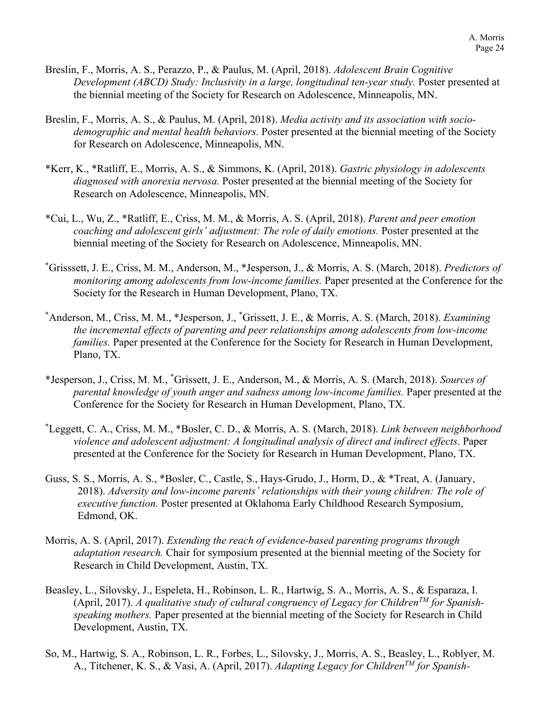- Breslin, F., Morris, A. S., Perazzo, P., & Paulus, M. (April, 2018). *Adolescent Brain Cognitive Development (ABCD) Study: Inclusivity in a large, longitudinal ten-year study.* Poster presented at the biennial meeting of the Society for Research on Adolescence, Minneapolis, MN.
- Breslin, F., Morris, A. S., & Paulus, M. (April, 2018). *Media activity and its association with sociodemographic and mental health behaviors.* Poster presented at the biennial meeting of the Society for Research on Adolescence, Minneapolis, MN.
- \*Kerr, K., \*Ratliff, E., Morris, A. S., & Simmons, K. (April, 2018). *Gastric physiology in adolescents diagnosed with anorexia nervosa.* Poster presented at the biennial meeting of the Society for Research on Adolescence, Minneapolis, MN.
- \*Cui, L., Wu, Z., \*Ratliff, E., Criss, M. M., & Morris, A. S. (April, 2018). *Parent and peer emotion coaching and adolescent girls' adjustment: The role of daily emotions.* Poster presented at the biennial meeting of the Society for Research on Adolescence, Minneapolis, MN.
- \* Grisssett, J. E., Criss, M. M., Anderson, M., \*Jesperson, J., & Morris, A. S. (March, 2018). *Predictors of monitoring among adolescents from low-income families.* Paper presented at the Conference for the Society for the Research in Human Development, Plano, TX.
- \* Anderson, M., Criss, M. M., \*Jesperson, J., \* Grissett, J. E., & Morris, A. S. (March, 2018). *Examining the incremental effects of parenting and peer relationships among adolescents from low-income families.* Paper presented at the Conference for the Society for Research in Human Development, Plano, TX.
- \*Jesperson, J., Criss, M. M., \* Grissett, J. E., Anderson, M., & Morris, A. S. (March, 2018). *Sources of parental knowledge of youth anger and sadness among low-income families.* Paper presented at the Conference for the Society for Research in Human Development, Plano, TX.
- \* Leggett, C. A., Criss, M. M., \*Bosler, C. D., & Morris, A. S. (March, 2018). *Link between neighborhood violence and adolescent adjustment: A longitudinal analysis of direct and indirect effects*. Paper presented at the Conference for the Society for Research in Human Development, Plano, TX.
- Guss, S. S., Morris, A. S., \*Bosler, C., Castle, S., Hays-Grudo, J., Horm, D., & \*Treat, A. (January, 2018). *Adversity and low-income parents' relationships with their young children: The role of executive function.* Poster presented at Oklahoma Early Childhood Research Symposium, Edmond, OK.
- Morris, A. S. (April, 2017). *Extending the reach of evidence-based parenting programs through adaptation research.* Chair for symposium presented at the biennial meeting of the Society for Research in Child Development, Austin, TX.
- Beasley, L., Silovsky, J., Espeleta, H., Robinson, L. R., Hartwig, S. A., Morris, A. S., & Esparaza, I. (April, 2017). *A qualitative study of cultural congruency of Legacy for ChildrenTM for Spanishspeaking mothers.* Paper presented at the biennial meeting of the Society for Research in Child Development, Austin, TX.
- So, M., Hartwig, S. A., Robinson, L. R., Forbes, L., Silovsky, J., Morris, A. S., Beasley, L., Roblyer, M. A., Titchener, K. S., & Vasi, A. (April, 2017). *Adapting Legacy for ChildrenTM for Spanish-*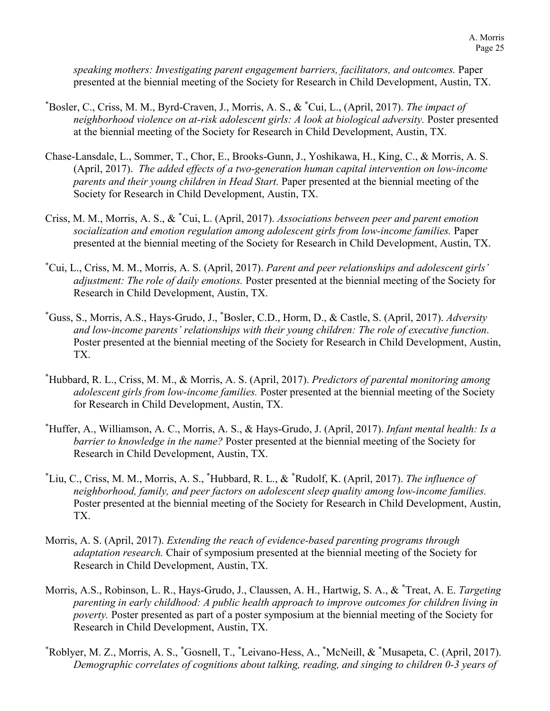*speaking mothers: Investigating parent engagement barriers, facilitators, and outcomes.* Paper presented at the biennial meeting of the Society for Research in Child Development, Austin, TX.

- \* Bosler, C., Criss, M. M., Byrd-Craven, J., Morris, A. S., & \* Cui, L., (April, 2017). *The impact of neighborhood violence on at-risk adolescent girls: A look at biological adversity.* Poster presented at the biennial meeting of the Society for Research in Child Development, Austin, TX.
- Chase-Lansdale, L., Sommer, T., Chor, E., Brooks-Gunn, J., Yoshikawa, H., King, C., & Morris, A. S. (April, 2017). *The added effects of a two-generation human capital intervention on low-income parents and their young children in Head Start.* Paper presented at the biennial meeting of the Society for Research in Child Development, Austin, TX.
- Criss, M. M., Morris, A. S., & \* Cui, L. (April, 2017). *Associations between peer and parent emotion socialization and emotion regulation among adolescent girls from low-income families.* Paper presented at the biennial meeting of the Society for Research in Child Development, Austin, TX.
- \* Cui, L., Criss, M. M., Morris, A. S. (April, 2017). *Parent and peer relationships and adolescent girls' adjustment: The role of daily emotions.* Poster presented at the biennial meeting of the Society for Research in Child Development, Austin, TX.
- \* Guss, S., Morris, A.S., Hays-Grudo, J., \* Bosler, C.D., Horm, D., & Castle, S. (April, 2017). *Adversity and low-income parents' relationships with their young children: The role of executive function*. Poster presented at the biennial meeting of the Society for Research in Child Development, Austin, TX.
- \* Hubbard, R. L., Criss, M. M., & Morris, A. S. (April, 2017). *Predictors of parental monitoring among adolescent girls from low-income families.* Poster presented at the biennial meeting of the Society for Research in Child Development, Austin, TX.
- \* Huffer, A., Williamson, A. C., Morris, A. S., & Hays-Grudo, J. (April, 2017). *Infant mental health: Is a barrier to knowledge in the name?* Poster presented at the biennial meeting of the Society for Research in Child Development, Austin, TX.
- \* Liu, C., Criss, M. M., Morris, A. S., \* Hubbard, R. L., & \* Rudolf, K. (April, 2017). *The influence of neighborhood, family, and peer factors on adolescent sleep quality among low-income families.*  Poster presented at the biennial meeting of the Society for Research in Child Development, Austin, TX.
- Morris, A. S. (April, 2017). *Extending the reach of evidence-based parenting programs through adaptation research.* Chair of symposium presented at the biennial meeting of the Society for Research in Child Development, Austin, TX.
- Morris, A.S., Robinson, L. R., Hays-Grudo, J., Claussen, A. H., Hartwig, S. A., & \* Treat, A. E. *Targeting parenting in early childhood: A public health approach to improve outcomes for children living in poverty.* Poster presented as part of a poster symposium at the biennial meeting of the Society for Research in Child Development, Austin, TX.
- \* Roblyer, M. Z., Morris, A. S., \* Gosnell, T., \* Leivano-Hess, A., \* McNeill, & \* Musapeta, C. (April, 2017). *Demographic correlates of cognitions about talking, reading, and singing to children 0-3 years of*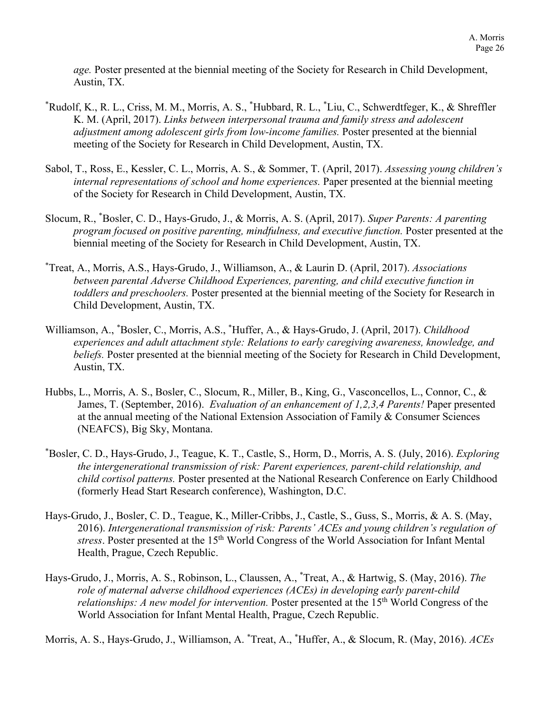*age.* Poster presented at the biennial meeting of the Society for Research in Child Development, Austin, TX.

- \* Rudolf, K., R. L., Criss, M. M., Morris, A. S., \* Hubbard, R. L., \* Liu, C., Schwerdtfeger, K., & Shreffler K. M. (April, 2017). *Links between interpersonal trauma and family stress and adolescent adjustment among adolescent girls from low-income families.* Poster presented at the biennial meeting of the Society for Research in Child Development, Austin, TX.
- Sabol, T., Ross, E., Kessler, C. L., Morris, A. S., & Sommer, T. (April, 2017). *Assessing young children's internal representations of school and home experiences.* Paper presented at the biennial meeting of the Society for Research in Child Development, Austin, TX.
- Slocum, R., \* Bosler, C. D., Hays-Grudo, J., & Morris, A. S. (April, 2017). *Super Parents: A parenting program focused on positive parenting, mindfulness, and executive function.* Poster presented at the biennial meeting of the Society for Research in Child Development, Austin, TX.
- \* Treat, A., Morris, A.S., Hays-Grudo, J., Williamson, A., & Laurin D. (April, 2017). *Associations between parental Adverse Childhood Experiences, parenting, and child executive function in toddlers and preschoolers.* Poster presented at the biennial meeting of the Society for Research in Child Development, Austin, TX.
- Williamson, A., \* Bosler, C., Morris, A.S., \* Huffer, A., & Hays-Grudo, J. (April, 2017). *Childhood experiences and adult attachment style: Relations to early caregiving awareness, knowledge, and beliefs*. Poster presented at the biennial meeting of the Society for Research in Child Development, Austin, TX.
- Hubbs, L., Morris, A. S., Bosler, C., Slocum, R., Miller, B., King, G., Vasconcellos, L., Connor, C., & James, T. (September, 2016). *Evaluation of an enhancement of 1,2,3,4 Parents!* Paper presented at the annual meeting of the National Extension Association of Family & Consumer Sciences (NEAFCS), Big Sky, Montana.
- \* Bosler, C. D., Hays-Grudo, J., Teague, K. T., Castle, S., Horm, D., Morris, A. S. (July, 2016). *Exploring the intergenerational transmission of risk: Parent experiences, parent-child relationship, and child cortisol patterns.* Poster presented at the National Research Conference on Early Childhood (formerly Head Start Research conference), Washington, D.C.
- Hays-Grudo, J., Bosler, C. D., Teague, K., Miller-Cribbs, J., Castle, S., Guss, S., Morris, & A. S. (May, 2016). *Intergenerational transmission of risk: Parents' ACEs and young children's regulation of*  stress. Poster presented at the 15<sup>th</sup> World Congress of the World Association for Infant Mental Health, Prague, Czech Republic.
- Hays-Grudo, J., Morris, A. S., Robinson, L., Claussen, A., \* Treat, A., & Hartwig, S. (May, 2016). *The role of maternal adverse childhood experiences (ACEs) in developing early parent-child relationships: A new model for intervention.* Poster presented at the 15<sup>th</sup> World Congress of the World Association for Infant Mental Health, Prague, Czech Republic.

Morris, A. S., Hays-Grudo, J., Williamson, A. \* Treat, A., \* Huffer, A., & Slocum, R. (May, 2016). *ACEs*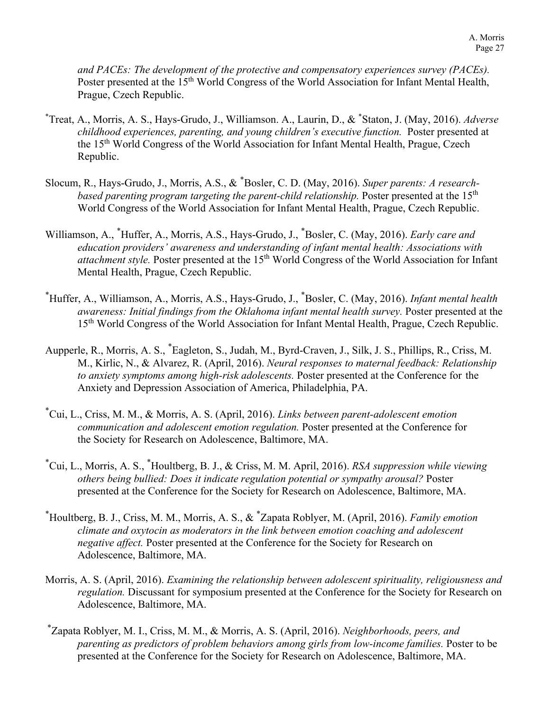*and PACEs: The development of the protective and compensatory experiences survey (PACEs).*  Poster presented at the 15<sup>th</sup> World Congress of the World Association for Infant Mental Health, Prague, Czech Republic.

- \* Treat, A., Morris, A. S., Hays-Grudo, J., Williamson. A., Laurin, D., & \* Staton, J. (May, 2016). *Adverse childhood experiences, parenting, and young children's executive function.* Poster presented at the 15th World Congress of the World Association for Infant Mental Health, Prague, Czech Republic.
- Slocum, R., Hays-Grudo, J., Morris, A.S., & \* Bosler, C. D. (May, 2016). *Super parents: A researchbased parenting program targeting the parent-child relationship.* Poster presented at the 15<sup>th</sup> World Congress of the World Association for Infant Mental Health, Prague, Czech Republic.
- Williamson, A., \* Huffer, A., Morris, A.S., Hays-Grudo, J., \* Bosler, C. (May, 2016). *Early care and education providers' awareness and understanding of infant mental health: Associations with attachment style.* Poster presented at the 15<sup>th</sup> World Congress of the World Association for Infant Mental Health, Prague, Czech Republic.
- \* Huffer, A., Williamson, A., Morris, A.S., Hays-Grudo, J., \* Bosler, C. (May, 2016). *Infant mental health awareness: Initial findings from the Oklahoma infant mental health survey.* Poster presented at the 15<sup>th</sup> World Congress of the World Association for Infant Mental Health, Prague, Czech Republic.
- Aupperle, R., Morris, A. S., \* Eagleton, S., Judah, M., Byrd-Craven, J., Silk, J. S., Phillips, R., Criss, M. M., Kirlic, N., & Alvarez, R. (April, 2016). *Neural responses to maternal feedback: Relationship to anxiety symptoms among high-risk adolescents.* Poster presented at the Conference for the Anxiety and Depression Association of America, Philadelphia, PA.
- \* Cui, L., Criss, M. M., & Morris, A. S. (April, 2016). *Links between parent-adolescent emotion communication and adolescent emotion regulation.* Poster presented at the Conference for the Society for Research on Adolescence, Baltimore, MA.
- \* Cui, L., Morris, A. S., \* Houltberg, B. J., & Criss, M. M. April, 2016). *RSA suppression while viewing others being bullied: Does it indicate regulation potential or sympathy arousal?* Poster presented at the Conference for the Society for Research on Adolescence, Baltimore, MA.
- \* Houltberg, B. J., Criss, M. M., Morris, A. S., & \* Zapata Roblyer, M. (April, 2016). *Family emotion climate and oxytocin as moderators in the link between emotion coaching and adolescent negative affect.* Poster presented at the Conference for the Society for Research on Adolescence, Baltimore, MA.
- Morris, A. S. (April, 2016). *Examining the relationship between adolescent spirituality, religiousness and regulation.* Discussant for symposium presented at the Conference for the Society for Research on Adolescence, Baltimore, MA.
- \* Zapata Roblyer, M. I., Criss, M. M., & Morris, A. S. (April, 2016). *Neighborhoods, peers, and parenting as predictors of problem behaviors among girls from low-income families.* Poster to be presented at the Conference for the Society for Research on Adolescence, Baltimore, MA.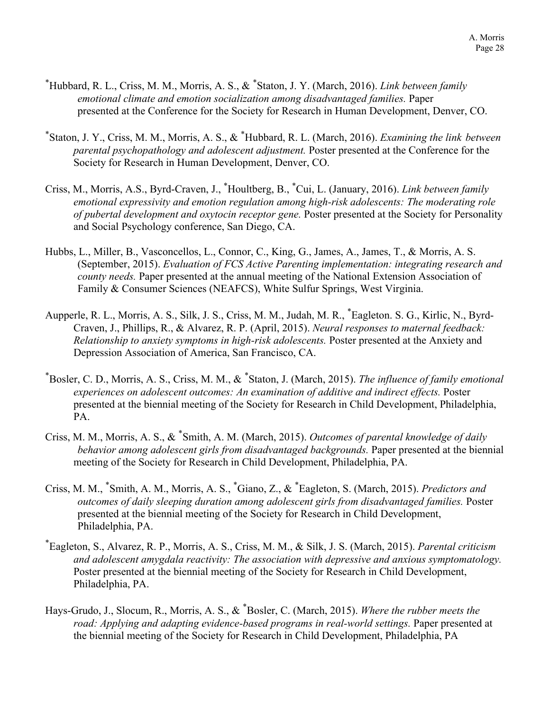- \* Hubbard, R. L., Criss, M. M., Morris, A. S., & \* Staton, J. Y. (March, 2016). *Link between family emotional climate and emotion socialization among disadvantaged families.* Paper presented at the Conference for the Society for Research in Human Development, Denver, CO.
- \* Staton, J. Y., Criss, M. M., Morris, A. S., & \* Hubbard, R. L. (March, 2016). *Examining the link between parental psychopathology and adolescent adjustment.* Poster presented at the Conference for the Society for Research in Human Development, Denver, CO.
- Criss, M., Morris, A.S., Byrd-Craven, J., \* Houltberg, B., \* Cui, L. (January, 2016). *Link between family emotional expressivity and emotion regulation among high-risk adolescents: The moderating role of pubertal development and oxytocin receptor gene.* Poster presented at the Society for Personality and Social Psychology conference, San Diego, CA.
- Hubbs, L., Miller, B., Vasconcellos, L., Connor, C., King, G., James, A., James, T., & Morris, A. S. (September, 2015). *Evaluation of FCS Active Parenting implementation: integrating research and county needs.* Paper presented at the annual meeting of the National Extension Association of Family & Consumer Sciences (NEAFCS), White Sulfur Springs, West Virginia.
- Aupperle, R. L., Morris, A. S., Silk, J. S., Criss, M. M., Judah, M. R., \* Eagleton. S. G., Kirlic, N., Byrd-Craven, J., Phillips, R., & Alvarez, R. P. (April, 2015). *Neural responses to maternal feedback: Relationship to anxiety symptoms in high-risk adolescents.* Poster presented at the Anxiety and Depression Association of America, San Francisco, CA.
- \* Bosler, C. D., Morris, A. S., Criss, M. M., & \* Staton, J. (March, 2015). *The influence of family emotional experiences on adolescent outcomes: An examination of additive and indirect effects.* Poster presented at the biennial meeting of the Society for Research in Child Development, Philadelphia, PA.
- Criss, M. M., Morris, A. S., & \* Smith, A. M. (March, 2015). *Outcomes of parental knowledge of daily behavior among adolescent girls from disadvantaged backgrounds.* Paper presented at the biennial meeting of the Society for Research in Child Development, Philadelphia, PA.
- Criss, M. M., <sup>\*</sup>Smith, A. M., Morris, A. S., <sup>\*</sup>Giano, Z., & <sup>\*</sup>Eagleton, S. (March, 2015). *Predictors and outcomes of daily sleeping duration among adolescent girls from disadvantaged families.* Poster presented at the biennial meeting of the Society for Research in Child Development, Philadelphia, PA.
- \* Eagleton, S., Alvarez, R. P., Morris, A. S., Criss, M. M., & Silk, J. S. (March, 2015). *Parental criticism and adolescent amygdala reactivity: The association with depressive and anxious symptomatology.* Poster presented at the biennial meeting of the Society for Research in Child Development, Philadelphia, PA.
- Hays-Grudo, J., Slocum, R., Morris, A. S., & \* Bosler, C. (March, 2015). *Where the rubber meets the road: Applying and adapting evidence-based programs in real-world settings.* Paper presented at the biennial meeting of the Society for Research in Child Development, Philadelphia, PA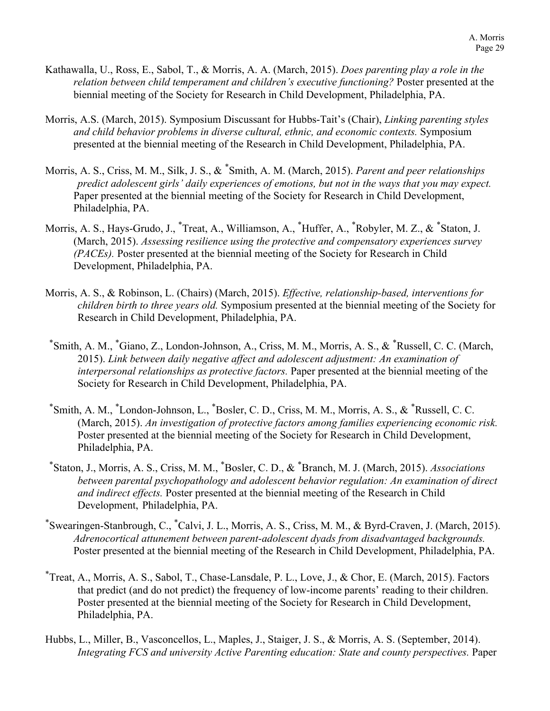- Kathawalla, U., Ross, E., Sabol, T., & Morris, A. A. (March, 2015). *Does parenting play a role in the relation between child temperament and children's executive functioning?* Poster presented at the biennial meeting of the Society for Research in Child Development, Philadelphia, PA.
- Morris, A.S. (March, 2015). Symposium Discussant for Hubbs-Tait's (Chair), *Linking parenting styles and child behavior problems in diverse cultural, ethnic, and economic contexts.* Symposium presented at the biennial meeting of the Research in Child Development, Philadelphia, PA.
- Morris, A. S., Criss, M. M., Silk, J. S., & \* Smith, A. M. (March, 2015). *Parent and peer relationships predict adolescent girls' daily experiences of emotions, but not in the ways that you may expect.* Paper presented at the biennial meeting of the Society for Research in Child Development, Philadelphia, PA.
- Morris, A. S., Hays-Grudo, J., \*Treat, A., Williamson, A., \*Huffer, A., \*Robyler, M. Z., & \*Staton, J. (March, 2015). *Assessing resilience using the protective and compensatory experiences survey (PACEs).* Poster presented at the biennial meeting of the Society for Research in Child Development, Philadelphia, PA.
- Morris, A. S., & Robinson, L. (Chairs) (March, 2015). *Effective, relationship-based, interventions for children birth to three years old.* Symposium presented at the biennial meeting of the Society for Research in Child Development, Philadelphia, PA.
- \* Smith, A. M., \* Giano, Z., London-Johnson, A., Criss, M. M., Morris, A. S., & \* Russell, C. C. (March, 2015). *Link between daily negative affect and adolescent adjustment: An examination of interpersonal relationships as protective factors.* Paper presented at the biennial meeting of the Society for Research in Child Development, Philadelphia, PA.
- \* Smith, A. M., \* London-Johnson, L., \* Bosler, C. D., Criss, M. M., Morris, A. S., & \* Russell, C. C. (March, 2015). *An investigation of protective factors among families experiencing economic risk.* Poster presented at the biennial meeting of the Society for Research in Child Development, Philadelphia, PA.
- \* Staton, J., Morris, A. S., Criss, M. M., \* Bosler, C. D., & \* Branch, M. J. (March, 2015). *Associations between parental psychopathology and adolescent behavior regulation: An examination of direct and indirect effects.* Poster presented at the biennial meeting of the Research in Child Development, Philadelphia, PA.
- \* Swearingen-Stanbrough, C., \* Calvi, J. L., Morris, A. S., Criss, M. M., & Byrd-Craven, J. (March, 2015). *Adrenocortical attunement between parent-adolescent dyads from disadvantaged backgrounds.* Poster presented at the biennial meeting of the Research in Child Development, Philadelphia, PA.
- \* Treat, A., Morris, A. S., Sabol, T., Chase-Lansdale, P. L., Love, J., & Chor, E. (March, 2015). Factors that predict (and do not predict) the frequency of low-income parents' reading to their children. Poster presented at the biennial meeting of the Society for Research in Child Development, Philadelphia, PA.
- Hubbs, L., Miller, B., Vasconcellos, L., Maples, J., Staiger, J. S., & Morris, A. S. (September, 2014). *Integrating FCS and university Active Parenting education: State and county perspectives. Paper*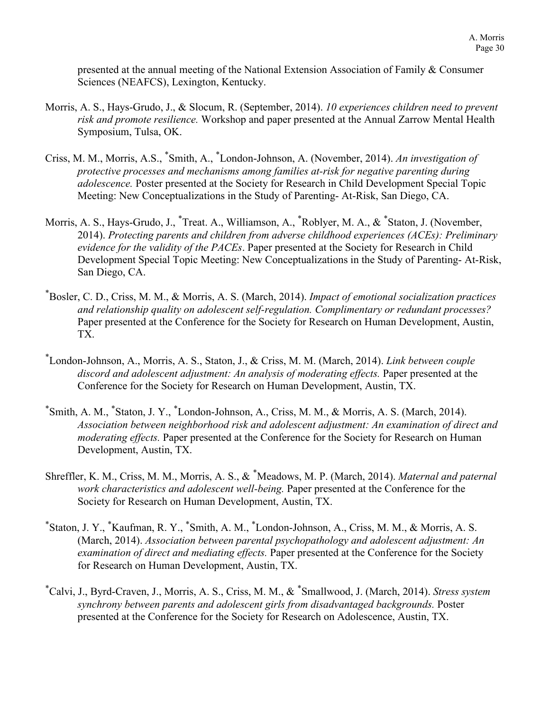presented at the annual meeting of the National Extension Association of Family & Consumer Sciences (NEAFCS), Lexington, Kentucky.

- Morris, A. S., Hays-Grudo, J., & Slocum, R. (September, 2014). *10 experiences children need to prevent risk and promote resilience.* Workshop and paper presented at the Annual Zarrow Mental Health Symposium, Tulsa, OK.
- Criss, M. M., Morris, A.S., \* Smith, A., \* London-Johnson, A. (November, 2014). *An investigation of protective processes and mechanisms among families at-risk for negative parenting during adolescence.* Poster presented at the Society for Research in Child Development Special Topic Meeting: New Conceptualizations in the Study of Parenting- At-Risk, San Diego, CA.
- Morris, A. S., Hays-Grudo, J., \* Treat. A., Williamson, A., \* Roblyer, M. A., & \* Staton, J. (November, 2014). *Protecting parents and children from adverse childhood experiences (ACEs): Preliminary evidence for the validity of the PACEs*. Paper presented at the Society for Research in Child Development Special Topic Meeting: New Conceptualizations in the Study of Parenting- At-Risk, San Diego, CA.
- \* Bosler, C. D., Criss, M. M., & Morris, A. S. (March, 2014). *Impact of emotional socialization practices and relationship quality on adolescent self-regulation. Complimentary or redundant processes?* Paper presented at the Conference for the Society for Research on Human Development, Austin, TX.
- \* London-Johnson, A., Morris, A. S., Staton, J., & Criss, M. M. (March, 2014). *Link between couple discord and adolescent adjustment: An analysis of moderating effects.* Paper presented at the Conference for the Society for Research on Human Development, Austin, TX.
- \* Smith, A. M., \* Staton, J. Y., \* London-Johnson, A., Criss, M. M., & Morris, A. S. (March, 2014). *Association between neighborhood risk and adolescent adjustment: An examination of direct and moderating effects.* Paper presented at the Conference for the Society for Research on Human Development, Austin, TX.
- Shreffler, K. M., Criss, M. M., Morris, A. S., & \* Meadows, M. P. (March, 2014). *Maternal and paternal work characteristics and adolescent well-being.* Paper presented at the Conference for the Society for Research on Human Development, Austin, TX.
- \* Staton, J. Y., \* Kaufman, R. Y., \* Smith, A. M., \* London-Johnson, A., Criss, M. M., & Morris, A. S. (March, 2014). *Association between parental psychopathology and adolescent adjustment: An examination of direct and mediating effects.* Paper presented at the Conference for the Society for Research on Human Development, Austin, TX.
- \* Calvi, J., Byrd-Craven, J., Morris, A. S., Criss, M. M., & \* Smallwood, J. (March, 2014). *Stress system synchrony between parents and adolescent girls from disadvantaged backgrounds.* Poster presented at the Conference for the Society for Research on Adolescence, Austin, TX.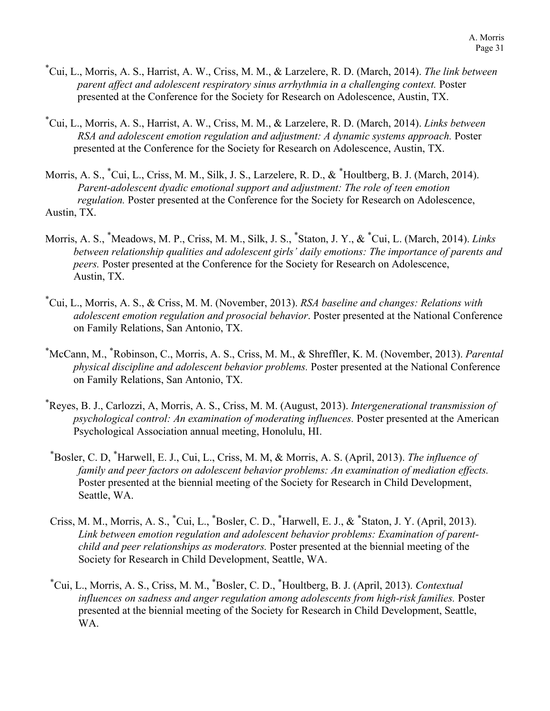- \* Cui, L., Morris, A. S., Harrist, A. W., Criss, M. M., & Larzelere, R. D. (March, 2014). *The link between parent affect and adolescent respiratory sinus arrhythmia in a challenging context.* Poster presented at the Conference for the Society for Research on Adolescence, Austin, TX.
- \* Cui, L., Morris, A. S., Harrist, A. W., Criss, M. M., & Larzelere, R. D. (March, 2014). *Links between RSA and adolescent emotion regulation and adjustment: A dynamic systems approach.* Poster presented at the Conference for the Society for Research on Adolescence, Austin, TX.
- Morris, A. S., \* Cui, L., Criss, M. M., Silk, J. S., Larzelere, R. D., & \* Houltberg, B. J. (March, 2014). *Parent-adolescent dyadic emotional support and adjustment: The role of teen emotion regulation.* Poster presented at the Conference for the Society for Research on Adolescence, Austin, TX.
- Morris, A. S., \* Meadows, M. P., Criss, M. M., Silk, J. S., \* Staton, J. Y., & \* Cui, L. (March, 2014). *Links between relationship qualities and adolescent girls' daily emotions: The importance of parents and peers.* Poster presented at the Conference for the Society for Research on Adolescence, Austin, TX.
- \* Cui, L., Morris, A. S., & Criss, M. M. (November, 2013). *RSA baseline and changes: Relations with adolescent emotion regulation and prosocial behavior*. Poster presented at the National Conference on Family Relations, San Antonio, TX.
- \* McCann, M., \* Robinson, C., Morris, A. S., Criss, M. M., & Shreffler, K. M. (November, 2013). *Parental physical discipline and adolescent behavior problems.* Poster presented at the National Conference on Family Relations, San Antonio, TX.
- \* Reyes, B. J., Carlozzi, A, Morris, A. S., Criss, M. M. (August, 2013). *Intergenerational transmission of psychological control: An examination of moderating influences.* Poster presented at the American Psychological Association annual meeting, Honolulu, HI.
- \* Bosler, C. D, \* Harwell, E. J., Cui, L., Criss, M. M, & Morris, A. S. (April, 2013). *The influence of family and peer factors on adolescent behavior problems: An examination of mediation effects.*  Poster presented at the biennial meeting of the Society for Research in Child Development, Seattle, WA.
- Criss, M. M., Morris, A. S., \* Cui, L., \* Bosler, C. D., \* Harwell, E. J., & \* Staton, J. Y. (April, 2013). *Link between emotion regulation and adolescent behavior problems: Examination of parentchild and peer relationships as moderators.* Poster presented at the biennial meeting of the Society for Research in Child Development, Seattle, WA.
- \* Cui, L., Morris, A. S., Criss, M. M., \* Bosler, C. D., \* Houltberg, B. J. (April, 2013). *Contextual influences on sadness and anger regulation among adolescents from high-risk families.* Poster presented at the biennial meeting of the Society for Research in Child Development, Seattle, WA.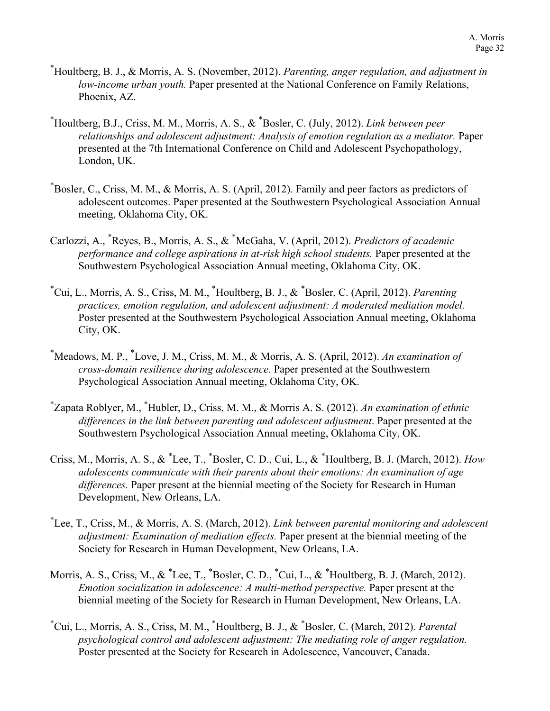- \* Houltberg, B. J., & Morris, A. S. (November, 2012). *Parenting, anger regulation, and adjustment in low-income urban youth.* Paper presented at the National Conference on Family Relations, Phoenix, AZ.
- \* Houltberg, B.J., Criss, M. M., Morris, A. S., & \* Bosler, C. (July, 2012). *Link between peer relationships and adolescent adjustment: Analysis of emotion regulation as a mediator.* Paper presented at the 7th International Conference on Child and Adolescent Psychopathology, London, UK.
- \* Bosler, C., Criss, M. M., & Morris, A. S. (April, 2012). Family and peer factors as predictors of adolescent outcomes. Paper presented at the Southwestern Psychological Association Annual meeting, Oklahoma City, OK.
- Carlozzi, A., \* Reyes, B., Morris, A. S., & \* McGaha, V. (April, 2012). *Predictors of academic performance and college aspirations in at-risk high school students.* Paper presented at the Southwestern Psychological Association Annual meeting, Oklahoma City, OK.
- \* Cui, L., Morris, A. S., Criss, M. M., \* Houltberg, B. J., & \* Bosler, C. (April, 2012). *Parenting practices, emotion regulation, and adolescent adjustment: A moderated mediation model.*  Poster presented at the Southwestern Psychological Association Annual meeting, Oklahoma City, OK.
- \* Meadows, M. P., \* Love, J. M., Criss, M. M., & Morris, A. S. (April, 2012). *An examination of cross-domain resilience during adolescence.* Paper presented at the Southwestern Psychological Association Annual meeting, Oklahoma City, OK.
- \* Zapata Roblyer, M., \* Hubler, D., Criss, M. M., & Morris A. S. (2012). *An examination of ethnic differences in the link between parenting and adolescent adjustment*. Paper presented at the Southwestern Psychological Association Annual meeting, Oklahoma City, OK.
- Criss, M., Morris, A. S., & \* Lee, T., \* Bosler, C. D., Cui, L., & \* Houltberg, B. J. (March, 2012). *How adolescents communicate with their parents about their emotions: An examination of age differences.* Paper present at the biennial meeting of the Society for Research in Human Development, New Orleans, LA.
- \* Lee, T., Criss, M., & Morris, A. S. (March, 2012). *Link between parental monitoring and adolescent adjustment: Examination of mediation effects.* Paper present at the biennial meeting of the Society for Research in Human Development, New Orleans, LA.
- Morris, A. S., Criss, M., & \* Lee, T., \* Bosler, C. D., \* Cui, L., & \* Houltberg, B. J. (March, 2012). *Emotion socialization in adolescence: A multi-method perspective. Paper present at the* biennial meeting of the Society for Research in Human Development, New Orleans, LA.
- \* Cui, L., Morris, A. S., Criss, M. M., \* Houltberg, B. J., & \* Bosler, C. (March, 2012). *Parental psychological control and adolescent adjustment: The mediating role of anger regulation.*  Poster presented at the Society for Research in Adolescence, Vancouver, Canada.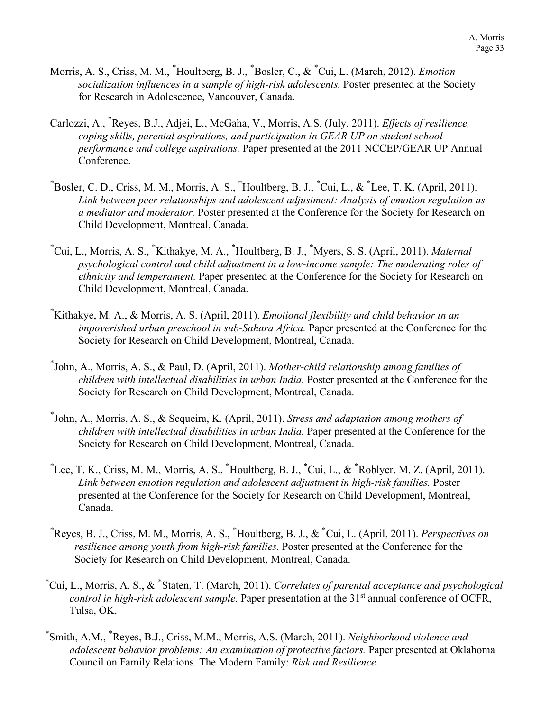- Morris, A. S., Criss, M. M., \* Houltberg, B. J., \* Bosler, C., & \* Cui, L. (March, 2012). *Emotion socialization influences in a sample of high-risk adolescents.* Poster presented at the Society for Research in Adolescence, Vancouver, Canada.
- Carlozzi, A., \* Reyes, B.J., Adjei, L., McGaha, V., Morris, A.S. (July, 2011). *Effects of resilience, coping skills, parental aspirations, and participation in GEAR UP on student school performance and college aspirations.* Paper presented at the 2011 NCCEP/GEAR UP Annual Conference.
- $*$ Bosler, C. D., Criss, M. M., Morris, A. S.,  $*$ Houltberg, B. J.,  $*$ Cui, L., &  $*$ Lee, T. K. (April, 2011). *Link between peer relationships and adolescent adjustment: Analysis of emotion regulation as a mediator and moderator.* Poster presented at the Conference for the Society for Research on Child Development, Montreal, Canada.
- \* Cui, L., Morris, A. S., \* Kithakye, M. A., \* Houltberg, B. J., \* Myers, S. S. (April, 2011). *Maternal psychological control and child adjustment in a low-income sample: The moderating roles of ethnicity and temperament.* Paper presented at the Conference for the Society for Research on Child Development, Montreal, Canada.
- \* Kithakye, M. A., & Morris, A. S. (April, 2011). *Emotional flexibility and child behavior in an impoverished urban preschool in sub-Sahara Africa.* Paper presented at the Conference for the Society for Research on Child Development, Montreal, Canada.
- \* John, A., Morris, A. S., & Paul, D. (April, 2011). *Mother-child relationship among families of children with intellectual disabilities in urban India.* Poster presented at the Conference for the Society for Research on Child Development, Montreal, Canada.
- \* John, A., Morris, A. S., & Sequeira, K. (April, 2011). *Stress and adaptation among mothers of children with intellectual disabilities in urban India.* Paper presented at the Conference for the Society for Research on Child Development, Montreal, Canada.
- ${}^*$ Lee, T. K., Criss, M. M., Morris, A. S.,  ${}^*$ Houltberg, B. J.,  ${}^*$ Cui, L., &  ${}^*$ Roblyer, M. Z. (April, 2011). *Link between emotion regulation and adolescent adjustment in high-risk families.* Poster presented at the Conference for the Society for Research on Child Development, Montreal, Canada.
- \* Reyes, B. J., Criss, M. M., Morris, A. S., \* Houltberg, B. J., & \* Cui, L. (April, 2011). *Perspectives on resilience among youth from high-risk families.* Poster presented at the Conference for the Society for Research on Child Development, Montreal, Canada.
- \* Cui, L., Morris, A. S., & \* Staten, T. (March, 2011). *Correlates of parental acceptance and psychological control in high-risk adolescent sample.* Paper presentation at the 31<sup>st</sup> annual conference of OCFR, Tulsa, OK.
- \* Smith, A.M., \* Reyes, B.J., Criss, M.M., Morris, A.S. (March, 2011). *Neighborhood violence and adolescent behavior problems: An examination of protective factors.* Paper presented at Oklahoma Council on Family Relations. The Modern Family: *Risk and Resilience*.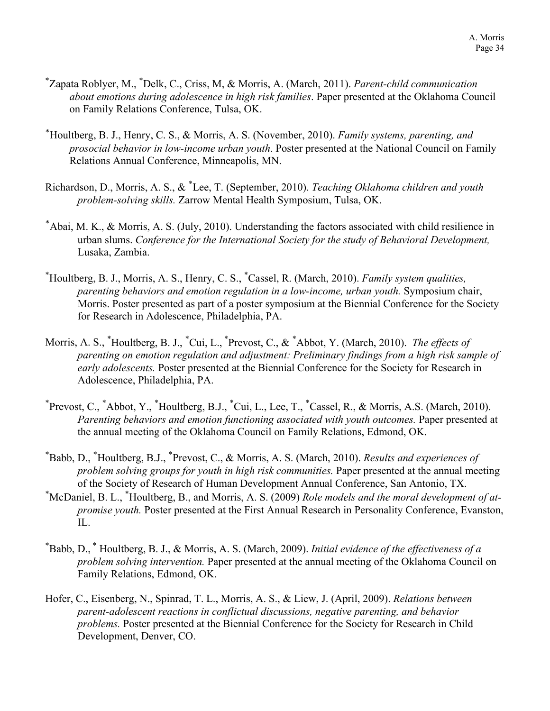- \* Zapata Roblyer, M., \* Delk, C., Criss, M, & Morris, A. (March, 2011). *Parent-child communication about emotions during adolescence in high risk families*. Paper presented at the Oklahoma Council on Family Relations Conference, Tulsa, OK.
- \*Houltberg, B. J., Henry, C. S., & Morris, A. S. (November, 2010). *Family systems, parenting, and prosocial behavior in low-income urban youth*. Poster presented at the National Council on Family Relations Annual Conference, Minneapolis, MN.
- Richardson, D., Morris, A. S., & \* Lee, T. (September, 2010). *Teaching Oklahoma children and youth problem-solving skills.* Zarrow Mental Health Symposium, Tulsa, OK.
- \*Abai, M. K., & Morris, A. S. (July, 2010). Understanding the factors associated with child resilience in urban slums. *Conference for the International Society for the study of Behavioral Development,*  Lusaka, Zambia.
- \* Houltberg, B. J., Morris, A. S., Henry, C. S., \* Cassel, R. (March, 2010). *Family system qualities, parenting behaviors and emotion regulation in a low-income, urban youth.* Symposium chair, Morris. Poster presented as part of a poster symposium at the Biennial Conference for the Society for Research in Adolescence, Philadelphia, PA.
- Morris, A. S., \* Houltberg, B. J., \* Cui, L., \* Prevost, C., & \* Abbot, Y. (March, 2010). *The effects of parenting on emotion regulation and adjustment: Preliminary findings from a high risk sample of early adolescents.* Poster presented at the Biennial Conference for the Society for Research in Adolescence, Philadelphia, PA.
- \* Prevost, C., \* Abbot, Y., \* Houltberg, B.J., \* Cui, L., Lee, T., \* Cassel, R., & Morris, A.S. (March, 2010). *Parenting behaviors and emotion functioning associated with youth outcomes.* Paper presented at the annual meeting of the Oklahoma Council on Family Relations, Edmond, OK.
- \* Babb, D., \* Houltberg, B.J., \* Prevost, C., & Morris, A. S. (March, 2010). *Results and experiences of problem solving groups for youth in high risk communities.* Paper presented at the annual meeting of the Society of Research of Human Development Annual Conference, San Antonio, TX.
- \* McDaniel, B. L., \* Houltberg, B., and Morris, A. S. (2009) *Role models and the moral development of atpromise youth.* Poster presented at the First Annual Research in Personality Conference, Evanston, IL.
- \* Babb, D., \* Houltberg, B. J., & Morris, A. S. (March, 2009). *Initial evidence of the effectiveness of a problem solving intervention.* Paper presented at the annual meeting of the Oklahoma Council on Family Relations, Edmond, OK.
- Hofer, C., Eisenberg, N., Spinrad, T. L., Morris, A. S., & Liew, J. (April, 2009). *Relations between parent-adolescent reactions in conflictual discussions, negative parenting, and behavior problems.* Poster presented at the Biennial Conference for the Society for Research in Child Development, Denver, CO.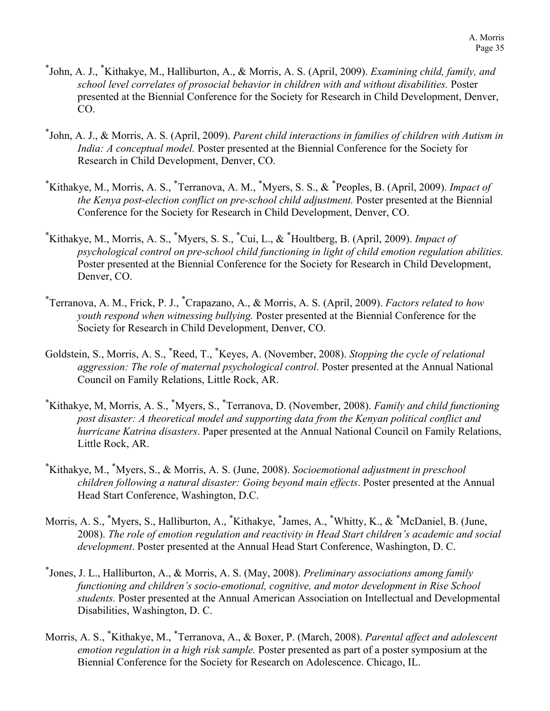- \* John, A. J., \* Kithakye, M., Halliburton, A., & Morris, A. S. (April, 2009). *Examining child, family, and school level correlates of prosocial behavior in children with and without disabilities.* Poster presented at the Biennial Conference for the Society for Research in Child Development, Denver, CO.
- \* John, A. J., & Morris, A. S. (April, 2009). *Parent child interactions in families of children with Autism in India: A conceptual model.* Poster presented at the Biennial Conference for the Society for Research in Child Development, Denver, CO.
- \* Kithakye, M., Morris, A. S., \* Terranova, A. M., \* Myers, S. S., & \* Peoples, B. (April, 2009). *Impact of the Kenya post-election conflict on pre-school child adjustment.* Poster presented at the Biennial Conference for the Society for Research in Child Development, Denver, CO.
- \* Kithakye, M., Morris, A. S., \* Myers, S. S., \* Cui, L., & \* Houltberg, B. (April, 2009). *Impact of psychological control on pre-school child functioning in light of child emotion regulation abilities.*  Poster presented at the Biennial Conference for the Society for Research in Child Development, Denver, CO.
- \* Terranova, A. M., Frick, P. J., \* Crapazano, A., & Morris, A. S. (April, 2009). *Factors related to how youth respond when witnessing bullying.* Poster presented at the Biennial Conference for the Society for Research in Child Development, Denver, CO.
- Goldstein, S., Morris, A. S., \* Reed, T., \* Keyes, A. (November, 2008). *Stopping the cycle of relational aggression: The role of maternal psychological control.* Poster presented at the Annual National Council on Family Relations, Little Rock, AR.
- \* Kithakye, M, Morris, A. S., \* Myers, S., \* Terranova, D. (November, 2008). *Family and child functioning post disaster: A theoretical model and supporting data from the Kenyan political conflict and hurricane Katrina disasters*. Paper presented at the Annual National Council on Family Relations, Little Rock, AR.
- \* Kithakye, M., \* Myers, S., & Morris, A. S. (June, 2008). *Socioemotional adjustment in preschool children following a natural disaster: Going beyond main effects*. Poster presented at the Annual Head Start Conference, Washington, D.C.
- Morris, A. S., \*Myers, S., Halliburton, A., \*Kithakye, \*James, A., \*Whitty, K., & \*McDaniel, B. (June, 2008). *The role of emotion regulation and reactivity in Head Start children's academic and social development*. Poster presented at the Annual Head Start Conference, Washington, D. C.
- \* Jones, J. L., Halliburton, A., & Morris, A. S. (May, 2008). *Preliminary associations among family functioning and children's socio-emotional, cognitive, and motor development in Rise School students.* Poster presented at the Annual American Association on Intellectual and Developmental Disabilities, Washington, D. C.
- Morris, A. S., \* Kithakye, M., \* Terranova, A., & Boxer, P. (March, 2008). *Parental affect and adolescent emotion regulation in a high risk sample.* Poster presented as part of a poster symposium at the Biennial Conference for the Society for Research on Adolescence. Chicago, IL.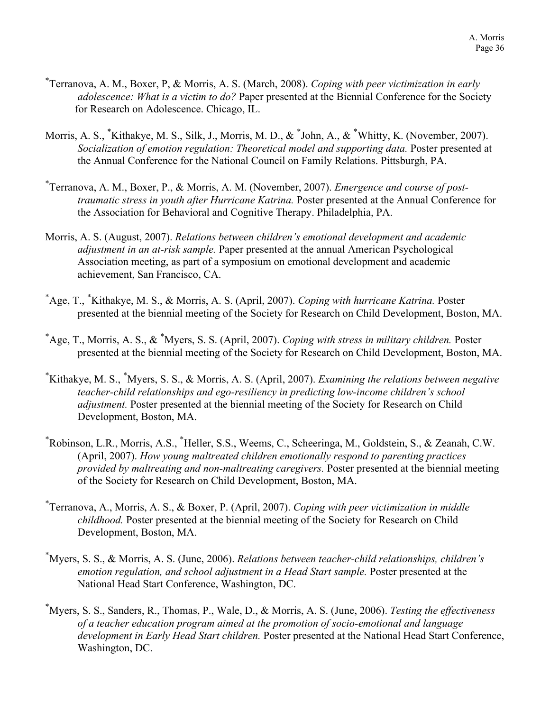- \* Terranova, A. M., Boxer, P, & Morris, A. S. (March, 2008). *Coping with peer victimization in early adolescence: What is a victim to do?* Paper presented at the Biennial Conference for the Society for Research on Adolescence. Chicago, IL.
- Morris, A. S., \*Kithakye, M. S., Silk, J., Morris, M. D., & \*John, A., & \*Whitty, K. (November, 2007). *Socialization of emotion regulation: Theoretical model and supporting data.* Poster presented at the Annual Conference for the National Council on Family Relations. Pittsburgh, PA.
- \* Terranova, A. M., Boxer, P., & Morris, A. M. (November, 2007). *Emergence and course of posttraumatic stress in youth after Hurricane Katrina.* Poster presented at the Annual Conference for the Association for Behavioral and Cognitive Therapy. Philadelphia, PA.
- Morris, A. S. (August, 2007). *Relations between children's emotional development and academic adjustment in an at-risk sample.* Paper presented at the annual American Psychological Association meeting, as part of a symposium on emotional development and academic achievement, San Francisco, CA.
- \* Age, T., \* Kithakye, M. S., & Morris, A. S. (April, 2007). *Coping with hurricane Katrina.* Poster presented at the biennial meeting of the Society for Research on Child Development, Boston, MA.
- \* Age, T., Morris, A. S., & \* Myers, S. S. (April, 2007). *Coping with stress in military children.* Poster presented at the biennial meeting of the Society for Research on Child Development, Boston, MA.
- \* Kithakye, M. S., \* Myers, S. S., & Morris, A. S. (April, 2007). *Examining the relations between negative teacher-child relationships and ego-resiliency in predicting low-income children's school adjustment.* Poster presented at the biennial meeting of the Society for Research on Child Development, Boston, MA.
- \* Robinson, L.R., Morris, A.S., \* Heller, S.S., Weems, C., Scheeringa, M., Goldstein, S., & Zeanah, C.W. (April, 2007). *How young maltreated children emotionally respond to parenting practices provided by maltreating and non-maltreating caregivers.* Poster presented at the biennial meeting of the Society for Research on Child Development, Boston, MA.
- \* Terranova, A., Morris, A. S., & Boxer, P. (April, 2007). *Coping with peer victimization in middle childhood.* Poster presented at the biennial meeting of the Society for Research on Child Development, Boston, MA.
- \* Myers, S. S., & Morris, A. S. (June, 2006). *Relations between teacher-child relationships, children's emotion regulation, and school adjustment in a Head Start sample.* Poster presented at the National Head Start Conference, Washington, DC.
- \* Myers, S. S., Sanders, R., Thomas, P., Wale, D., & Morris, A. S. (June, 2006). *Testing the effectiveness of a teacher education program aimed at the promotion of socio-emotional and language development in Early Head Start children.* Poster presented at the National Head Start Conference, Washington, DC.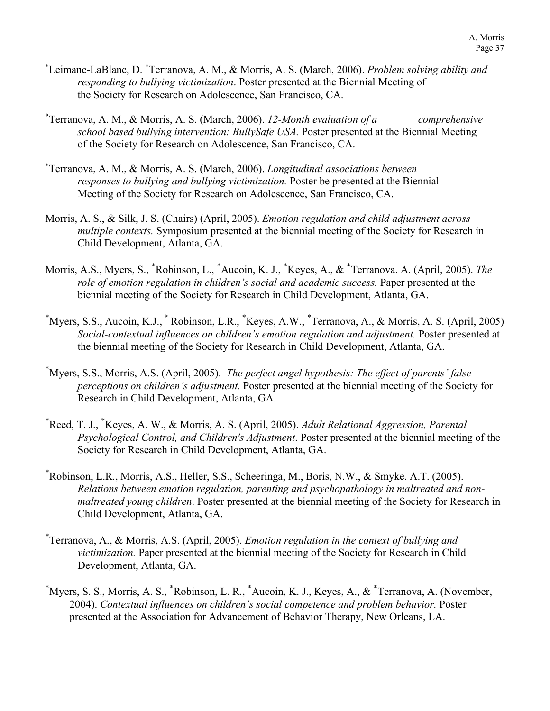- \* Leimane-LaBlanc, D. \* Terranova, A. M., & Morris, A. S. (March, 2006). *Problem solving ability and responding to bullying victimization*. Poster presented at the Biennial Meeting of the Society for Research on Adolescence, San Francisco, CA.
- \* Terranova, A. M., & Morris, A. S. (March, 2006). *12-Month evaluation of a comprehensive school based bullying intervention: BullySafe USA.* Poster presented at the Biennial Meeting of the Society for Research on Adolescence, San Francisco, CA.
- \* Terranova, A. M., & Morris, A. S. (March, 2006). *Longitudinal associations between responses to bullying and bullying victimization.* Poster be presented at the Biennial Meeting of the Society for Research on Adolescence, San Francisco, CA.
- Morris, A. S., & Silk, J. S. (Chairs) (April, 2005). *Emotion regulation and child adjustment across multiple contexts.* Symposium presented at the biennial meeting of the Society for Research in Child Development, Atlanta, GA.
- Morris, A.S., Myers, S., \* Robinson, L., \* Aucoin, K. J., \* Keyes, A., & \* Terranova. A. (April, 2005). *The role of emotion regulation in children's social and academic success.* Paper presented at the biennial meeting of the Society for Research in Child Development, Atlanta, GA.
- \* Myers, S.S., Aucoin, K.J., \* Robinson, L.R., \* Keyes, A.W., \* Terranova, A., & Morris, A. S. (April, 2005) *Social-contextual influences on children's emotion regulation and adjustment.* Poster presented at the biennial meeting of the Society for Research in Child Development, Atlanta, GA.
- \* Myers, S.S., Morris, A.S. (April, 2005). *The perfect angel hypothesis: The effect of parents' false perceptions on children's adjustment.* Poster presented at the biennial meeting of the Society for Research in Child Development, Atlanta, GA.
- \* Reed, T. J., \* Keyes, A. W., & Morris, A. S. (April, 2005). *Adult Relational Aggression, Parental Psychological Control, and Children's Adjustment*. Poster presented at the biennial meeting of the Society for Research in Child Development, Atlanta, GA.
- \* Robinson, L.R., Morris, A.S., Heller, S.S., Scheeringa, M., Boris, N.W., & Smyke. A.T. (2005). *Relations between emotion regulation, parenting and psychopathology in maltreated and nonmaltreated young children*. Poster presented at the biennial meeting of the Society for Research in Child Development, Atlanta, GA.
- \* Terranova, A., & Morris, A.S. (April, 2005). *Emotion regulation in the context of bullying and victimization.* Paper presented at the biennial meeting of the Society for Research in Child Development, Atlanta, GA.
- \* Myers, S. S., Morris, A. S., \* Robinson, L. R., \* Aucoin, K. J., Keyes, A., & \* Terranova, A. (November, 2004). *Contextual influences on children's social competence and problem behavior.* Poster presented at the Association for Advancement of Behavior Therapy, New Orleans, LA.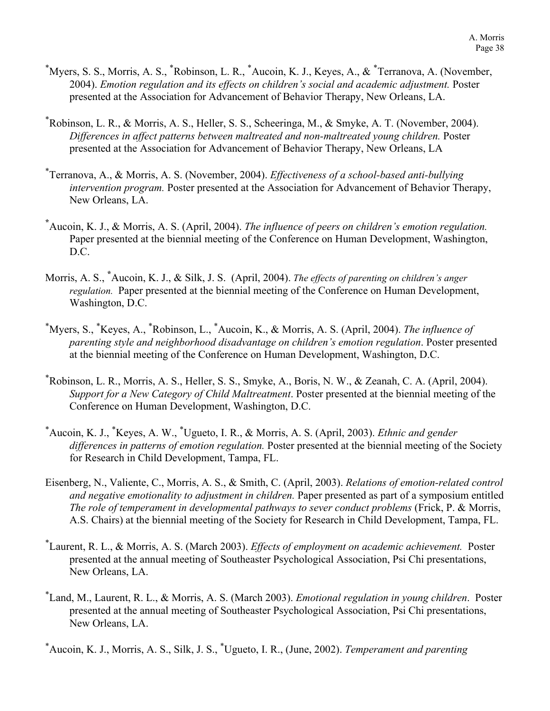- \* Myers, S. S., Morris, A. S., \* Robinson, L. R., \* Aucoin, K. J., Keyes, A., & \* Terranova, A. (November, 2004). *Emotion regulation and its effects on children's social and academic adjustment.* Poster presented at the Association for Advancement of Behavior Therapy, New Orleans, LA.
- \* Robinson, L. R., & Morris, A. S., Heller, S. S., Scheeringa, M., & Smyke, A. T. (November, 2004). *Differences in affect patterns between maltreated and non-maltreated young children.* Poster presented at the Association for Advancement of Behavior Therapy, New Orleans, LA
- \* Terranova, A., & Morris, A. S. (November, 2004). *Effectiveness of a school-based anti-bullying intervention program.* Poster presented at the Association for Advancement of Behavior Therapy, New Orleans, LA.
- **\*** Aucoin, K. J., & Morris, A. S. (April, 2004). *The influence of peers on children's emotion regulation.*  Paper presented at the biennial meeting of the Conference on Human Development, Washington, D.C.
- Morris, A. S., **\*** Aucoin, K. J., & Silk, J. S. (April, 2004). *The effects of parenting on children's anger regulation.* Paper presented at the biennial meeting of the Conference on Human Development, Washington, D.C.
- \* Myers, S., \* Keyes, A., \* Robinson, L., \* Aucoin, K., & Morris, A. S. (April, 2004). *The influence of parenting style and neighborhood disadvantage on children's emotion regulation*. Poster presented at the biennial meeting of the Conference on Human Development, Washington, D.C.
- \* Robinson, L. R., Morris, A. S., Heller, S. S., Smyke, A., Boris, N. W., & Zeanah, C. A. (April, 2004). *Support for a New Category of Child Maltreatment*. Poster presented at the biennial meeting of the Conference on Human Development, Washington, D.C.
- \* Aucoin, K. J., \* Keyes, A. W., \* Ugueto, I. R., & Morris, A. S. (April, 2003). *Ethnic and gender differences in patterns of emotion regulation.* Poster presented at the biennial meeting of the Society for Research in Child Development, Tampa, FL.
- Eisenberg, N., Valiente, C., Morris, A. S., & Smith, C. (April, 2003). *Relations of emotion-related control and negative emotionality to adjustment in children.* Paper presented as part of a symposium entitled *The role of temperament in developmental pathways to sever conduct problems* (Frick, P. & Morris, A.S. Chairs) at the biennial meeting of the Society for Research in Child Development, Tampa, FL.
- \* Laurent, R. L., & Morris, A. S. (March 2003). *Effects of employment on academic achievement.* Poster presented at the annual meeting of Southeaster Psychological Association, Psi Chi presentations, New Orleans, LA.
- \* Land, M., Laurent, R. L., & Morris, A. S. (March 2003). *Emotional regulation in young children*. Poster presented at the annual meeting of Southeaster Psychological Association, Psi Chi presentations, New Orleans, LA.
- \* Aucoin, K. J., Morris, A. S., Silk, J. S., \* Ugueto, I. R., (June, 2002). *Temperament and parenting*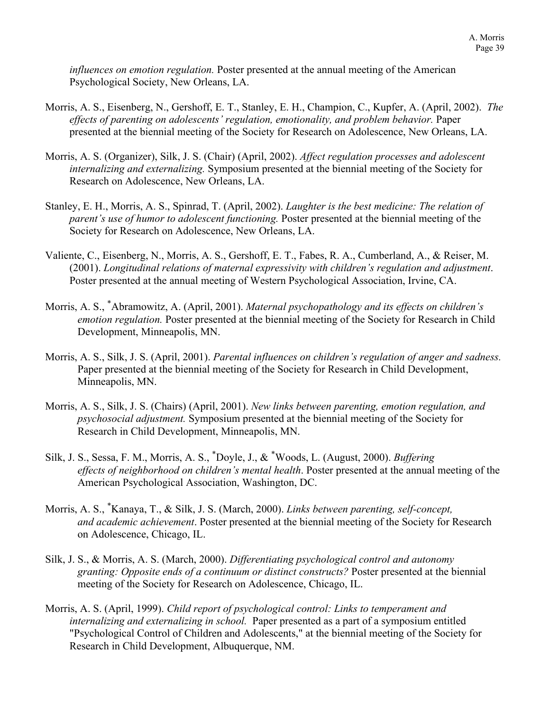*influences on emotion regulation.* Poster presented at the annual meeting of the American Psychological Society, New Orleans, LA.

- Morris, A. S., Eisenberg, N., Gershoff, E. T., Stanley, E. H., Champion, C., Kupfer, A. (April, 2002). *The effects of parenting on adolescents' regulation, emotionality, and problem behavior.* Paper presented at the biennial meeting of the Society for Research on Adolescence, New Orleans, LA.
- Morris, A. S. (Organizer), Silk, J. S. (Chair) (April, 2002). *Affect regulation processes and adolescent internalizing and externalizing.* Symposium presented at the biennial meeting of the Society for Research on Adolescence, New Orleans, LA.
- Stanley, E. H., Morris, A. S., Spinrad, T. (April, 2002). *Laughter is the best medicine: The relation of parent's use of humor to adolescent functioning.* Poster presented at the biennial meeting of the Society for Research on Adolescence, New Orleans, LA.
- Valiente, C., Eisenberg, N., Morris, A. S., Gershoff, E. T., Fabes, R. A., Cumberland, A., & Reiser, M. (2001). *Longitudinal relations of maternal expressivity with children's regulation and adjustment*. Poster presented at the annual meeting of Western Psychological Association, Irvine, CA.
- Morris, A. S., \* Abramowitz, A. (April, 2001). *Maternal psychopathology and its effects on children's emotion regulation.* Poster presented at the biennial meeting of the Society for Research in Child Development, Minneapolis, MN.
- Morris, A. S., Silk, J. S. (April, 2001). *Parental influences on children's regulation of anger and sadness.* Paper presented at the biennial meeting of the Society for Research in Child Development, Minneapolis, MN.
- Morris, A. S., Silk, J. S. (Chairs) (April, 2001). *New links between parenting, emotion regulation, and psychosocial adjustment.* Symposium presented at the biennial meeting of the Society for Research in Child Development, Minneapolis, MN.
- Silk, J. S., Sessa, F. M., Morris, A. S., \* Doyle, J., & \* Woods, L. (August, 2000). *Buffering effects of neighborhood on children's mental health*. Poster presented at the annual meeting of the American Psychological Association, Washington, DC.
- Morris, A. S., \* Kanaya, T., & Silk, J. S. (March, 2000). *Links between parenting, self-concept, and academic achievement*. Poster presented at the biennial meeting of the Society for Research on Adolescence, Chicago, IL.
- Silk, J. S., & Morris, A. S. (March, 2000). *Differentiating psychological control and autonomy granting: Opposite ends of a continuum or distinct constructs?* Poster presented at the biennial meeting of the Society for Research on Adolescence, Chicago, IL.
- Morris, A. S. (April, 1999). *Child report of psychological control: Links to temperament and internalizing and externalizing in school.* Paper presented as a part of a symposium entitled "Psychological Control of Children and Adolescents," at the biennial meeting of the Society for Research in Child Development, Albuquerque, NM.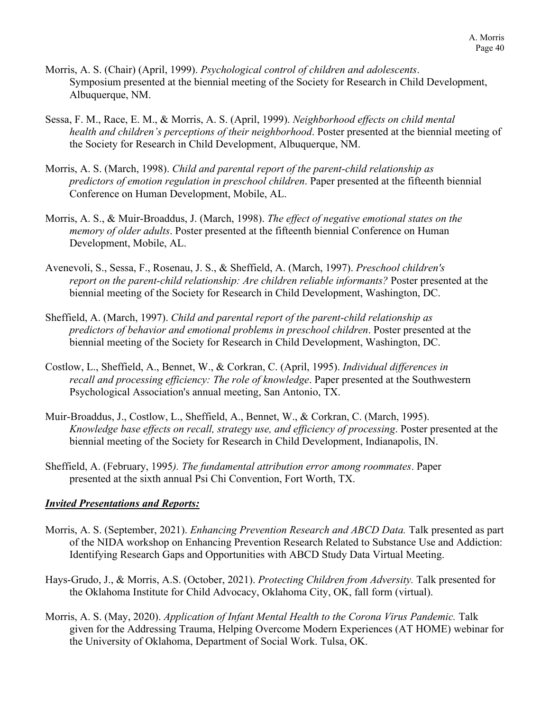- Morris, A. S. (Chair) (April, 1999). *Psychological control of children and adolescents*. Symposium presented at the biennial meeting of the Society for Research in Child Development, Albuquerque, NM.
- Sessa, F. M., Race, E. M., & Morris, A. S. (April, 1999). *Neighborhood effects on child mental health and children's perceptions of their neighborhood*. Poster presented at the biennial meeting of the Society for Research in Child Development, Albuquerque, NM.
- Morris, A. S. (March, 1998). *Child and parental report of the parent-child relationship as predictors of emotion regulation in preschool children*. Paper presented at the fifteenth biennial Conference on Human Development, Mobile, AL.
- Morris, A. S., & Muir-Broaddus, J. (March, 1998). *The effect of negative emotional states on the memory of older adults*. Poster presented at the fifteenth biennial Conference on Human Development, Mobile, AL.
- Avenevoli, S., Sessa, F., Rosenau, J. S., & Sheffield, A. (March, 1997). *Preschool children's report on the parent-child relationship: Are children reliable informants?* Poster presented at the biennial meeting of the Society for Research in Child Development, Washington, DC.
- Sheffield, A. (March, 1997). *Child and parental report of the parent-child relationship as predictors of behavior and emotional problems in preschool children*. Poster presented at the biennial meeting of the Society for Research in Child Development, Washington, DC.
- Costlow, L., Sheffield, A., Bennet, W., & Corkran, C. (April, 1995). *Individual differences in recall and processing efficiency: The role of knowledge*. Paper presented at the Southwestern Psychological Association's annual meeting, San Antonio, TX.
- Muir-Broaddus, J., Costlow, L., Sheffield, A., Bennet, W., & Corkran, C. (March, 1995). *Knowledge base effects on recall, strategy use, and efficiency of processing*. Poster presented at the biennial meeting of the Society for Research in Child Development, Indianapolis, IN.
- Sheffield, A. (February, 1995*). The fundamental attribution error among roommates*. Paper presented at the sixth annual Psi Chi Convention, Fort Worth, TX.

## *Invited Presentations and Reports:*

- Morris, A. S. (September, 2021). *Enhancing Prevention Research and ABCD Data.* Talk presented as part of the NIDA workshop on Enhancing Prevention Research Related to Substance Use and Addiction: Identifying Research Gaps and Opportunities with ABCD Study Data Virtual Meeting.
- Hays-Grudo, J., & Morris, A.S. (October, 2021). *Protecting Children from Adversity.* Talk presented for the Oklahoma Institute for Child Advocacy, Oklahoma City, OK, fall form (virtual).
- Morris, A. S. (May, 2020). *Application of Infant Mental Health to the Corona Virus Pandemic.* Talk given for the Addressing Trauma, Helping Overcome Modern Experiences (AT HOME) webinar for the University of Oklahoma, Department of Social Work. Tulsa, OK.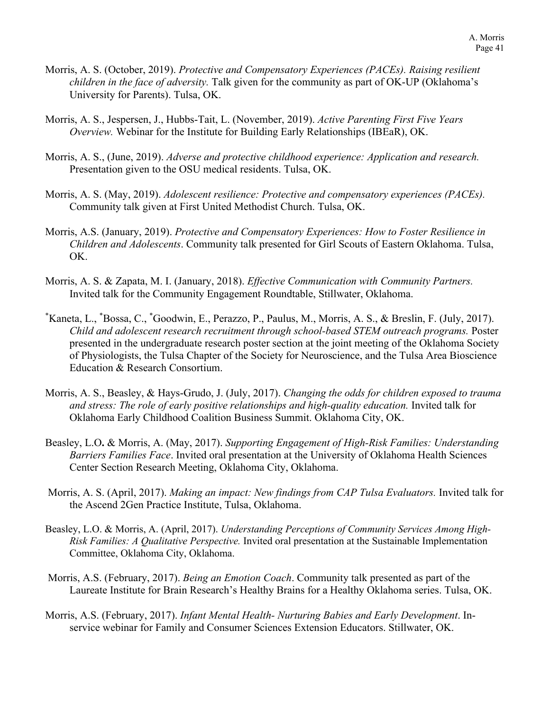- Morris, A. S. (October, 2019). *Protective and Compensatory Experiences (PACEs). Raising resilient children in the face of adversity.* Talk given for the community as part of OK-UP (Oklahoma's University for Parents). Tulsa, OK.
- Morris, A. S., Jespersen, J., Hubbs-Tait, L. (November, 2019). *Active Parenting First Five Years Overview.* Webinar for the Institute for Building Early Relationships (IBEaR), OK.
- Morris, A. S., (June, 2019). *Adverse and protective childhood experience: Application and research.*  Presentation given to the OSU medical residents. Tulsa, OK.
- Morris, A. S. (May, 2019). *Adolescent resilience: Protective and compensatory experiences (PACEs).*  Community talk given at First United Methodist Church. Tulsa, OK.
- Morris, A.S. (January, 2019). *Protective and Compensatory Experiences: How to Foster Resilience in Children and Adolescents*. Community talk presented for Girl Scouts of Eastern Oklahoma. Tulsa, OK.
- Morris, A. S. & Zapata, M. I. (January, 2018). *Effective Communication with Community Partners.*  Invited talk for the Community Engagement Roundtable, Stillwater, Oklahoma.
- \* Kaneta, L., \* Bossa, C., \* Goodwin, E., Perazzo, P., Paulus, M., Morris, A. S., & Breslin, F. (July, 2017). *Child and adolescent research recruitment through school-based STEM outreach programs.* Poster presented in the undergraduate research poster section at the joint meeting of the Oklahoma Society of Physiologists, the Tulsa Chapter of the Society for Neuroscience, and the Tulsa Area Bioscience Education & Research Consortium.
- Morris, A. S., Beasley, & Hays-Grudo, J. (July, 2017). *Changing the odds for children exposed to trauma*  and stress: The role of early positive relationships and high-quality education. Invited talk for Oklahoma Early Childhood Coalition Business Summit. Oklahoma City, OK.
- Beasley, L.O**.** & Morris, A. (May, 2017). *Supporting Engagement of High-Risk Families: Understanding Barriers Families Face*. Invited oral presentation at the University of Oklahoma Health Sciences Center Section Research Meeting, Oklahoma City, Oklahoma.
- Morris, A. S. (April, 2017). *Making an impact: New findings from CAP Tulsa Evaluators.* Invited talk for the Ascend 2Gen Practice Institute, Tulsa, Oklahoma.
- Beasley, L.O. & Morris, A. (April, 2017). *Understanding Perceptions of Community Services Among High-Risk Families: A Qualitative Perspective.* Invited oral presentation at the Sustainable Implementation Committee, Oklahoma City, Oklahoma.
- Morris, A.S. (February, 2017). *Being an Emotion Coach*. Community talk presented as part of the Laureate Institute for Brain Research's Healthy Brains for a Healthy Oklahoma series. Tulsa, OK.
- Morris, A.S. (February, 2017). *Infant Mental Health- Nurturing Babies and Early Development*. Inservice webinar for Family and Consumer Sciences Extension Educators. Stillwater, OK.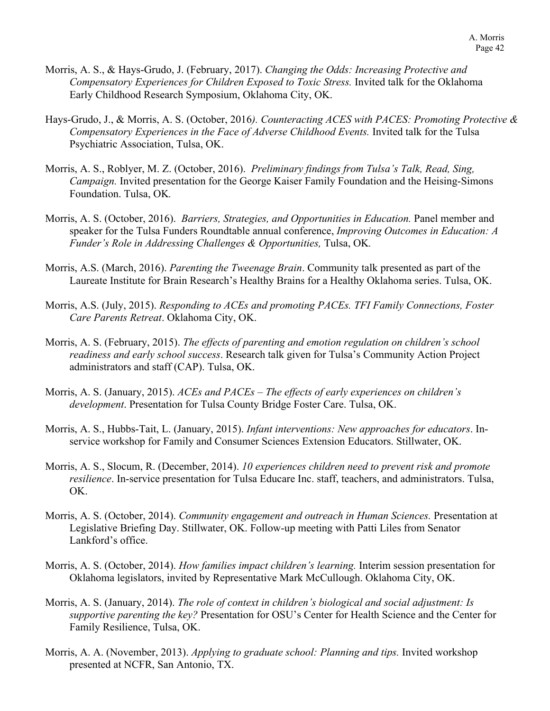- Morris, A. S., & Hays-Grudo, J. (February, 2017). *Changing the Odds: Increasing Protective and Compensatory Experiences for Children Exposed to Toxic Stress.* Invited talk for the Oklahoma Early Childhood Research Symposium, Oklahoma City, OK.
- Hays-Grudo, J., & Morris, A. S. (October, 2016*). Counteracting ACES with PACES: Promoting Protective & Compensatory Experiences in the Face of Adverse Childhood Events.* Invited talk for the Tulsa Psychiatric Association, Tulsa, OK.
- Morris, A. S., Roblyer, M. Z. (October, 2016). *Preliminary findings from Tulsa's Talk, Read, Sing, Campaign.* Invited presentation for the George Kaiser Family Foundation and the Heising-Simons Foundation. Tulsa, OK*.*
- Morris, A. S. (October, 2016). *Barriers, Strategies, and Opportunities in Education.* Panel member and speaker for the Tulsa Funders Roundtable annual conference, *Improving Outcomes in Education: A Funder's Role in Addressing Challenges & Opportunities,* Tulsa, OK*.*
- Morris, A.S. (March, 2016). *Parenting the Tweenage Brain*. Community talk presented as part of the Laureate Institute for Brain Research's Healthy Brains for a Healthy Oklahoma series. Tulsa, OK.
- Morris, A.S. (July, 2015). *Responding to ACEs and promoting PACEs. TFI Family Connections, Foster Care Parents Retreat*. Oklahoma City, OK.
- Morris, A. S. (February, 2015). *The effects of parenting and emotion regulation on children's school readiness and early school success*. Research talk given for Tulsa's Community Action Project administrators and staff (CAP). Tulsa, OK.
- Morris, A. S. (January, 2015). *ACEs and PACEs – The effects of early experiences on children's development*. Presentation for Tulsa County Bridge Foster Care. Tulsa, OK.
- Morris, A. S., Hubbs-Tait, L. (January, 2015). *Infant interventions: New approaches for educators*. Inservice workshop for Family and Consumer Sciences Extension Educators. Stillwater, OK.
- Morris, A. S., Slocum, R. (December, 2014). *10 experiences children need to prevent risk and promote resilience*. In-service presentation for Tulsa Educare Inc. staff, teachers, and administrators. Tulsa, OK.
- Morris, A. S. (October, 2014). *Community engagement and outreach in Human Sciences.* Presentation at Legislative Briefing Day. Stillwater, OK. Follow-up meeting with Patti Liles from Senator Lankford's office.
- Morris, A. S. (October, 2014). *How families impact children's learning.* Interim session presentation for Oklahoma legislators, invited by Representative Mark McCullough. Oklahoma City, OK.
- Morris, A. S. (January, 2014). *The role of context in children's biological and social adjustment: Is supportive parenting the key?* Presentation for OSU's Center for Health Science and the Center for Family Resilience, Tulsa, OK.
- Morris, A. A. (November, 2013). *Applying to graduate school: Planning and tips.* Invited workshop presented at NCFR, San Antonio, TX.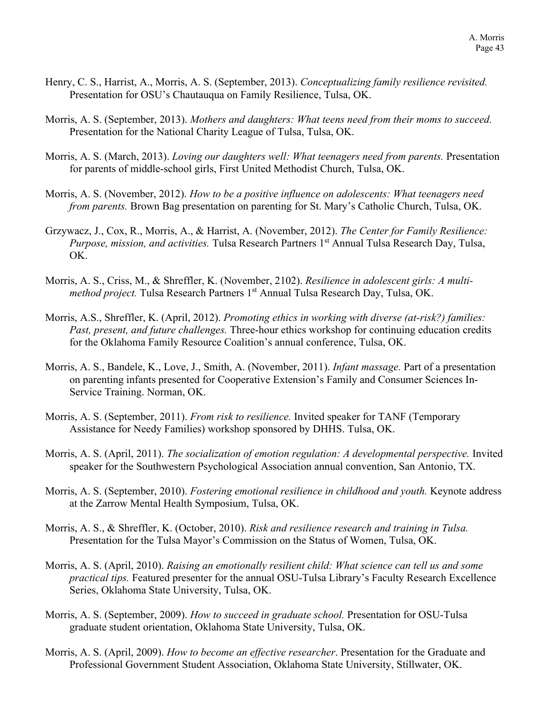- Henry, C. S., Harrist, A., Morris, A. S. (September, 2013). *Conceptualizing family resilience revisited.* Presentation for OSU's Chautauqua on Family Resilience, Tulsa, OK.
- Morris, A. S. (September, 2013). *Mothers and daughters: What teens need from their moms to succeed.*  Presentation for the National Charity League of Tulsa, Tulsa, OK.
- Morris, A. S. (March, 2013). *Loving our daughters well: What teenagers need from parents.* Presentation for parents of middle-school girls, First United Methodist Church, Tulsa, OK.
- Morris, A. S. (November, 2012). *How to be a positive influence on adolescents: What teenagers need from parents.* Brown Bag presentation on parenting for St. Mary's Catholic Church, Tulsa, OK.
- Grzywacz, J., Cox, R., Morris, A., & Harrist, A. (November, 2012). *The Center for Family Resilience: Purpose, mission, and activities.* Tulsa Research Partners 1st Annual Tulsa Research Day, Tulsa, OK.
- Morris, A. S., Criss, M., & Shreffler, K. (November, 2102). *Resilience in adolescent girls: A multimethod project.* Tulsa Research Partners 1<sup>st</sup> Annual Tulsa Research Day, Tulsa, OK.
- Morris, A.S., Shreffler, K. (April, 2012). *Promoting ethics in working with diverse (at-risk?) families: Past, present, and future challenges.* Three-hour ethics workshop for continuing education credits for the Oklahoma Family Resource Coalition's annual conference, Tulsa, OK.
- Morris, A. S., Bandele, K., Love, J., Smith, A. (November, 2011). *Infant massage.* Part of a presentation on parenting infants presented for Cooperative Extension's Family and Consumer Sciences In-Service Training. Norman, OK.
- Morris, A. S. (September, 2011). *From risk to resilience.* Invited speaker for TANF (Temporary Assistance for Needy Families) workshop sponsored by DHHS. Tulsa, OK.
- Morris, A. S. (April, 2011). *The socialization of emotion regulation: A developmental perspective.* Invited speaker for the Southwestern Psychological Association annual convention, San Antonio, TX.
- Morris, A. S. (September, 2010). *Fostering emotional resilience in childhood and youth.* Keynote address at the Zarrow Mental Health Symposium, Tulsa, OK.
- Morris, A. S., & Shreffler, K. (October, 2010). *Risk and resilience research and training in Tulsa.*  Presentation for the Tulsa Mayor's Commission on the Status of Women, Tulsa, OK.
- Morris, A. S. (April, 2010). *Raising an emotionally resilient child: What science can tell us and some practical tips.* Featured presenter for the annual OSU-Tulsa Library's Faculty Research Excellence Series, Oklahoma State University, Tulsa, OK.
- Morris, A. S. (September, 2009). *How to succeed in graduate school.* Presentation for OSU-Tulsa graduate student orientation, Oklahoma State University, Tulsa, OK.
- Morris, A. S. (April, 2009). *How to become an effective researcher*. Presentation for the Graduate and Professional Government Student Association, Oklahoma State University, Stillwater, OK.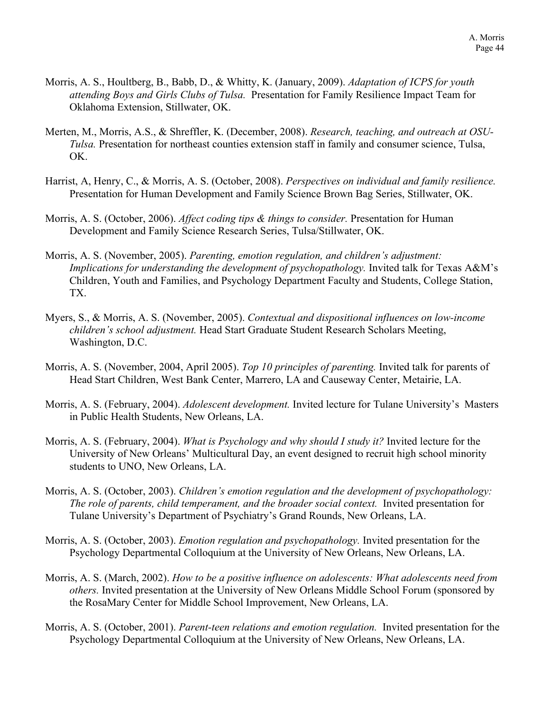- Morris, A. S., Houltberg, B., Babb, D., & Whitty, K. (January, 2009). *Adaptation of ICPS for youth attending Boys and Girls Clubs of Tulsa.* Presentation for Family Resilience Impact Team for Oklahoma Extension, Stillwater, OK.
- Merten, M., Morris, A.S., & Shreffler, K. (December, 2008). *Research, teaching, and outreach at OSU-Tulsa.* Presentation for northeast counties extension staff in family and consumer science, Tulsa, OK.
- Harrist, A, Henry, C., & Morris, A. S. (October, 2008). *Perspectives on individual and family resilience.*  Presentation for Human Development and Family Science Brown Bag Series, Stillwater, OK.
- Morris, A. S. (October, 2006). *Affect coding tips & things to consider.* Presentation for Human Development and Family Science Research Series, Tulsa/Stillwater, OK.
- Morris, A. S. (November, 2005). *Parenting, emotion regulation, and children's adjustment: Implications for understanding the development of psychopathology*. Invited talk for Texas A&M's Children, Youth and Families, and Psychology Department Faculty and Students, College Station, TX.
- Myers, S., & Morris, A. S. (November, 2005). *Contextual and dispositional influences on low-income children's school adjustment.* Head Start Graduate Student Research Scholars Meeting, Washington, D.C.
- Morris, A. S. (November, 2004, April 2005). *Top 10 principles of parenting.* Invited talk for parents of Head Start Children, West Bank Center, Marrero, LA and Causeway Center, Metairie, LA.
- Morris, A. S. (February, 2004). *Adolescent development.* Invited lecture for Tulane University's Masters in Public Health Students, New Orleans, LA.
- Morris, A. S. (February, 2004). *What is Psychology and why should I study it?* Invited lecture for the University of New Orleans' Multicultural Day, an event designed to recruit high school minority students to UNO, New Orleans, LA.
- Morris, A. S. (October, 2003). *Children's emotion regulation and the development of psychopathology: The role of parents, child temperament, and the broader social context.* Invited presentation for Tulane University's Department of Psychiatry's Grand Rounds, New Orleans, LA.
- Morris, A. S. (October, 2003). *Emotion regulation and psychopathology.* Invited presentation for the Psychology Departmental Colloquium at the University of New Orleans, New Orleans, LA.
- Morris, A. S. (March, 2002). *How to be a positive influence on adolescents: What adolescents need from others.* Invited presentation at the University of New Orleans Middle School Forum (sponsored by the RosaMary Center for Middle School Improvement, New Orleans, LA.
- Morris, A. S. (October, 2001). *Parent-teen relations and emotion regulation.* Invited presentation for the Psychology Departmental Colloquium at the University of New Orleans, New Orleans, LA.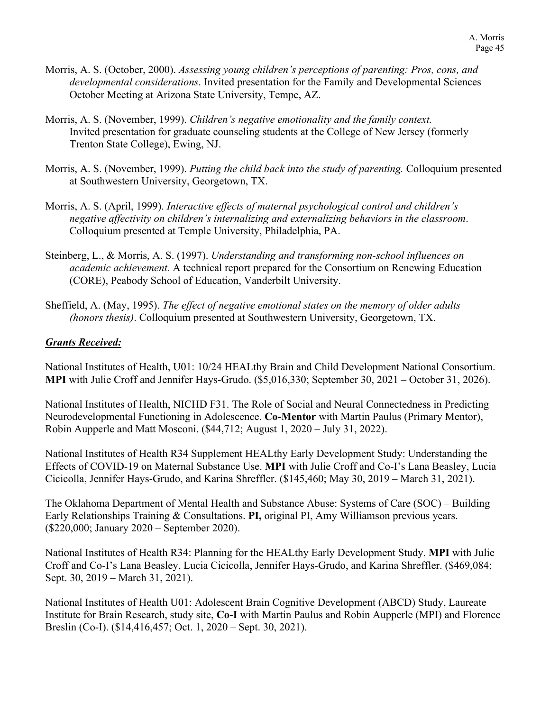- Morris, A. S. (October, 2000). *Assessing young children's perceptions of parenting: Pros, cons, and developmental considerations.* Invited presentation for the Family and Developmental Sciences October Meeting at Arizona State University, Tempe, AZ.
- Morris, A. S. (November, 1999). *Children's negative emotionality and the family context.*  Invited presentation for graduate counseling students at the College of New Jersey (formerly Trenton State College), Ewing, NJ.
- Morris, A. S. (November, 1999). *Putting the child back into the study of parenting.* Colloquium presented at Southwestern University, Georgetown, TX.
- Morris, A. S. (April, 1999). *Interactive effects of maternal psychological control and children's negative affectivity on children's internalizing and externalizing behaviors in the classroom*. Colloquium presented at Temple University, Philadelphia, PA.
- Steinberg, L., & Morris, A. S. (1997). *Understanding and transforming non-school influences on academic achievement.* A technical report prepared for the Consortium on Renewing Education (CORE), Peabody School of Education, Vanderbilt University.
- Sheffield, A. (May, 1995). *The effect of negative emotional states on the memory of older adults (honors thesis)*. Colloquium presented at Southwestern University, Georgetown, TX.

## *Grants Received:*

National Institutes of Health, U01: 10/24 HEALthy Brain and Child Development National Consortium. **MPI** with Julie Croff and Jennifer Hays-Grudo. (\$5,016,330; September 30, 2021 – October 31, 2026).

National Institutes of Health, NICHD F31. The Role of Social and Neural Connectedness in Predicting Neurodevelopmental Functioning in Adolescence. **Co-Mentor** with Martin Paulus (Primary Mentor), Robin Aupperle and Matt Mosconi. (\$44,712; August 1, 2020 – July 31, 2022).

National Institutes of Health R34 Supplement HEALthy Early Development Study: Understanding the Effects of COVID-19 on Maternal Substance Use. **MPI** with Julie Croff and Co-I's Lana Beasley, Lucia Cicicolla, Jennifer Hays-Grudo, and Karina Shreffler. (\$145,460; May 30, 2019 – March 31, 2021).

The Oklahoma Department of Mental Health and Substance Abuse: Systems of Care (SOC) – Building Early Relationships Training & Consultations. **PI,** original PI, Amy Williamson previous years. (\$220,000; January 2020 – September 2020).

National Institutes of Health R34: Planning for the HEALthy Early Development Study. **MPI** with Julie Croff and Co-I's Lana Beasley, Lucia Cicicolla, Jennifer Hays-Grudo, and Karina Shreffler. (\$469,084; Sept. 30, 2019 – March 31, 2021).

National Institutes of Health U01: Adolescent Brain Cognitive Development (ABCD) Study, Laureate Institute for Brain Research, study site, **Co-I** with Martin Paulus and Robin Aupperle (MPI) and Florence Breslin (Co-I). (\$14,416,457; Oct. 1, 2020 – Sept. 30, 2021).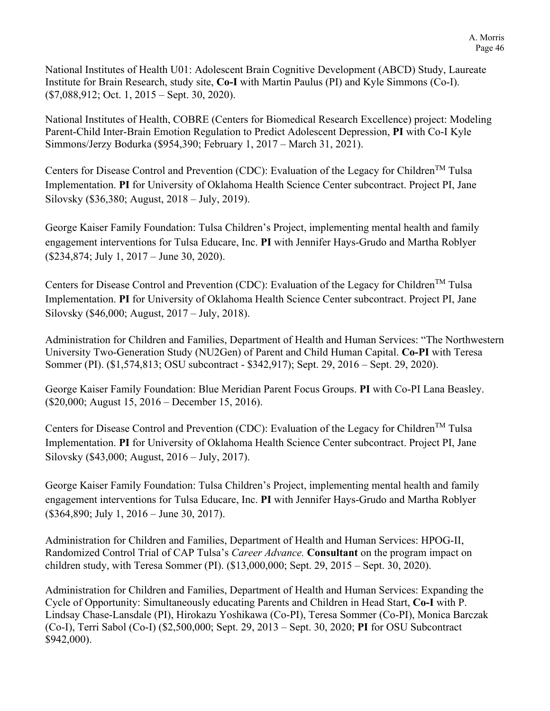National Institutes of Health U01: Adolescent Brain Cognitive Development (ABCD) Study, Laureate Institute for Brain Research, study site, **Co-I** with Martin Paulus (PI) and Kyle Simmons (Co-I). (\$7,088,912; Oct. 1, 2015 – Sept. 30, 2020).

National Institutes of Health, COBRE (Centers for Biomedical Research Excellence) project: Modeling Parent-Child Inter-Brain Emotion Regulation to Predict Adolescent Depression, **PI** with Co-I Kyle Simmons/Jerzy Bodurka (\$954,390; February 1, 2017 – March 31, 2021).

Centers for Disease Control and Prevention (CDC): Evaluation of the Legacy for Children<sup>TM</sup> Tulsa Implementation. **PI** for University of Oklahoma Health Science Center subcontract. Project PI, Jane Silovsky (\$36,380; August, 2018 – July, 2019).

George Kaiser Family Foundation: Tulsa Children's Project, implementing mental health and family engagement interventions for Tulsa Educare, Inc. **PI** with Jennifer Hays-Grudo and Martha Roblyer (\$234,874; July 1, 2017 – June 30, 2020).

Centers for Disease Control and Prevention (CDC): Evaluation of the Legacy for Children<sup>TM</sup> Tulsa Implementation. **PI** for University of Oklahoma Health Science Center subcontract. Project PI, Jane Silovsky (\$46,000; August, 2017 – July, 2018).

Administration for Children and Families, Department of Health and Human Services: "The Northwestern University Two-Generation Study (NU2Gen) of Parent and Child Human Capital. **Co-PI** with Teresa Sommer (PI). (\$1,574,813; OSU subcontract - \$342,917); Sept. 29, 2016 – Sept. 29, 2020).

George Kaiser Family Foundation: Blue Meridian Parent Focus Groups. **PI** with Co-PI Lana Beasley. (\$20,000; August 15, 2016 – December 15, 2016).

Centers for Disease Control and Prevention (CDC): Evaluation of the Legacy for Children<sup>TM</sup> Tulsa Implementation. **PI** for University of Oklahoma Health Science Center subcontract. Project PI, Jane Silovsky (\$43,000; August, 2016 – July, 2017).

George Kaiser Family Foundation: Tulsa Children's Project, implementing mental health and family engagement interventions for Tulsa Educare, Inc. **PI** with Jennifer Hays-Grudo and Martha Roblyer (\$364,890; July 1, 2016 – June 30, 2017).

Administration for Children and Families, Department of Health and Human Services: HPOG-II, Randomized Control Trial of CAP Tulsa's *Career Advance.* **Consultant** on the program impact on children study, with Teresa Sommer (PI). (\$13,000,000; Sept. 29, 2015 – Sept. 30, 2020).

Administration for Children and Families, Department of Health and Human Services: Expanding the Cycle of Opportunity: Simultaneously educating Parents and Children in Head Start, **Co-I** with P. Lindsay Chase-Lansdale (PI), Hirokazu Yoshikawa (Co-PI), Teresa Sommer (Co-PI), Monica Barczak (Co-I), Terri Sabol (Co-I) (\$2,500,000; Sept. 29, 2013 – Sept. 30, 2020; **PI** for OSU Subcontract \$942,000).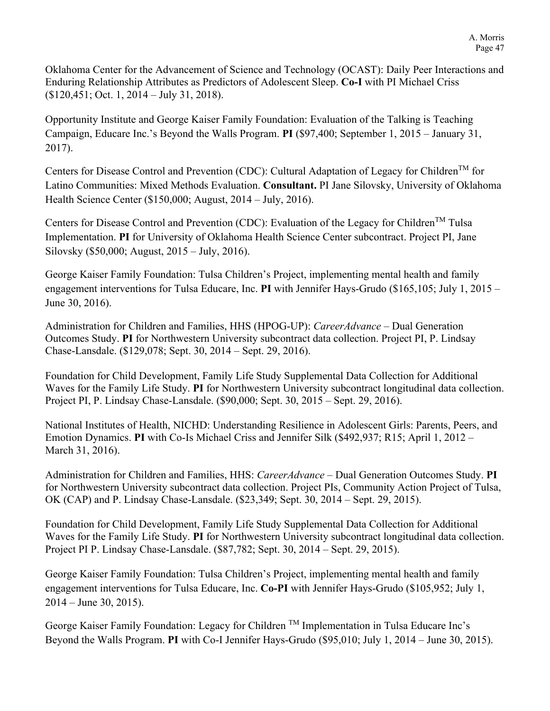Oklahoma Center for the Advancement of Science and Technology (OCAST): Daily Peer Interactions and Enduring Relationship Attributes as Predictors of Adolescent Sleep. **Co-I** with PI Michael Criss (\$120,451; Oct. 1, 2014 – July 31, 2018).

Opportunity Institute and George Kaiser Family Foundation: Evaluation of the Talking is Teaching Campaign, Educare Inc.'s Beyond the Walls Program. **PI** (\$97,400; September 1, 2015 – January 31, 2017).

Centers for Disease Control and Prevention (CDC): Cultural Adaptation of Legacy for Children<sup>TM</sup> for Latino Communities: Mixed Methods Evaluation. **Consultant.** PI Jane Silovsky, University of Oklahoma Health Science Center (\$150,000; August, 2014 – July, 2016).

Centers for Disease Control and Prevention (CDC): Evaluation of the Legacy for Children<sup>TM</sup> Tulsa Implementation. **PI** for University of Oklahoma Health Science Center subcontract. Project PI, Jane Silovsky (\$50,000; August, 2015 – July, 2016).

George Kaiser Family Foundation: Tulsa Children's Project, implementing mental health and family engagement interventions for Tulsa Educare, Inc. **PI** with Jennifer Hays-Grudo (\$165,105; July 1, 2015 – June 30, 2016).

Administration for Children and Families, HHS (HPOG-UP): *CareerAdvance* – Dual Generation Outcomes Study. **PI** for Northwestern University subcontract data collection. Project PI, P. Lindsay Chase-Lansdale. (\$129,078; Sept. 30, 2014 – Sept. 29, 2016).

Foundation for Child Development, Family Life Study Supplemental Data Collection for Additional Waves for the Family Life Study. **PI** for Northwestern University subcontract longitudinal data collection. Project PI, P. Lindsay Chase-Lansdale. (\$90,000; Sept. 30, 2015 – Sept. 29, 2016).

National Institutes of Health, NICHD: Understanding Resilience in Adolescent Girls: Parents, Peers, and Emotion Dynamics. **PI** with Co-Is Michael Criss and Jennifer Silk (\$492,937; R15; April 1, 2012 – March 31, 2016).

Administration for Children and Families, HHS: *CareerAdvance* – Dual Generation Outcomes Study. **PI** for Northwestern University subcontract data collection. Project PIs, Community Action Project of Tulsa, OK (CAP) and P. Lindsay Chase-Lansdale. (\$23,349; Sept. 30, 2014 – Sept. 29, 2015).

Foundation for Child Development, Family Life Study Supplemental Data Collection for Additional Waves for the Family Life Study. **PI** for Northwestern University subcontract longitudinal data collection. Project PI P. Lindsay Chase-Lansdale. (\$87,782; Sept. 30, 2014 – Sept. 29, 2015).

George Kaiser Family Foundation: Tulsa Children's Project, implementing mental health and family engagement interventions for Tulsa Educare, Inc. **Co-PI** with Jennifer Hays-Grudo (\$105,952; July 1, 2014 – June 30, 2015).

George Kaiser Family Foundation: Legacy for Children TM Implementation in Tulsa Educare Inc's Beyond the Walls Program. **PI** with Co-I Jennifer Hays-Grudo (\$95,010; July 1, 2014 – June 30, 2015).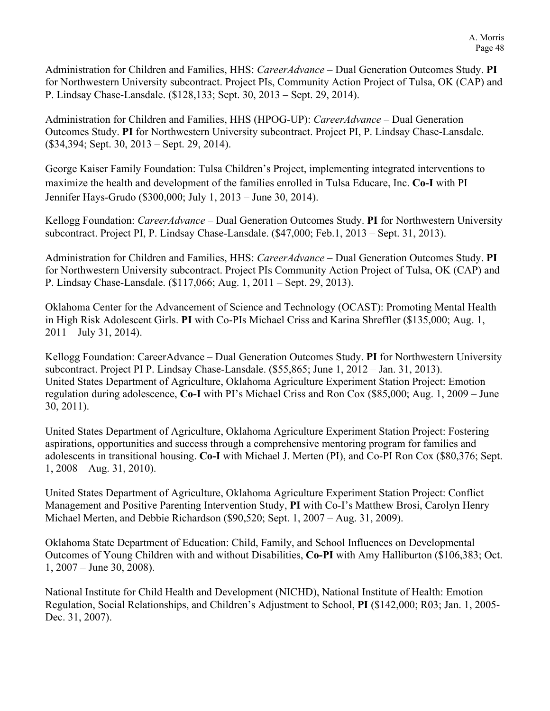Administration for Children and Families, HHS: *CareerAdvance* – Dual Generation Outcomes Study. **PI** for Northwestern University subcontract. Project PIs, Community Action Project of Tulsa, OK (CAP) and P. Lindsay Chase-Lansdale. (\$128,133; Sept. 30, 2013 – Sept. 29, 2014).

Administration for Children and Families, HHS (HPOG-UP): *CareerAdvance* – Dual Generation Outcomes Study. **PI** for Northwestern University subcontract. Project PI, P. Lindsay Chase-Lansdale. (\$34,394; Sept. 30, 2013 – Sept. 29, 2014).

George Kaiser Family Foundation: Tulsa Children's Project, implementing integrated interventions to maximize the health and development of the families enrolled in Tulsa Educare, Inc. **Co-I** with PI Jennifer Hays-Grudo (\$300,000; July 1, 2013 – June 30, 2014).

Kellogg Foundation: *CareerAdvance* – Dual Generation Outcomes Study. **PI** for Northwestern University subcontract. Project PI, P. Lindsay Chase-Lansdale. (\$47,000; Feb.1, 2013 – Sept. 31, 2013).

Administration for Children and Families, HHS: *CareerAdvance* – Dual Generation Outcomes Study. **PI** for Northwestern University subcontract. Project PIs Community Action Project of Tulsa, OK (CAP) and P. Lindsay Chase-Lansdale. (\$117,066; Aug. 1, 2011 – Sept. 29, 2013).

Oklahoma Center for the Advancement of Science and Technology (OCAST): Promoting Mental Health in High Risk Adolescent Girls. **PI** with Co-PIs Michael Criss and Karina Shreffler (\$135,000; Aug. 1,  $2011 - July 31, 2014$ .

Kellogg Foundation: CareerAdvance – Dual Generation Outcomes Study. **PI** for Northwestern University subcontract. Project PI P. Lindsay Chase-Lansdale. (\$55,865; June 1, 2012 – Jan. 31, 2013). United States Department of Agriculture, Oklahoma Agriculture Experiment Station Project: Emotion regulation during adolescence, **Co-I** with PI's Michael Criss and Ron Cox (\$85,000; Aug. 1, 2009 – June 30, 2011).

United States Department of Agriculture, Oklahoma Agriculture Experiment Station Project: Fostering aspirations, opportunities and success through a comprehensive mentoring program for families and adolescents in transitional housing. **Co-I** with Michael J. Merten (PI), and Co-PI Ron Cox (\$80,376; Sept. 1, 2008 – Aug. 31, 2010).

United States Department of Agriculture, Oklahoma Agriculture Experiment Station Project: Conflict Management and Positive Parenting Intervention Study, **PI** with Co-I's Matthew Brosi, Carolyn Henry Michael Merten, and Debbie Richardson (\$90,520; Sept. 1, 2007 – Aug. 31, 2009).

Oklahoma State Department of Education: Child, Family, and School Influences on Developmental Outcomes of Young Children with and without Disabilities, **Co-PI** with Amy Halliburton (\$106,383; Oct. 1, 2007 – June 30, 2008).

National Institute for Child Health and Development (NICHD), National Institute of Health: Emotion Regulation, Social Relationships, and Children's Adjustment to School, **PI** (\$142,000; R03; Jan. 1, 2005- Dec. 31, 2007).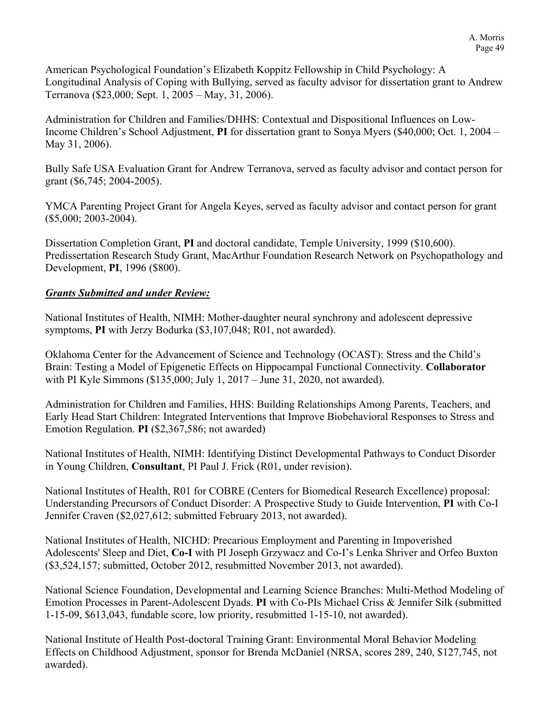American Psychological Foundation's Elizabeth Koppitz Fellowship in Child Psychology: A Longitudinal Analysis of Coping with Bullying, served as faculty advisor for dissertation grant to Andrew Terranova (\$23,000; Sept. 1, 2005 – May, 31, 2006).

Administration for Children and Families/DHHS: Contextual and Dispositional Influences on Low-Income Children's School Adjustment, **PI** for dissertation grant to Sonya Myers (\$40,000; Oct. 1, 2004 – May 31, 2006).

Bully Safe USA Evaluation Grant for Andrew Terranova, served as faculty advisor and contact person for grant (\$6,745; 2004-2005).

YMCA Parenting Project Grant for Angela Keyes, served as faculty advisor and contact person for grant (\$5,000; 2003-2004).

Dissertation Completion Grant, **PI** and doctoral candidate, Temple University, 1999 (\$10,600). Predissertation Research Study Grant, MacArthur Foundation Research Network on Psychopathology and Development, **PI**, 1996 (\$800).

## *Grants Submitted and under Review:*

National Institutes of Health, NIMH: Mother-daughter neural synchrony and adolescent depressive symptoms, **PI** with Jerzy Bodurka (\$3,107,048; R01, not awarded).

Oklahoma Center for the Advancement of Science and Technology (OCAST): Stress and the Child's Brain: Testing a Model of Epigenetic Effects on Hippocampal Functional Connectivity. **Collaborator** with PI Kyle Simmons (\$135,000; July 1, 2017 – June 31, 2020, not awarded).

Administration for Children and Families, HHS: Building Relationships Among Parents, Teachers, and Early Head Start Children: Integrated Interventions that Improve Biobehavioral Responses to Stress and Emotion Regulation. **PI** (\$2,367,586; not awarded)

National Institutes of Health, NIMH: Identifying Distinct Developmental Pathways to Conduct Disorder in Young Children, **Consultant**, PI Paul J. Frick (R01, under revision).

National Institutes of Health, R01 for COBRE (Centers for Biomedical Research Excellence) proposal: Understanding Precursors of Conduct Disorder: A Prospective Study to Guide Intervention, **PI** with Co-I Jennifer Craven (\$2,027,612; submitted February 2013, not awarded).

National Institutes of Health, NICHD: Precarious Employment and Parenting in Impoverished Adolescents' Sleep and Diet, **Co-I** with PI Joseph Grzywacz and Co-I's Lenka Shriver and Orfeo Buxton (\$3,524,157; submitted, October 2012, resubmitted November 2013, not awarded).

National Science Foundation, Developmental and Learning Science Branches: Multi-Method Modeling of Emotion Processes in Parent-Adolescent Dyads. **PI** with Co-PIs Michael Criss & Jennifer Silk (submitted 1-15-09, \$613,043, fundable score, low priority, resubmitted 1-15-10, not awarded).

National Institute of Health Post-doctoral Training Grant: Environmental Moral Behavior Modeling Effects on Childhood Adjustment, sponsor for Brenda McDaniel (NRSA, scores 289, 240, \$127,745, not awarded).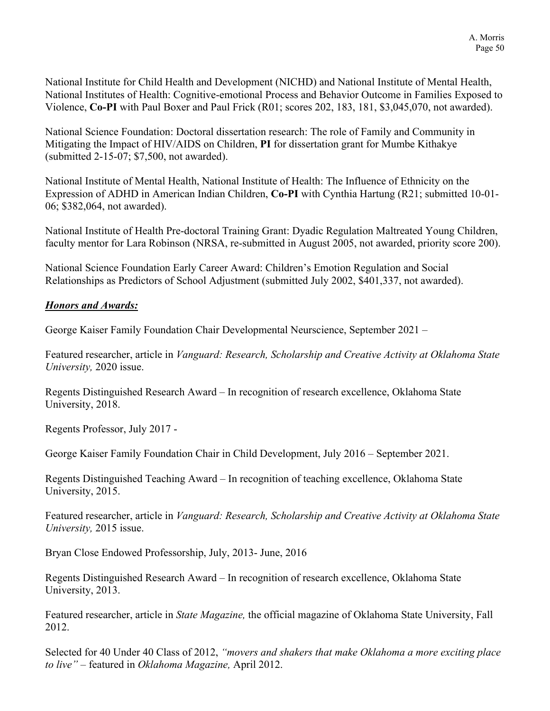National Institute for Child Health and Development (NICHD) and National Institute of Mental Health, National Institutes of Health: Cognitive-emotional Process and Behavior Outcome in Families Exposed to Violence, **Co-PI** with Paul Boxer and Paul Frick (R01; scores 202, 183, 181, \$3,045,070, not awarded).

National Science Foundation: Doctoral dissertation research: The role of Family and Community in Mitigating the Impact of HIV/AIDS on Children, **PI** for dissertation grant for Mumbe Kithakye (submitted 2-15-07; \$7,500, not awarded).

National Institute of Mental Health, National Institute of Health: The Influence of Ethnicity on the Expression of ADHD in American Indian Children, **Co-PI** with Cynthia Hartung (R21; submitted 10-01- 06; \$382,064, not awarded).

National Institute of Health Pre-doctoral Training Grant: Dyadic Regulation Maltreated Young Children, faculty mentor for Lara Robinson (NRSA, re-submitted in August 2005, not awarded, priority score 200).

National Science Foundation Early Career Award: Children's Emotion Regulation and Social Relationships as Predictors of School Adjustment (submitted July 2002, \$401,337, not awarded).

## *Honors and Awards:*

George Kaiser Family Foundation Chair Developmental Neurscience, September 2021 –

Featured researcher, article in *Vanguard: Research, Scholarship and Creative Activity at Oklahoma State University,* 2020 issue.

Regents Distinguished Research Award – In recognition of research excellence, Oklahoma State University, 2018.

Regents Professor, July 2017 -

George Kaiser Family Foundation Chair in Child Development, July 2016 – September 2021.

Regents Distinguished Teaching Award – In recognition of teaching excellence, Oklahoma State University, 2015.

Featured researcher, article in *Vanguard: Research, Scholarship and Creative Activity at Oklahoma State University,* 2015 issue.

Bryan Close Endowed Professorship, July, 2013- June, 2016

Regents Distinguished Research Award – In recognition of research excellence, Oklahoma State University, 2013.

Featured researcher, article in *State Magazine,* the official magazine of Oklahoma State University, Fall 2012.

Selected for 40 Under 40 Class of 2012, *"movers and shakers that make Oklahoma a more exciting place to live"* – featured in *Oklahoma Magazine,* April 2012.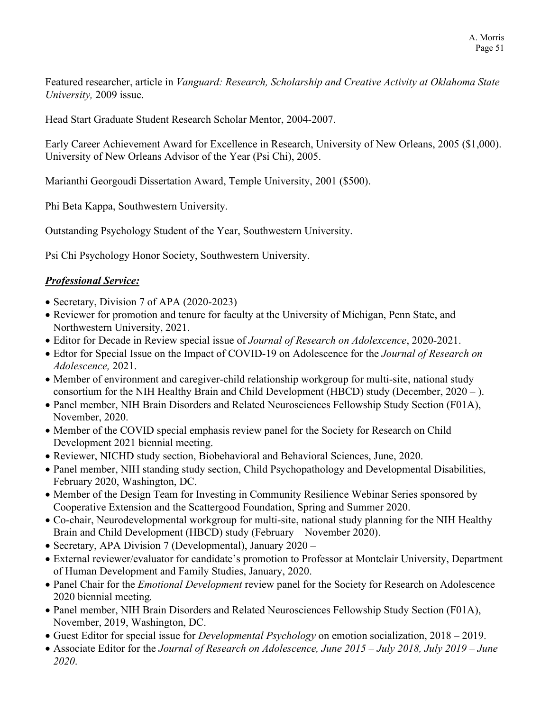Featured researcher, article in *Vanguard: Research, Scholarship and Creative Activity at Oklahoma State University,* 2009 issue.

Head Start Graduate Student Research Scholar Mentor, 2004-2007.

Early Career Achievement Award for Excellence in Research, University of New Orleans, 2005 (\$1,000). University of New Orleans Advisor of the Year (Psi Chi), 2005.

Marianthi Georgoudi Dissertation Award, Temple University, 2001 (\$500).

Phi Beta Kappa, Southwestern University.

Outstanding Psychology Student of the Year, Southwestern University.

Psi Chi Psychology Honor Society, Southwestern University.

## *Professional Service:*

- Secretary, Division 7 of APA (2020-2023)
- Reviewer for promotion and tenure for faculty at the University of Michigan, Penn State, and Northwestern University, 2021.
- Editor for Decade in Review special issue of *Journal of Research on Adolexcence*, 2020-2021.
- Edtor for Special Issue on the Impact of COVID-19 on Adolescence for the *Journal of Research on Adolescence,* 2021.
- Member of environment and caregiver-child relationship workgroup for multi-site, national study consortium for the NIH Healthy Brain and Child Development (HBCD) study (December,  $2020 -$ ).
- Panel member, NIH Brain Disorders and Related Neurosciences Fellowship Study Section (F01A), November, 2020.
- Member of the COVID special emphasis review panel for the Society for Research on Child Development 2021 biennial meeting.
- Reviewer, NICHD study section, Biobehavioral and Behavioral Sciences, June, 2020.
- Panel member, NIH standing study section, Child Psychopathology and Developmental Disabilities, February 2020, Washington, DC.
- Member of the Design Team for Investing in Community Resilience Webinar Series sponsored by Cooperative Extension and the Scattergood Foundation, Spring and Summer 2020.
- Co-chair, Neurodevelopmental workgroup for multi-site, national study planning for the NIH Healthy Brain and Child Development (HBCD) study (February – November 2020).
- Secretary, APA Division 7 (Developmental), January 2020 –
- External reviewer/evaluator for candidate's promotion to Professor at Montclair University, Department of Human Development and Family Studies, January, 2020.
- Panel Chair for the *Emotional Development* review panel for the Society for Research on Adolescence 2020 biennial meeting*.*
- Panel member, NIH Brain Disorders and Related Neurosciences Fellowship Study Section (F01A), November, 2019, Washington, DC.
- Guest Editor for special issue for *Developmental Psychology* on emotion socialization, 2018 2019.
- Associate Editor for the *Journal of Research on Adolescence, June 2015 – July 2018, July 2019 – June 2020*.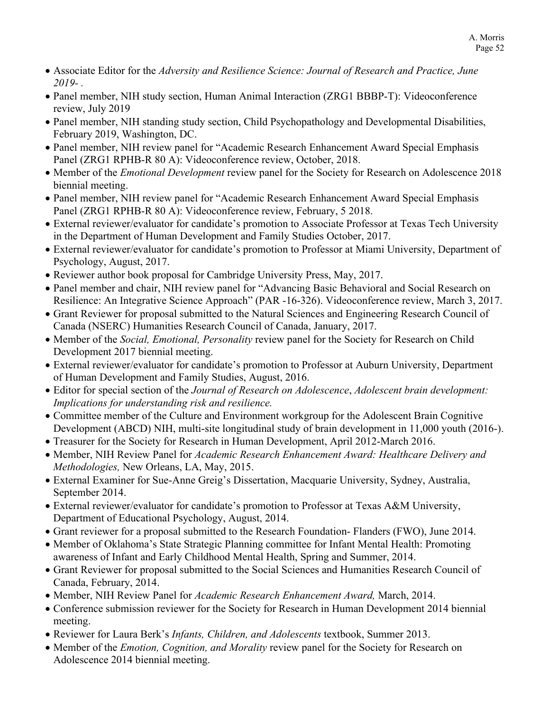- Associate Editor for the *Adversity and Resilience Science: Journal of Research and Practice, June 2019- .*
- Panel member, NIH study section, Human Animal Interaction (ZRG1 BBBP-T): Videoconference review, July 2019
- Panel member, NIH standing study section, Child Psychopathology and Developmental Disabilities, February 2019, Washington, DC.
- Panel member, NIH review panel for "Academic Research Enhancement Award Special Emphasis Panel (ZRG1 RPHB-R 80 A): Videoconference review, October, 2018.
- Member of the *Emotional Development* review panel for the Society for Research on Adolescence 2018 biennial meeting.
- Panel member, NIH review panel for "Academic Research Enhancement Award Special Emphasis Panel (ZRG1 RPHB-R 80 A): Videoconference review, February, 5 2018.
- External reviewer/evaluator for candidate's promotion to Associate Professor at Texas Tech University in the Department of Human Development and Family Studies October, 2017.
- External reviewer/evaluator for candidate's promotion to Professor at Miami University, Department of Psychology, August, 2017.
- Reviewer author book proposal for Cambridge University Press, May, 2017.
- Panel member and chair, NIH review panel for "Advancing Basic Behavioral and Social Research on Resilience: An Integrative Science Approach" (PAR -16-326). Videoconference review, March 3, 2017.
- Grant Reviewer for proposal submitted to the Natural Sciences and Engineering Research Council of Canada (NSERC) Humanities Research Council of Canada, January, 2017.
- Member of the *Social, Emotional, Personality* review panel for the Society for Research on Child Development 2017 biennial meeting.
- External reviewer/evaluator for candidate's promotion to Professor at Auburn University, Department of Human Development and Family Studies, August, 2016.
- Editor for special section of the *Journal of Research on Adolescence*, *Adolescent brain development: Implications for understanding risk and resilience.*
- Committee member of the Culture and Environment workgroup for the Adolescent Brain Cognitive Development (ABCD) NIH, multi-site longitudinal study of brain development in 11,000 youth (2016-).
- Treasurer for the Society for Research in Human Development, April 2012-March 2016.
- Member, NIH Review Panel for *Academic Research Enhancement Award: Healthcare Delivery and Methodologies,* New Orleans, LA, May, 2015.
- External Examiner for Sue-Anne Greig's Dissertation, Macquarie University, Sydney, Australia, September 2014.
- External reviewer/evaluator for candidate's promotion to Professor at Texas A&M University, Department of Educational Psychology, August, 2014.
- Grant reviewer for a proposal submitted to the Research Foundation- Flanders (FWO), June 2014.
- Member of Oklahoma's State Strategic Planning committee for Infant Mental Health: Promoting awareness of Infant and Early Childhood Mental Health, Spring and Summer, 2014.
- Grant Reviewer for proposal submitted to the Social Sciences and Humanities Research Council of Canada, February, 2014.
- Member, NIH Review Panel for *Academic Research Enhancement Award,* March, 2014.
- Conference submission reviewer for the Society for Research in Human Development 2014 biennial meeting.
- Reviewer for Laura Berk's *Infants, Children, and Adolescents* textbook, Summer 2013.
- Member of the *Emotion, Cognition, and Morality* review panel for the Society for Research on Adolescence 2014 biennial meeting.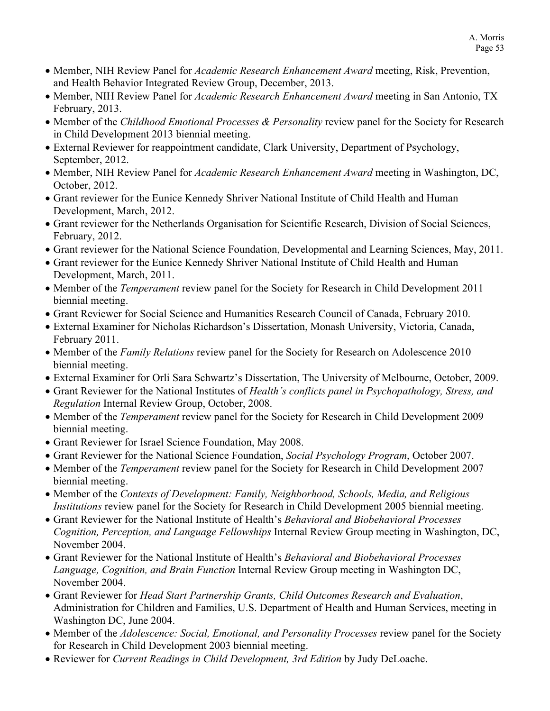- Member, NIH Review Panel for *Academic Research Enhancement Award* meeting, Risk, Prevention, and Health Behavior Integrated Review Group, December, 2013.
- Member, NIH Review Panel for *Academic Research Enhancement Award* meeting in San Antonio, TX February, 2013.
- Member of the *Childhood Emotional Processes & Personality* review panel for the Society for Research in Child Development 2013 biennial meeting.
- External Reviewer for reappointment candidate, Clark University, Department of Psychology, September, 2012.
- Member, NIH Review Panel for *Academic Research Enhancement Award* meeting in Washington, DC, October, 2012.
- Grant reviewer for the Eunice Kennedy Shriver National Institute of Child Health and Human Development, March, 2012.
- Grant reviewer for the Netherlands Organisation for Scientific Research, Division of Social Sciences, February, 2012.
- Grant reviewer for the National Science Foundation, Developmental and Learning Sciences, May, 2011.
- Grant reviewer for the Eunice Kennedy Shriver National Institute of Child Health and Human Development, March, 2011.
- Member of the *Temperament* review panel for the Society for Research in Child Development 2011 biennial meeting.
- Grant Reviewer for Social Science and Humanities Research Council of Canada, February 2010.
- External Examiner for Nicholas Richardson's Dissertation, Monash University, Victoria, Canada, February 2011.
- Member of the *Family Relations* review panel for the Society for Research on Adolescence 2010 biennial meeting.
- External Examiner for Orli Sara Schwartz's Dissertation, The University of Melbourne, October, 2009.
- Grant Reviewer for the National Institutes of *Health's conflicts panel in Psychopathology, Stress, and Regulation* Internal Review Group, October, 2008.
- Member of the *Temperament* review panel for the Society for Research in Child Development 2009 biennial meeting.
- Grant Reviewer for Israel Science Foundation, May 2008.
- Grant Reviewer for the National Science Foundation, *Social Psychology Program*, October 2007.
- Member of the *Temperament* review panel for the Society for Research in Child Development 2007 biennial meeting.
- Member of the *Contexts of Development: Family, Neighborhood, Schools, Media, and Religious Institutions* review panel for the Society for Research in Child Development 2005 biennial meeting.
- Grant Reviewer for the National Institute of Health's *Behavioral and Biobehavioral Processes Cognition, Perception, and Language Fellowships* Internal Review Group meeting in Washington, DC, November 2004.
- Grant Reviewer for the National Institute of Health's *Behavioral and Biobehavioral Processes Language, Cognition, and Brain Function* Internal Review Group meeting in Washington DC, November 2004.
- Grant Reviewer for *Head Start Partnership Grants, Child Outcomes Research and Evaluation*, Administration for Children and Families, U.S. Department of Health and Human Services, meeting in Washington DC, June 2004.
- Member of the *Adolescence: Social, Emotional, and Personality Processes* review panel for the Society for Research in Child Development 2003 biennial meeting.
- Reviewer for *Current Readings in Child Development, 3rd Edition* by Judy DeLoache.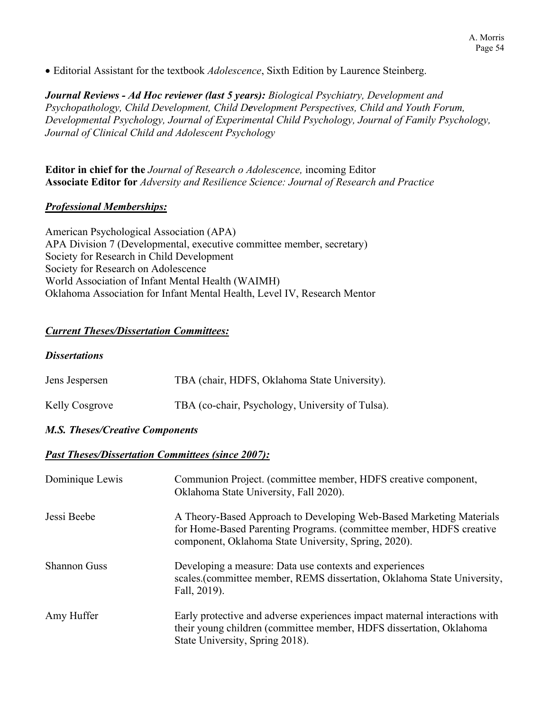• Editorial Assistant for the textbook *Adolescence*, Sixth Edition by Laurence Steinberg.

*Journal Reviews - Ad Hoc reviewer (last 5 years): Biological Psychiatry, Development and Psychopathology, Child Development, Child Development Perspectives, Child and Youth Forum, Developmental Psychology, Journal of Experimental Child Psychology, Journal of Family Psychology, Journal of Clinical Child and Adolescent Psychology*

**Editor in chief for the** *Journal of Research o Adolescence,* incoming Editor **Associate Editor for** *Adversity and Resilience Science: Journal of Research and Practice*

#### *Professional Memberships:*

American Psychological Association (APA) APA Division 7 (Developmental, executive committee member, secretary) Society for Research in Child Development Society for Research on Adolescence World Association of Infant Mental Health (WAIMH) Oklahoma Association for Infant Mental Health, Level IV, Research Mentor

#### *Current Theses/Dissertation Committees:*

#### *Dissertations*

| Jens Jespersen | TBA (chair, HDFS, Oklahoma State University).    |
|----------------|--------------------------------------------------|
| Kelly Cosgrove | TBA (co-chair, Psychology, University of Tulsa). |

#### *M.S. Theses/Creative Components*

#### *Past Theses/Dissertation Committees (since 2007):*

| Dominique Lewis     | Communion Project. (committee member, HDFS creative component,<br>Oklahoma State University, Fall 2020).                                                                                           |
|---------------------|----------------------------------------------------------------------------------------------------------------------------------------------------------------------------------------------------|
| Jessi Beebe         | A Theory-Based Approach to Developing Web-Based Marketing Materials<br>for Home-Based Parenting Programs. (committee member, HDFS creative<br>component, Oklahoma State University, Spring, 2020). |
| <b>Shannon Guss</b> | Developing a measure: Data use contexts and experiences<br>scales. (committee member, REMS dissertation, Oklahoma State University,<br>Fall, 2019).                                                |
| Amy Huffer          | Early protective and adverse experiences impact maternal interactions with<br>their young children (committee member, HDFS dissertation, Oklahoma<br>State University, Spring 2018).               |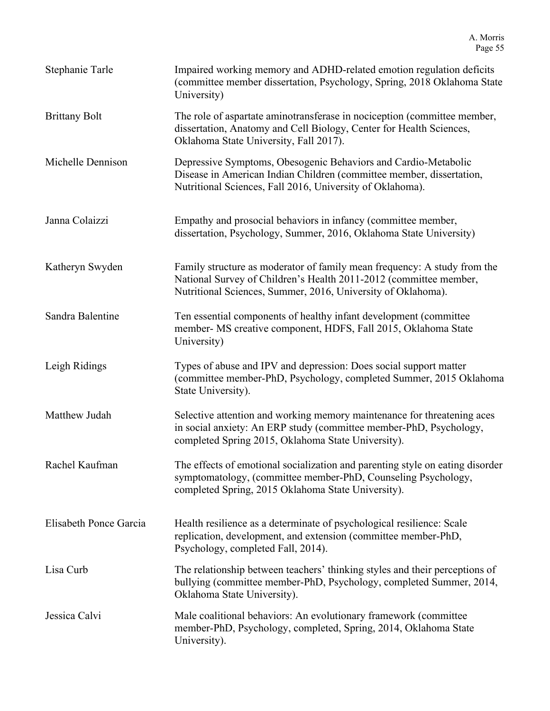| Stephanie Tarle        | Impaired working memory and ADHD-related emotion regulation deficits<br>(committee member dissertation, Psychology, Spring, 2018 Oklahoma State<br>University)                                                |
|------------------------|---------------------------------------------------------------------------------------------------------------------------------------------------------------------------------------------------------------|
| <b>Brittany Bolt</b>   | The role of aspartate aminotransferase in nociception (committee member,<br>dissertation, Anatomy and Cell Biology, Center for Health Sciences,<br>Oklahoma State University, Fall 2017).                     |
| Michelle Dennison      | Depressive Symptoms, Obesogenic Behaviors and Cardio-Metabolic<br>Disease in American Indian Children (committee member, dissertation,<br>Nutritional Sciences, Fall 2016, University of Oklahoma).           |
| Janna Colaizzi         | Empathy and prosocial behaviors in infancy (committee member,<br>dissertation, Psychology, Summer, 2016, Oklahoma State University)                                                                           |
| Katheryn Swyden        | Family structure as moderator of family mean frequency: A study from the<br>National Survey of Children's Health 2011-2012 (committee member,<br>Nutritional Sciences, Summer, 2016, University of Oklahoma). |
| Sandra Balentine       | Ten essential components of healthy infant development (committee<br>member- MS creative component, HDFS, Fall 2015, Oklahoma State<br>University)                                                            |
| Leigh Ridings          | Types of abuse and IPV and depression: Does social support matter<br>(committee member-PhD, Psychology, completed Summer, 2015 Oklahoma<br>State University).                                                 |
| Matthew Judah          | Selective attention and working memory maintenance for threatening aces<br>in social anxiety: An ERP study (committee member-PhD, Psychology,<br>completed Spring 2015, Oklahoma State University).           |
| Rachel Kaufman         | The effects of emotional socialization and parenting style on eating disorder<br>symptomatology, (committee member-PhD, Counseling Psychology,<br>completed Spring, 2015 Oklahoma State University).          |
| Elisabeth Ponce Garcia | Health resilience as a determinate of psychological resilience: Scale<br>replication, development, and extension (committee member-PhD,<br>Psychology, completed Fall, 2014).                                 |
| Lisa Curb              | The relationship between teachers' thinking styles and their perceptions of<br>bullying (committee member-PhD, Psychology, completed Summer, 2014,<br>Oklahoma State University).                             |
| Jessica Calvi          | Male coalitional behaviors: An evolutionary framework (committee)<br>member-PhD, Psychology, completed, Spring, 2014, Oklahoma State<br>University).                                                          |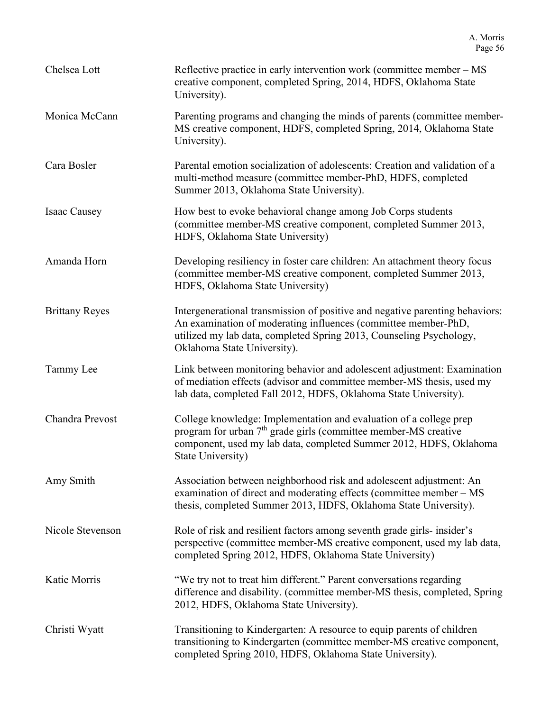| Chelsea Lott          | Reflective practice in early intervention work (committee member – MS<br>creative component, completed Spring, 2014, HDFS, Oklahoma State<br>University).                                                                                            |
|-----------------------|------------------------------------------------------------------------------------------------------------------------------------------------------------------------------------------------------------------------------------------------------|
| Monica McCann         | Parenting programs and changing the minds of parents (committee member-<br>MS creative component, HDFS, completed Spring, 2014, Oklahoma State<br>University).                                                                                       |
| Cara Bosler           | Parental emotion socialization of adolescents: Creation and validation of a<br>multi-method measure (committee member-PhD, HDFS, completed<br>Summer 2013, Oklahoma State University).                                                               |
| Isaac Causey          | How best to evoke behavioral change among Job Corps students<br>(committee member-MS creative component, completed Summer 2013,<br>HDFS, Oklahoma State University)                                                                                  |
| Amanda Horn           | Developing resiliency in foster care children: An attachment theory focus<br>(committee member-MS creative component, completed Summer 2013,<br>HDFS, Oklahoma State University)                                                                     |
| <b>Brittany Reyes</b> | Intergenerational transmission of positive and negative parenting behaviors:<br>An examination of moderating influences (committee member-PhD,<br>utilized my lab data, completed Spring 2013, Counseling Psychology,<br>Oklahoma State University). |
| Tammy Lee             | Link between monitoring behavior and adolescent adjustment: Examination<br>of mediation effects (advisor and committee member-MS thesis, used my<br>lab data, completed Fall 2012, HDFS, Oklahoma State University).                                 |
| Chandra Prevost       | College knowledge: Implementation and evaluation of a college prep<br>program for urban $7th$ grade girls (committee member-MS creative<br>component, used my lab data, completed Summer 2012, HDFS, Oklahoma<br>State University)                   |
| Amy Smith             | Association between neighborhood risk and adolescent adjustment: An<br>examination of direct and moderating effects (committee member – MS<br>thesis, completed Summer 2013, HDFS, Oklahoma State University).                                       |
| Nicole Stevenson      | Role of risk and resilient factors among seventh grade girls- insider's<br>perspective (committee member-MS creative component, used my lab data,<br>completed Spring 2012, HDFS, Oklahoma State University)                                         |
| Katie Morris          | "We try not to treat him different." Parent conversations regarding<br>difference and disability. (committee member-MS thesis, completed, Spring<br>2012, HDFS, Oklahoma State University).                                                          |
| Christi Wyatt         | Transitioning to Kindergarten: A resource to equip parents of children<br>transitioning to Kindergarten (committee member-MS creative component,<br>completed Spring 2010, HDFS, Oklahoma State University).                                         |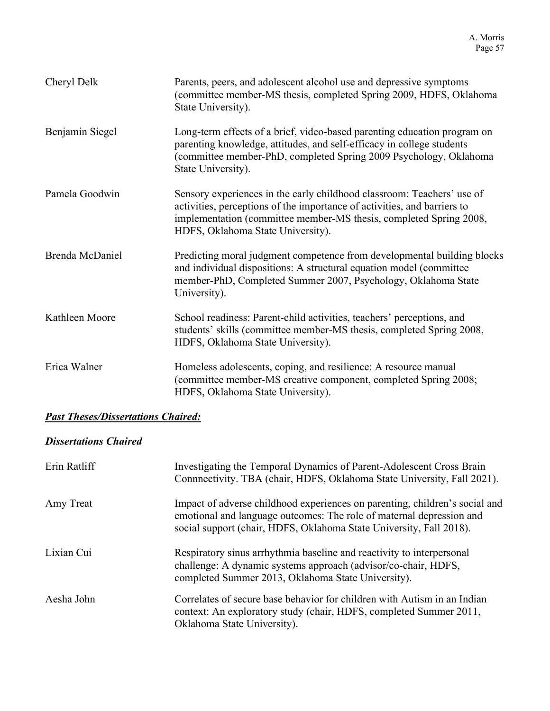| Cheryl Delk     | Parents, peers, and adolescent alcohol use and depressive symptoms<br>(committee member-MS thesis, completed Spring 2009, HDFS, Oklahoma<br>State University).                                                                                                |
|-----------------|---------------------------------------------------------------------------------------------------------------------------------------------------------------------------------------------------------------------------------------------------------------|
| Benjamin Siegel | Long-term effects of a brief, video-based parenting education program on<br>parenting knowledge, attitudes, and self-efficacy in college students<br>(committee member-PhD, completed Spring 2009 Psychology, Oklahoma<br>State University).                  |
| Pamela Goodwin  | Sensory experiences in the early childhood classroom: Teachers' use of<br>activities, perceptions of the importance of activities, and barriers to<br>implementation (committee member-MS thesis, completed Spring 2008,<br>HDFS, Oklahoma State University). |
| Brenda McDaniel | Predicting moral judgment competence from developmental building blocks<br>and individual dispositions: A structural equation model (committee<br>member-PhD, Completed Summer 2007, Psychology, Oklahoma State<br>University).                               |
| Kathleen Moore  | School readiness: Parent-child activities, teachers' perceptions, and<br>students' skills (committee member-MS thesis, completed Spring 2008,<br>HDFS, Oklahoma State University).                                                                            |
| Erica Walner    | Homeless adolescents, coping, and resilience: A resource manual<br>(committee member-MS creative component, completed Spring 2008;<br>HDFS, Oklahoma State University).                                                                                       |

# *Past Theses/Dissertations Chaired:*

# *Dissertations Chaired*

| Erin Ratliff | Investigating the Temporal Dynamics of Parent-Adolescent Cross Brain<br>Connnectivity. TBA (chair, HDFS, Oklahoma State University, Fall 2021).                                                                            |
|--------------|----------------------------------------------------------------------------------------------------------------------------------------------------------------------------------------------------------------------------|
| Amy Treat    | Impact of adverse childhood experiences on parenting, children's social and<br>emotional and language outcomes: The role of maternal depression and<br>social support (chair, HDFS, Oklahoma State University, Fall 2018). |
| Lixian Cui   | Respiratory sinus arrhythmia baseline and reactivity to interpersonal<br>challenge: A dynamic systems approach (advisor/co-chair, HDFS,<br>completed Summer 2013, Oklahoma State University).                              |
| Aesha John   | Correlates of secure base behavior for children with Autism in an Indian<br>context: An exploratory study (chair, HDFS, completed Summer 2011,<br>Oklahoma State University).                                              |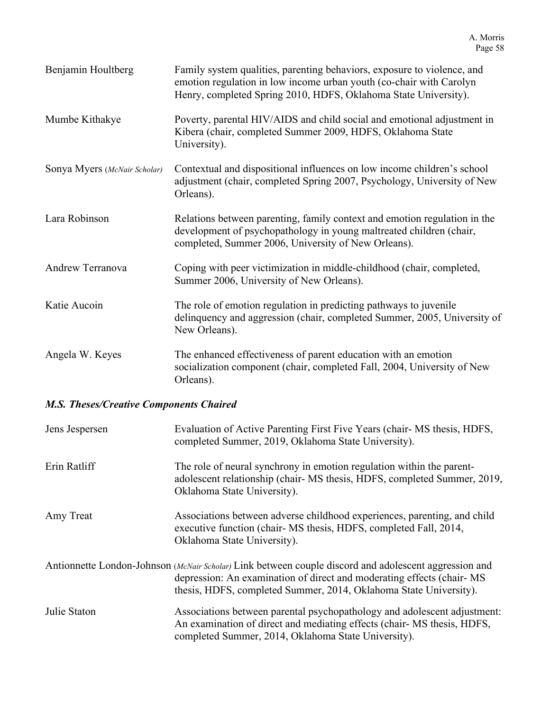| Benjamin Houltberg           | Family system qualities, parenting behaviors, exposure to violence, and<br>emotion regulation in low income urban youth (co-chair with Carolyn<br>Henry, completed Spring 2010, HDFS, Oklahoma State University). |
|------------------------------|-------------------------------------------------------------------------------------------------------------------------------------------------------------------------------------------------------------------|
| Mumbe Kithakye               | Poverty, parental HIV/AIDS and child social and emotional adjustment in<br>Kibera (chair, completed Summer 2009, HDFS, Oklahoma State<br>University).                                                             |
| Sonya Myers (McNair Scholar) | Contextual and dispositional influences on low income children's school<br>adjustment (chair, completed Spring 2007, Psychology, University of New<br>Orleans).                                                   |
| Lara Robinson                | Relations between parenting, family context and emotion regulation in the<br>development of psychopathology in young maltreated children (chair,<br>completed, Summer 2006, University of New Orleans).           |
| <b>Andrew Terranova</b>      | Coping with peer victimization in middle-childhood (chair, completed,<br>Summer 2006, University of New Orleans).                                                                                                 |
| Katie Aucoin                 | The role of emotion regulation in predicting pathways to juvenile<br>delinquency and aggression (chair, completed Summer, 2005, University of<br>New Orleans).                                                    |
| Angela W. Keyes              | The enhanced effectiveness of parent education with an emotion<br>socialization component (chair, completed Fall, 2004, University of New<br>Orleans).                                                            |

# *M.S. Theses/Creative Components Chaired*

| Jens Jespersen | Evaluation of Active Parenting First Five Years (chair- MS thesis, HDFS,<br>completed Summer, 2019, Oklahoma State University).                                                                                                                     |
|----------------|-----------------------------------------------------------------------------------------------------------------------------------------------------------------------------------------------------------------------------------------------------|
| Erin Ratliff   | The role of neural synchrony in emotion regulation within the parent-<br>adolescent relationship (chair- MS thesis, HDFS, completed Summer, 2019,<br>Oklahoma State University).                                                                    |
| Amy Treat      | Associations between adverse childhood experiences, parenting, and child<br>executive function (chair- MS thesis, HDFS, completed Fall, 2014,<br>Oklahoma State University).                                                                        |
|                | Antionnette London-Johnson (McNair Scholar) Link between couple discord and adolescent aggression and<br>depression: An examination of direct and moderating effects (chair-MS<br>thesis, HDFS, completed Summer, 2014, Oklahoma State University). |
| Julie Staton   | Associations between parental psychopathology and adolescent adjustment:<br>An examination of direct and mediating effects (chair- MS thesis, HDFS,<br>completed Summer, 2014, Oklahoma State University).                                          |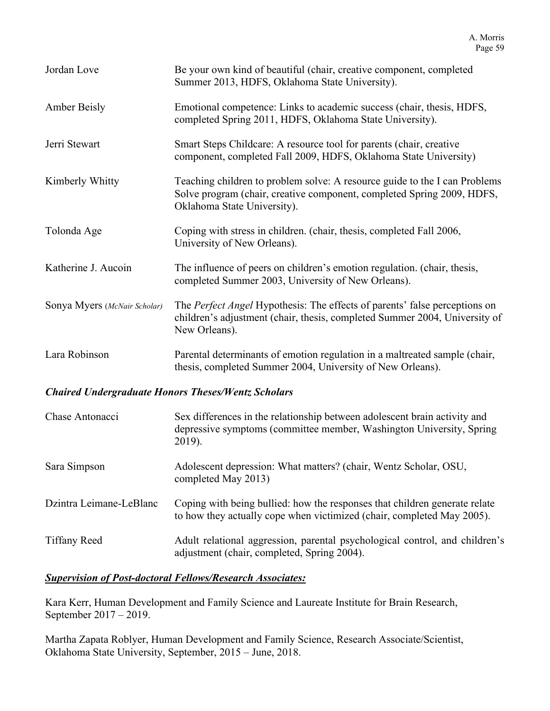| Jordan Love                                               | Be your own kind of beautiful (chair, creative component, completed<br>Summer 2013, HDFS, Oklahoma State University).                                                               |
|-----------------------------------------------------------|-------------------------------------------------------------------------------------------------------------------------------------------------------------------------------------|
| <b>Amber Beisly</b>                                       | Emotional competence: Links to academic success (chair, thesis, HDFS,<br>completed Spring 2011, HDFS, Oklahoma State University).                                                   |
| Jerri Stewart                                             | Smart Steps Childcare: A resource tool for parents (chair, creative<br>component, completed Fall 2009, HDFS, Oklahoma State University)                                             |
| Kimberly Whitty                                           | Teaching children to problem solve: A resource guide to the I can Problems<br>Solve program (chair, creative component, completed Spring 2009, HDFS,<br>Oklahoma State University). |
| Tolonda Age                                               | Coping with stress in children. (chair, thesis, completed Fall 2006,<br>University of New Orleans).                                                                                 |
| Katherine J. Aucoin                                       | The influence of peers on children's emotion regulation. (chair, thesis,<br>completed Summer 2003, University of New Orleans).                                                      |
| Sonya Myers (McNair Scholar)                              | The Perfect Angel Hypothesis: The effects of parents' false perceptions on<br>children's adjustment (chair, thesis, completed Summer 2004, University of<br>New Orleans).           |
| Lara Robinson                                             | Parental determinants of emotion regulation in a maltreated sample (chair,<br>thesis, completed Summer 2004, University of New Orleans).                                            |
| <b>Chaired Undergraduate Honors Theses/Wentz Scholars</b> |                                                                                                                                                                                     |
| Chase Antonacci                                           | Sex differences in the relationship between adolescent brain activity and<br>depressive symptoms (committee member, Washington University, Spring<br>2019).                         |
| Sara Simpson                                              | Adolescent depression: What matters? (chair, Wentz Scholar, OSU,<br>completed May 2013)                                                                                             |
| Dzintra Leimane-LeBlanc                                   | Coping with being bullied: how the responses that children generate relate<br>to how they actually cope when victimized (chair, completed May 2005).                                |
| <b>Tiffany Reed</b>                                       | Adult relational aggression, parental psychological control, and children's<br>adjustment (chair, completed, Spring 2004).                                                          |

## *Supervision of Post-doctoral Fellows/Research Associates:*

Kara Kerr, Human Development and Family Science and Laureate Institute for Brain Research, September 2017 – 2019.

Martha Zapata Roblyer, Human Development and Family Science, Research Associate/Scientist, Oklahoma State University, September, 2015 – June, 2018.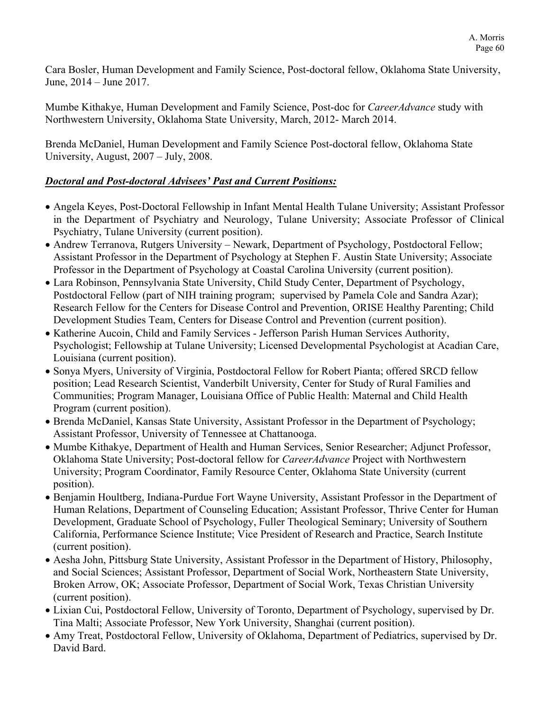Cara Bosler, Human Development and Family Science, Post-doctoral fellow, Oklahoma State University, June, 2014 – June 2017.

Mumbe Kithakye, Human Development and Family Science, Post-doc for *CareerAdvance* study with Northwestern University, Oklahoma State University, March, 2012- March 2014.

Brenda McDaniel, Human Development and Family Science Post-doctoral fellow, Oklahoma State University, August, 2007 – July, 2008.

## *Doctoral and Post-doctoral Advisees' Past and Current Positions:*

- Angela Keyes, Post-Doctoral Fellowship in Infant Mental Health Tulane University; Assistant Professor in the Department of Psychiatry and Neurology, Tulane University; Associate Professor of Clinical Psychiatry, Tulane University (current position).
- Andrew Terranova, Rutgers University Newark, Department of Psychology, Postdoctoral Fellow; Assistant Professor in the Department of Psychology at Stephen F. Austin State University; Associate Professor in the Department of Psychology at Coastal Carolina University (current position).
- Lara Robinson, Pennsylvania State University, Child Study Center, Department of Psychology, Postdoctoral Fellow (part of NIH training program; supervised by Pamela Cole and Sandra Azar); Research Fellow for the Centers for Disease Control and Prevention, ORISE Healthy Parenting; Child Development Studies Team, Centers for Disease Control and Prevention (current position).
- Katherine Aucoin, Child and Family Services Jefferson Parish Human Services Authority, Psychologist; Fellowship at Tulane University; Licensed Developmental Psychologist at Acadian Care, Louisiana (current position).
- Sonya Myers, University of Virginia, Postdoctoral Fellow for Robert Pianta; offered SRCD fellow position; Lead Research Scientist, Vanderbilt University, Center for Study of Rural Families and Communities; Program Manager, Louisiana Office of Public Health: Maternal and Child Health Program (current position).
- Brenda McDaniel, Kansas State University, Assistant Professor in the Department of Psychology; Assistant Professor, University of Tennessee at Chattanooga.
- Mumbe Kithakye, Department of Health and Human Services, Senior Researcher; Adjunct Professor, Oklahoma State University; Post-doctoral fellow for *CareerAdvance* Project with Northwestern University; Program Coordinator, Family Resource Center, Oklahoma State University (current position).
- Benjamin Houltberg, Indiana-Purdue Fort Wayne University, Assistant Professor in the Department of Human Relations, Department of Counseling Education; Assistant Professor, Thrive Center for Human Development, Graduate School of Psychology, Fuller Theological Seminary; University of Southern California, Performance Science Institute; Vice President of Research and Practice, Search Institute (current position).
- Aesha John, Pittsburg State University, Assistant Professor in the Department of History, Philosophy, and Social Sciences; Assistant Professor, Department of Social Work, Northeastern State University, Broken Arrow, OK; Associate Professor, Department of Social Work, Texas Christian University (current position).
- Lixian Cui, Postdoctoral Fellow, University of Toronto, Department of Psychology, supervised by Dr. Tina Malti; Associate Professor, New York University, Shanghai (current position).
- Amy Treat, Postdoctoral Fellow, University of Oklahoma, Department of Pediatrics, supervised by Dr. David Bard.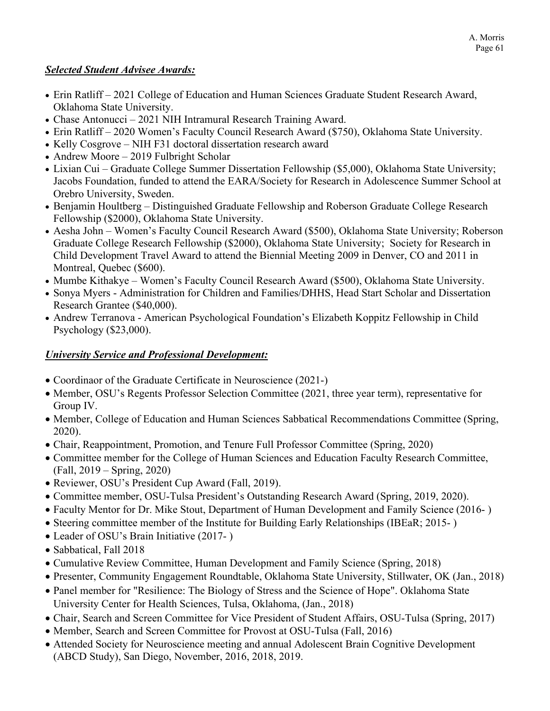#### *Selected Student Advisee Awards:*

- Erin Ratliff 2021 College of Education and Human Sciences Graduate Student Research Award, Oklahoma State University.
- Chase Antonucci 2021 NIH Intramural Research Training Award.
- Erin Ratliff 2020 Women's Faculty Council Research Award (\$750), Oklahoma State University.
- Kelly Cosgrove NIH F31 doctoral dissertation research award
- Andrew Moore 2019 Fulbright Scholar
- Lixian Cui Graduate College Summer Dissertation Fellowship (\$5,000), Oklahoma State University; Jacobs Foundation, funded to attend the EARA/Society for Research in Adolescence Summer School at Orebro University, Sweden.
- Benjamin Houltberg Distinguished Graduate Fellowship and Roberson Graduate College Research Fellowship (\$2000), Oklahoma State University.
- Aesha John Women's Faculty Council Research Award (\$500), Oklahoma State University; Roberson Graduate College Research Fellowship (\$2000), Oklahoma State University; Society for Research in Child Development Travel Award to attend the Biennial Meeting 2009 in Denver, CO and 2011 in Montreal, Quebec (\$600).
- Mumbe Kithakye Women's Faculty Council Research Award (\$500), Oklahoma State University.
- Sonya Myers Administration for Children and Families/DHHS, Head Start Scholar and Dissertation Research Grantee (\$40,000).
- Andrew Terranova American Psychological Foundation's Elizabeth Koppitz Fellowship in Child Psychology (\$23,000).

## *University Service and Professional Development:*

- Coordinaor of the Graduate Certificate in Neuroscience (2021-)
- Member, OSU's Regents Professor Selection Committee (2021, three year term), representative for Group IV.
- Member, College of Education and Human Sciences Sabbatical Recommendations Committee (Spring, 2020).
- Chair, Reappointment, Promotion, and Tenure Full Professor Committee (Spring, 2020)
- Committee member for the College of Human Sciences and Education Faculty Research Committee, (Fall, 2019 – Spring, 2020)
- Reviewer, OSU's President Cup Award (Fall, 2019).
- Committee member, OSU-Tulsa President's Outstanding Research Award (Spring, 2019, 2020).
- Faculty Mentor for Dr. Mike Stout, Department of Human Development and Family Science (2016- )
- Steering committee member of the Institute for Building Early Relationships (IBEaR; 2015-)
- Leader of OSU's Brain Initiative (2017-)
- Sabbatical, Fall 2018
- Cumulative Review Committee, Human Development and Family Science (Spring, 2018)
- Presenter, Community Engagement Roundtable, Oklahoma State University, Stillwater, OK (Jan., 2018)
- Panel member for "Resilience: The Biology of Stress and the Science of Hope". Oklahoma State University Center for Health Sciences, Tulsa, Oklahoma, (Jan., 2018)
- Chair, Search and Screen Committee for Vice President of Student Affairs, OSU-Tulsa (Spring, 2017)
- Member, Search and Screen Committee for Provost at OSU-Tulsa (Fall, 2016)
- Attended Society for Neuroscience meeting and annual Adolescent Brain Cognitive Development (ABCD Study), San Diego, November, 2016, 2018, 2019.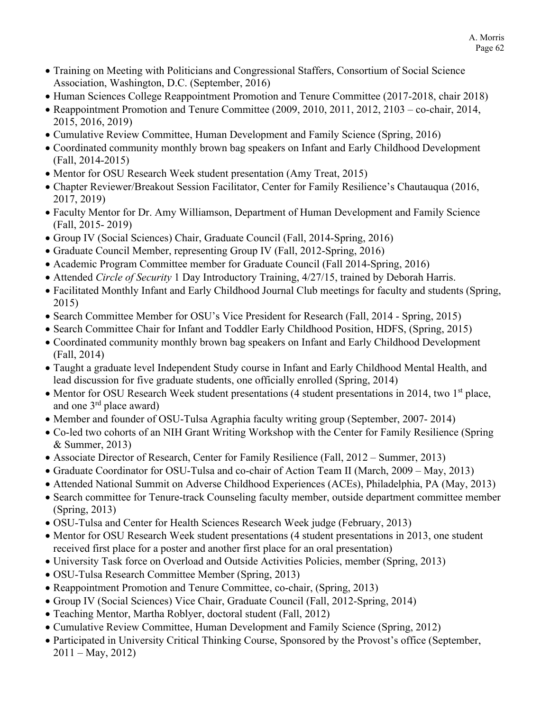- Training on Meeting with Politicians and Congressional Staffers, Consortium of Social Science Association, Washington, D.C. (September, 2016)
- Human Sciences College Reappointment Promotion and Tenure Committee (2017-2018, chair 2018)
- Reappointment Promotion and Tenure Committee (2009, 2010, 2011, 2012, 2103 co-chair, 2014, 2015, 2016, 2019)
- Cumulative Review Committee, Human Development and Family Science (Spring, 2016)
- Coordinated community monthly brown bag speakers on Infant and Early Childhood Development (Fall, 2014-2015)
- Mentor for OSU Research Week student presentation (Amy Treat, 2015)
- Chapter Reviewer/Breakout Session Facilitator, Center for Family Resilience's Chautauqua (2016, 2017, 2019)
- Faculty Mentor for Dr. Amy Williamson, Department of Human Development and Family Science (Fall, 2015- 2019)
- Group IV (Social Sciences) Chair, Graduate Council (Fall, 2014-Spring, 2016)
- Graduate Council Member, representing Group IV (Fall, 2012-Spring, 2016)
- Academic Program Committee member for Graduate Council (Fall 2014-Spring, 2016)
- Attended *Circle of Security* 1 Day Introductory Training, 4/27/15, trained by Deborah Harris.
- Facilitated Monthly Infant and Early Childhood Journal Club meetings for faculty and students (Spring, 2015)
- Search Committee Member for OSU's Vice President for Research (Fall, 2014 Spring, 2015)
- Search Committee Chair for Infant and Toddler Early Childhood Position, HDFS, (Spring, 2015)
- Coordinated community monthly brown bag speakers on Infant and Early Childhood Development (Fall, 2014)
- Taught a graduate level Independent Study course in Infant and Early Childhood Mental Health, and lead discussion for five graduate students, one officially enrolled (Spring, 2014)
- Mentor for OSU Research Week student presentations (4 student presentations in 2014, two 1<sup>st</sup> place, and one  $3<sup>rd</sup>$  place award)
- Member and founder of OSU-Tulsa Agraphia faculty writing group (September, 2007- 2014)
- Co-led two cohorts of an NIH Grant Writing Workshop with the Center for Family Resilience (Spring & Summer, 2013)
- Associate Director of Research, Center for Family Resilience (Fall, 2012 Summer, 2013)
- Graduate Coordinator for OSU-Tulsa and co-chair of Action Team II (March, 2009 May, 2013)
- Attended National Summit on Adverse Childhood Experiences (ACEs), Philadelphia, PA (May, 2013)
- Search committee for Tenure-track Counseling faculty member, outside department committee member (Spring, 2013)
- OSU-Tulsa and Center for Health Sciences Research Week judge (February, 2013)
- Mentor for OSU Research Week student presentations (4 student presentations in 2013, one student received first place for a poster and another first place for an oral presentation)
- University Task force on Overload and Outside Activities Policies, member (Spring, 2013)
- OSU-Tulsa Research Committee Member (Spring, 2013)
- Reappointment Promotion and Tenure Committee, co-chair, (Spring, 2013)
- Group IV (Social Sciences) Vice Chair, Graduate Council (Fall, 2012-Spring, 2014)
- Teaching Mentor, Martha Roblyer, doctoral student (Fall, 2012)
- Cumulative Review Committee, Human Development and Family Science (Spring, 2012)
- Participated in University Critical Thinking Course, Sponsored by the Provost's office (September,  $2011 - May, 2012$